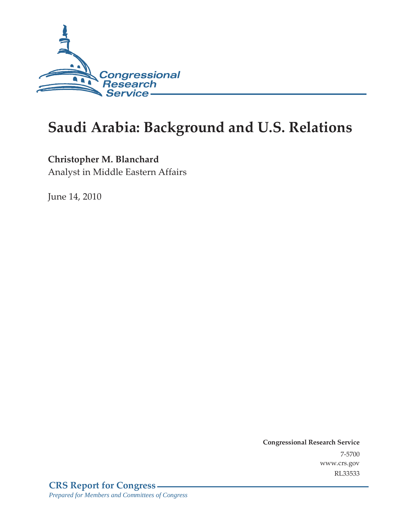

# **Saudi Arabia: Background and U.S. Relations**

## **Christopher M. Blanchard**

Analyst in Middle Eastern Affairs

June 14, 2010

**Congressional Research Service** 7-5700 www.crs.gov RL33533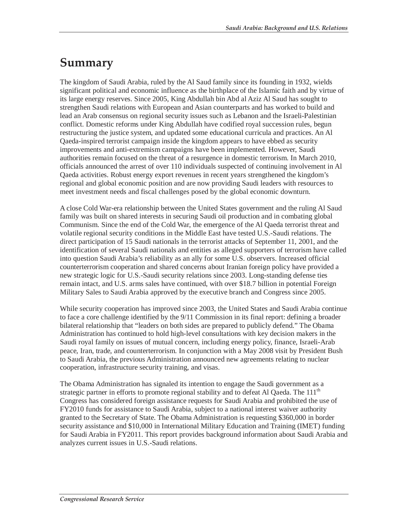# **Summary**

The kingdom of Saudi Arabia, ruled by the Al Saud family since its founding in 1932, wields significant political and economic influence as the birthplace of the Islamic faith and by virtue of its large energy reserves. Since 2005, King Abdullah bin Abd al Aziz Al Saud has sought to strengthen Saudi relations with European and Asian counterparts and has worked to build and lead an Arab consensus on regional security issues such as Lebanon and the Israeli-Palestinian conflict. Domestic reforms under King Abdullah have codified royal succession rules, begun restructuring the justice system, and updated some educational curricula and practices. An Al Qaeda-inspired terrorist campaign inside the kingdom appears to have ebbed as security improvements and anti-extremism campaigns have been implemented. However, Saudi authorities remain focused on the threat of a resurgence in domestic terrorism. In March 2010, officials announced the arrest of over 110 individuals suspected of continuing involvement in Al Qaeda activities. Robust energy export revenues in recent years strengthened the kingdom's regional and global economic position and are now providing Saudi leaders with resources to meet investment needs and fiscal challenges posed by the global economic downturn.

A close Cold War-era relationship between the United States government and the ruling Al Saud family was built on shared interests in securing Saudi oil production and in combating global Communism. Since the end of the Cold War, the emergence of the Al Qaeda terrorist threat and volatile regional security conditions in the Middle East have tested U.S.-Saudi relations. The direct participation of 15 Saudi nationals in the terrorist attacks of September 11, 2001, and the identification of several Saudi nationals and entities as alleged supporters of terrorism have called into question Saudi Arabia's reliability as an ally for some U.S. observers. Increased official counterterrorism cooperation and shared concerns about Iranian foreign policy have provided a new strategic logic for U.S.-Saudi security relations since 2003. Long-standing defense ties remain intact, and U.S. arms sales have continued, with over \$18.7 billion in potential Foreign Military Sales to Saudi Arabia approved by the executive branch and Congress since 2005.

While security cooperation has improved since 2003, the United States and Saudi Arabia continue to face a core challenge identified by the 9/11 Commission in its final report: defining a broader bilateral relationship that "leaders on both sides are prepared to publicly defend." The Obama Administration has continued to hold high-level consultations with key decision makers in the Saudi royal family on issues of mutual concern, including energy policy, finance, Israeli-Arab peace, Iran, trade, and counterterrorism. In conjunction with a May 2008 visit by President Bush to Saudi Arabia, the previous Administration announced new agreements relating to nuclear cooperation, infrastructure security training, and visas.

The Obama Administration has signaled its intention to engage the Saudi government as a strategic partner in efforts to promote regional stability and to defeat Al Qaeda. The  $111<sup>th</sup>$ Congress has considered foreign assistance requests for Saudi Arabia and prohibited the use of FY2010 funds for assistance to Saudi Arabia, subject to a national interest waiver authority granted to the Secretary of State. The Obama Administration is requesting \$360,000 in border security assistance and \$10,000 in International Military Education and Training (IMET) funding for Saudi Arabia in FY2011. This report provides background information about Saudi Arabia and analyzes current issues in U.S.-Saudi relations.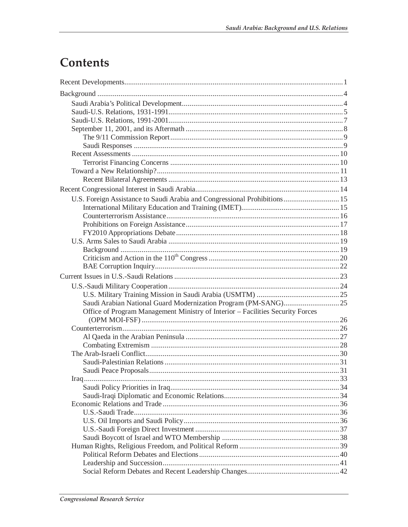# Contents

| U.S. Foreign Assistance to Saudi Arabia and Congressional Prohibitions 15      |  |
|--------------------------------------------------------------------------------|--|
|                                                                                |  |
|                                                                                |  |
|                                                                                |  |
|                                                                                |  |
|                                                                                |  |
|                                                                                |  |
|                                                                                |  |
|                                                                                |  |
|                                                                                |  |
|                                                                                |  |
|                                                                                |  |
|                                                                                |  |
| Office of Program Management Ministry of Interior - Facilities Security Forces |  |
|                                                                                |  |
|                                                                                |  |
|                                                                                |  |
|                                                                                |  |
|                                                                                |  |
|                                                                                |  |
|                                                                                |  |
|                                                                                |  |
|                                                                                |  |
|                                                                                |  |
|                                                                                |  |
|                                                                                |  |
|                                                                                |  |
|                                                                                |  |
|                                                                                |  |
|                                                                                |  |
|                                                                                |  |
|                                                                                |  |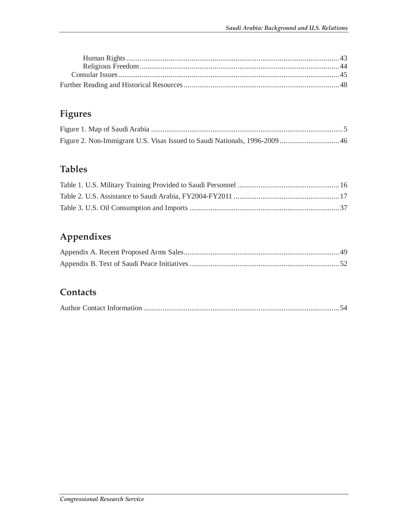# **Figures**

## **Tables**

## **Appendixes**

## **Contacts**

|--|--|--|--|--|--|--|--|--|--|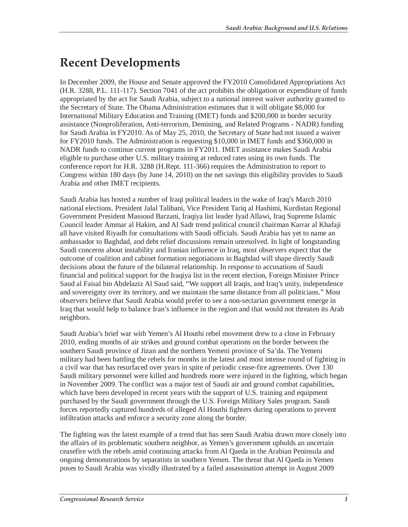# **Recent Developments**

In December 2009, the House and Senate approved the FY2010 Consolidated Appropriations Act (H.R. 3288, P.L. 111-117). Section 7041 of the act prohibits the obligation or expenditure of funds appropriated by the act for Saudi Arabia, subject to a national interest waiver authority granted to the Secretary of State. The Obama Administration estimates that it will obligate \$8,000 for International Military Education and Training (IMET) funds and \$200,000 in border security assistance (Nonproliferation, Anti-terrorism, Demining, and Related Programs - NADR) funding for Saudi Arabia in FY2010. As of May 25, 2010, the Secretary of State had not issued a waiver for FY2010 funds. The Administration is requesting \$10,000 in IMET funds and \$360,000 in NADR funds to continue current programs in FY2011. IMET assistance makes Saudi Arabia eligible to purchase other U.S. military training at reduced rates using its own funds. The conference report for H.R. 3288 (H.Rept. 111-366) requires the Administration to report to Congress within 180 days (by June 14, 2010) on the net savings this eligibility provides to Saudi Arabia and other IMET recipients.

Saudi Arabia has hosted a number of Iraqi political leaders in the wake of Iraq's March 2010 national elections. President Jalal Talibani, Vice President Tariq al Hashimi, Kurdistan Regional Government President Massoud Barzani, Iraqiya list leader Iyad Allawi, Iraq Supreme Islamic Council leader Ammar al Hakim, and Al Sadr trend political council chairman Karrar al Khafaji all have visited Riyadh for consultations with Saudi officials. Saudi Arabia has yet to name an ambassador to Baghdad, and debt relief discussions remain unresolved. In light of longstanding Saudi concerns about instability and Iranian influence in Iraq, most observers expect that the outcome of coalition and cabinet formation negotiations in Baghdad will shape directly Saudi decisions about the future of the bilateral relationship. In response to accusations of Saudi financial and political support for the Iraqiya list in the recent election, Foreign Minister Prince Saud al Faisal bin Abdelaziz Al Saud said, "We support all Iraqis, and Iraq's unity, independence and sovereignty over its territory, and we maintain the same distance from all politicians." Most observers believe that Saudi Arabia would prefer to see a non-sectarian government emerge in Iraq that would help to balance Iran's influence in the region and that would not threaten its Arab neighbors.

Saudi Arabia's brief war with Yemen's Al Houthi rebel movement drew to a close in February 2010, ending months of air strikes and ground combat operations on the border between the southern Saudi province of Jizan and the northern Yemeni province of Sa'da. The Yemeni military had been battling the rebels for months in the latest and most intense round of fighting in a civil war that has resurfaced over years in spite of periodic cease-fire agreements. Over 130 Saudi military personnel were killed and hundreds more were injured in the fighting, which began in November 2009. The conflict was a major test of Saudi air and ground combat capabilities, which have been developed in recent years with the support of U.S. training and equipment purchased by the Saudi government through the U.S. Foreign Military Sales program. Saudi forces reportedly captured hundreds of alleged Al Houthi fighters during operations to prevent infiltration attacks and enforce a security zone along the border.

The fighting was the latest example of a trend that has seen Saudi Arabia drawn more closely into the affairs of its problematic southern neighbor, as Yemen's government upholds an uncertain ceasefire with the rebels amid continuing attacks from Al Qaeda in the Arabian Peninsula and ongoing demonstrations by separatists in southern Yemen. The threat that Al Qaeda in Yemen poses to Saudi Arabia was vividly illustrated by a failed assassination attempt in August 2009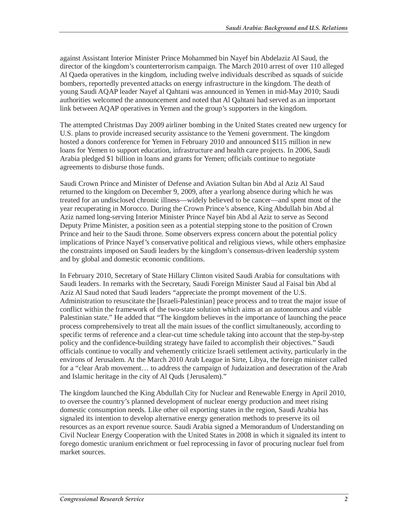against Assistant Interior Minister Prince Mohammed bin Nayef bin Abdelaziz Al Saud, the director of the kingdom's counterterrorism campaign. The March 2010 arrest of over 110 alleged Al Qaeda operatives in the kingdom, including twelve individuals described as squads of suicide bombers, reportedly prevented attacks on energy infrastructure in the kingdom. The death of young Saudi AQAP leader Nayef al Qahtani was announced in Yemen in mid-May 2010; Saudi authorities welcomed the announcement and noted that Al Qahtani had served as an important link between AQAP operatives in Yemen and the group's supporters in the kingdom.

The attempted Christmas Day 2009 airliner bombing in the United States created new urgency for U.S. plans to provide increased security assistance to the Yemeni government. The kingdom hosted a donors conference for Yemen in February 2010 and announced \$115 million in new loans for Yemen to support education, infrastructure and health care projects. In 2006, Saudi Arabia pledged \$1 billion in loans and grants for Yemen; officials continue to negotiate agreements to disburse those funds.

Saudi Crown Prince and Minister of Defense and Aviation Sultan bin Abd al Aziz Al Saud returned to the kingdom on December 9, 2009, after a yearlong absence during which he was treated for an undisclosed chronic illness—widely believed to be cancer—and spent most of the year recuperating in Morocco. During the Crown Prince's absence, King Abdullah bin Abd al Aziz named long-serving Interior Minister Prince Nayef bin Abd al Aziz to serve as Second Deputy Prime Minister, a position seen as a potential stepping stone to the position of Crown Prince and heir to the Saudi throne. Some observers express concern about the potential policy implications of Prince Nayef's conservative political and religious views, while others emphasize the constraints imposed on Saudi leaders by the kingdom's consensus-driven leadership system and by global and domestic economic conditions.

In February 2010, Secretary of State Hillary Clinton visited Saudi Arabia for consultations with Saudi leaders. In remarks with the Secretary, Saudi Foreign Minister Saud al Faisal bin Abd al Aziz Al Saud noted that Saudi leaders "appreciate the prompt movement of the U.S. Administration to resuscitate the [Israeli-Palestinian] peace process and to treat the major issue of conflict within the framework of the two-state solution which aims at an autonomous and viable Palestinian state." He added that "The kingdom believes in the importance of launching the peace process comprehensively to treat all the main issues of the conflict simultaneously, according to specific terms of reference and a clear-cut time schedule taking into account that the step-by-step policy and the confidence-building strategy have failed to accomplish their objectives." Saudi officials continue to vocally and vehemently criticize Israeli settlement activity, particularly in the environs of Jerusalem. At the March 2010 Arab League in Sirte, Libya, the foreign minister called for a "clear Arab movement… to address the campaign of Judaization and desecration of the Arab and Islamic heritage in the city of Al Quds {Jerusalem)."

The kingdom launched the King Abdullah City for Nuclear and Renewable Energy in April 2010, to oversee the country's planned development of nuclear energy production and meet rising domestic consumption needs. Like other oil exporting states in the region, Saudi Arabia has signaled its intention to develop alternative energy generation methods to preserve its oil resources as an export revenue source. Saudi Arabia signed a Memorandum of Understanding on Civil Nuclear Energy Cooperation with the United States in 2008 in which it signaled its intent to forego domestic uranium enrichment or fuel reprocessing in favor of procuring nuclear fuel from market sources.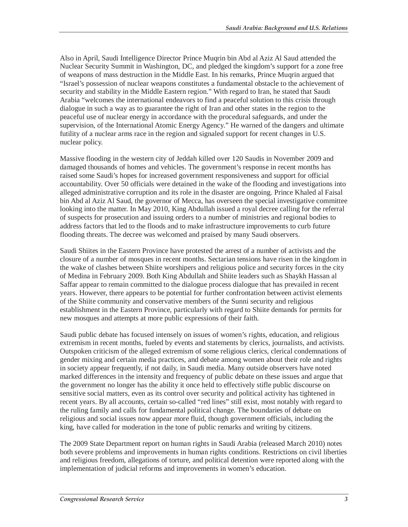Also in April, Saudi Intelligence Director Prince Muqrin bin Abd al Aziz Al Saud attended the Nuclear Security Summit in Washington, DC, and pledged the kingdom's support for a zone free of weapons of mass destruction in the Middle East. In his remarks, Prince Muqrin argued that "Israel's possession of nuclear weapons constitutes a fundamental obstacle to the achievement of security and stability in the Middle Eastern region." With regard to Iran, he stated that Saudi Arabia "welcomes the international endeavors to find a peaceful solution to this crisis through dialogue in such a way as to guarantee the right of Iran and other states in the region to the peaceful use of nuclear energy in accordance with the procedural safeguards, and under the supervision, of the International Atomic Energy Agency." He warned of the dangers and ultimate futility of a nuclear arms race in the region and signaled support for recent changes in U.S. nuclear policy.

Massive flooding in the western city of Jeddah killed over 120 Saudis in November 2009 and damaged thousands of homes and vehicles. The government's response in recent months has raised some Saudi's hopes for increased government responsiveness and support for official accountability. Over 50 officials were detained in the wake of the flooding and investigations into alleged administrative corruption and its role in the disaster are ongoing. Prince Khaled al Faisal bin Abd al Aziz Al Saud, the governor of Mecca, has overseen the special investigative committee looking into the matter. In May 2010, King Abdullah issued a royal decree calling for the referral of suspects for prosecution and issuing orders to a number of ministries and regional bodies to address factors that led to the floods and to make infrastructure improvements to curb future flooding threats. The decree was welcomed and praised by many Saudi observers.

Saudi Shiites in the Eastern Province have protested the arrest of a number of activists and the closure of a number of mosques in recent months. Sectarian tensions have risen in the kingdom in the wake of clashes between Shiite worshipers and religious police and security forces in the city of Medina in February 2009. Both King Abdullah and Shiite leaders such as Shaykh Hassan al Saffar appear to remain committed to the dialogue process dialogue that has prevailed in recent years. However, there appears to be potential for further confrontation between activist elements of the Shiite community and conservative members of the Sunni security and religious establishment in the Eastern Province, particularly with regard to Shiite demands for permits for new mosques and attempts at more public expressions of their faith.

Saudi public debate has focused intensely on issues of women's rights, education, and religious extremism in recent months, fueled by events and statements by clerics, journalists, and activists. Outspoken criticism of the alleged extremism of some religious clerics, clerical condemnations of gender mixing and certain media practices, and debate among women about their role and rights in society appear frequently, if not daily, in Saudi media. Many outside observers have noted marked differences in the intensity and frequency of public debate on these issues and argue that the government no longer has the ability it once held to effectively stifle public discourse on sensitive social matters, even as its control over security and political activity has tightened in recent years. By all accounts, certain so-called "red lines" still exist, most notably with regard to the ruling family and calls for fundamental political change. The boundaries of debate on religious and social issues now appear more fluid, though government officials, including the king, have called for moderation in the tone of public remarks and writing by citizens.

The 2009 State Department report on human rights in Saudi Arabia (released March 2010) notes both severe problems and improvements in human rights conditions. Restrictions on civil liberties and religious freedom, allegations of torture, and political detention were reported along with the implementation of judicial reforms and improvements in women's education.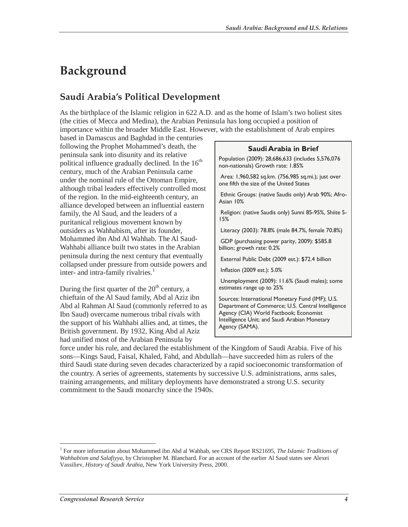# **Background**

## **Saudi Arabia's Political Development**

As the birthplace of the Islamic religion in 622 A.D. and as the home of Islam's two holiest sites (the cities of Mecca and Medina), the Arabian Peninsula has long occupied a position of importance within the broader Middle East. However, with the establishment of Arab empires

based in Damascus and Baghdad in the centuries following the Prophet Mohammed's death, the peninsula sank into disunity and its relative political influence gradually declined. In the  $16<sup>th</sup>$ century, much of the Arabian Peninsula came under the nominal rule of the Ottoman Empire, although tribal leaders effectively controlled most of the region. In the mid-eighteenth century, an alliance developed between an influential eastern family, the Al Saud, and the leaders of a puritanical religious movement known by outsiders as Wahhabism, after its founder, Mohammed ibn Abd Al Wahhab. The Al Saud-Wahhabi alliance built two states in the Arabian peninsula during the next century that eventually collapsed under pressure from outside powers and inter- and intra-family rivalries. $<sup>1</sup>$ </sup>

During the first quarter of the  $20<sup>th</sup>$  century, a chieftain of the Al Saud family, Abd al Aziz ibn Abd al Rahman Al Saud (commonly referred to as Ibn Saud) overcame numerous tribal rivals with the support of his Wahhabi allies and, at times, the British government. By 1932, King Abd al Aziz had unified most of the Arabian Peninsula by

#### **Saudi Arabia in Brief**

Population (2009): 28,686,633 (includes 5,576,076 non-nationals) Growth rate: 1.85%

 Area: 1,960,582 sq.km. (756,985 sq.mi.); just over one fifth the size of the United States

 Ethnic Groups: (native Saudis only) Arab 90%; Afro-Asian 10%

 Religion: (native Saudis only) Sunni 85-95%, Shiite 5- 15%

Literacy (2003): 78.8% (male 84.7%, female 70.8%)

 GDP (purchasing power parity, 2009): \$585.8 billion; growth rate: 0.2%

External Public Debt (2009 est.): \$72.4 billion

Inflation (2009 est.): 5.0%

 Unemployment (2009): 11.6% (Saudi males); some estimates range up to 25%

Sources: International Monetary Fund (IMF); U.S. Department of Commerce; U.S. Central Intelligence Agency (CIA) World Factbook; Economist Intelligence Unit; and Saudi Arabian Monetary Agency (SAMA).

force under his rule, and declared the establishment of the Kingdom of Saudi Arabia. Five of his sons—Kings Saud, Faisal, Khaled, Fahd, and Abdullah—have succeeded him as rulers of the third Saudi state during seven decades characterized by a rapid socioeconomic transformation of the country. A series of agreements, statements by successive U.S. administrations, arms sales, training arrangements, and military deployments have demonstrated a strong U.S. security commitment to the Saudi monarchy since the 1940s.

<sup>&</sup>lt;sup>1</sup> For more information about Mohammed ibn Abd al Wahhab, see CRS Report RS21695, *The Islamic Traditions of Wahhabism and Salafiyya*, by Christopher M. Blanchard. For an account of the earlier Al Saud states see Alexei Vassiliev, *History of Saudi Arabia*, New York University Press, 2000.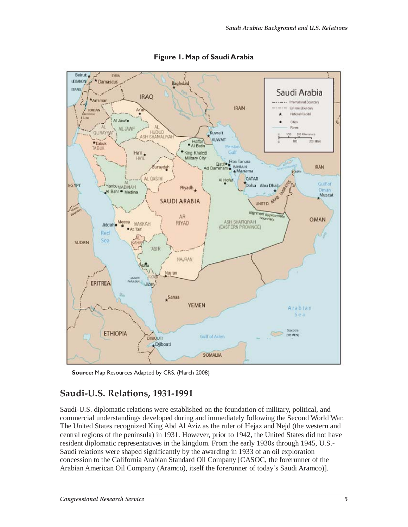

**Figure 1. Map of Saudi Arabia** 

**Source:** Map Resources Adapted by CRS. (March 2008)

## **Saudi-U.S. Relations, 1931-1991**

Saudi-U.S. diplomatic relations were established on the foundation of military, political, and commercial understandings developed during and immediately following the Second World War. The United States recognized King Abd Al Aziz as the ruler of Hejaz and Nejd (the western and central regions of the peninsula) in 1931. However, prior to 1942, the United States did not have resident diplomatic representatives in the kingdom. From the early 1930s through 1945, U.S.- Saudi relations were shaped significantly by the awarding in 1933 of an oil exploration concession to the California Arabian Standard Oil Company [CASOC, the forerunner of the Arabian American Oil Company (Aramco), itself the forerunner of today's Saudi Aramco)].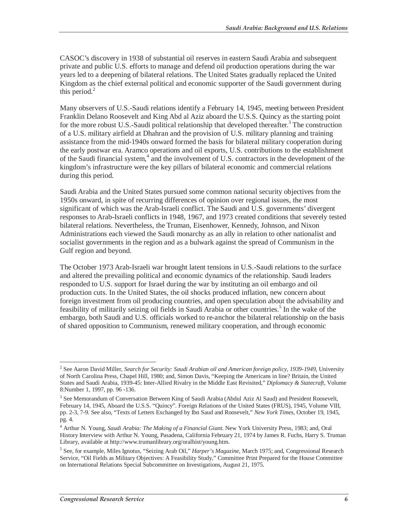CASOC's discovery in 1938 of substantial oil reserves in eastern Saudi Arabia and subsequent private and public U.S. efforts to manage and defend oil production operations during the war years led to a deepening of bilateral relations. The United States gradually replaced the United Kingdom as the chief external political and economic supporter of the Saudi government during this period. $<sup>2</sup>$ </sup>

Many observers of U.S.-Saudi relations identify a February 14, 1945, meeting between President Franklin Delano Roosevelt and King Abd al Aziz aboard the U.S.S. Quincy as the starting point for the more robust U.S.-Saudi political relationship that developed thereafter.<sup>3</sup> The construction of a U.S. military airfield at Dhahran and the provision of U.S. military planning and training assistance from the mid-1940s onward formed the basis for bilateral military cooperation during the early postwar era. Aramco operations and oil exports, U.S. contributions to the establishment of the Saudi financial system,<sup>4</sup> and the involvement of U.S. contractors in the development of the kingdom's infrastructure were the key pillars of bilateral economic and commercial relations during this period.

Saudi Arabia and the United States pursued some common national security objectives from the 1950s onward, in spite of recurring differences of opinion over regional issues, the most significant of which was the Arab-Israeli conflict. The Saudi and U.S. governments' divergent responses to Arab-Israeli conflicts in 1948, 1967, and 1973 created conditions that severely tested bilateral relations. Nevertheless, the Truman, Eisenhower, Kennedy, Johnson, and Nixon Administrations each viewed the Saudi monarchy as an ally in relation to other nationalist and socialist governments in the region and as a bulwark against the spread of Communism in the Gulf region and beyond.

The October 1973 Arab-Israeli war brought latent tensions in U.S.-Saudi relations to the surface and altered the prevailing political and economic dynamics of the relationship. Saudi leaders responded to U.S. support for Israel during the war by instituting an oil embargo and oil production cuts. In the United States, the oil shocks produced inflation, new concern about foreign investment from oil producing countries, and open speculation about the advisability and feasibility of militarily seizing oil fields in Saudi Arabia or other countries.<sup>5</sup> In the wake of the embargo, both Saudi and U.S. officials worked to re-anchor the bilateral relationship on the basis of shared opposition to Communism, renewed military cooperation, and through economic

<sup>2</sup> See Aaron David Miller, *Search for Security: Saudi Arabian oil and American foreign policy, 1939-1949*, University of North Carolina Press, Chapel Hill, 1980; and, Simon Davis, "Keeping the Americans in line? Britain, the United States and Saudi Arabia, 1939-45: Inter-Allied Rivalry in the Middle East Revisited," *Diplomacy & Statecraft*, Volume 8:Number 1, 1997, pp. 96 -136.

<sup>&</sup>lt;sup>3</sup> See Memorandum of Conversation Between King of Saudi Arabia (Abdul Aziz Al Saud) and President Roosevelt, February 14, 1945, Aboard the U.S.S. "Quincy". Foreign Relations of the United States (FRUS), 1945, Volume VIII, pp. 2-3, 7-9. See also, "Texts of Letters Exchanged by Ibn Saud and Roosevelt," *New York Times*, October 19, 1945, pg. 4.

<sup>4</sup> Arthur N. Young, *Saudi Arabia: The Making of a Financial Giant*. New York University Press, 1983; and, Oral History Interview with Arthur N. Young, Pasadena, California February 21, 1974 by James R. Fuchs, Harry S. Truman Library, available at http://www.trumanlibrary.org/oralhist/young.htm.

<sup>5</sup> See, for example, Miles Ignotus, "Seizing Arab Oil," *Harper's Magazine*, March 1975; and, Congressional Research Service, "Oil Fields as Military Objectives: A Feasibility Study," Committee Print Prepared for the House Committee on International Relations Special Subcommittee on Investigations, August 21, 1975.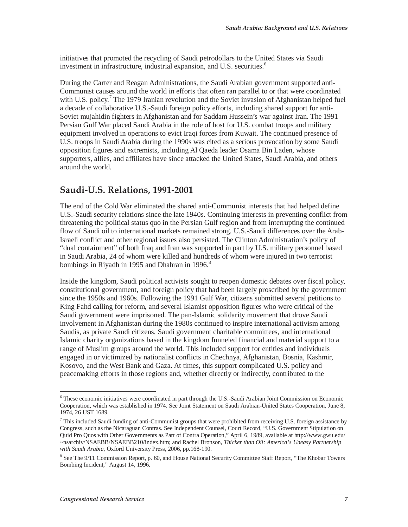initiatives that promoted the recycling of Saudi petrodollars to the United States via Saudi investment in infrastructure, industrial expansion, and U.S. securities.<sup>6</sup>

During the Carter and Reagan Administrations, the Saudi Arabian government supported anti-Communist causes around the world in efforts that often ran parallel to or that were coordinated with U.S. policy.<sup>7</sup> The 1979 Iranian revolution and the Soviet invasion of Afghanistan helped fuel a decade of collaborative U.S.-Saudi foreign policy efforts, including shared support for anti-Soviet mujahidin fighters in Afghanistan and for Saddam Hussein's war against Iran. The 1991 Persian Gulf War placed Saudi Arabia in the role of host for U.S. combat troops and military equipment involved in operations to evict Iraqi forces from Kuwait. The continued presence of U.S. troops in Saudi Arabia during the 1990s was cited as a serious provocation by some Saudi opposition figures and extremists, including Al Qaeda leader Osama Bin Laden, whose supporters, allies, and affiliates have since attacked the United States, Saudi Arabia, and others around the world.

## **Saudi-U.S. Relations, 1991-2001**

The end of the Cold War eliminated the shared anti-Communist interests that had helped define U.S.-Saudi security relations since the late 1940s. Continuing interests in preventing conflict from threatening the political status quo in the Persian Gulf region and from interrupting the continued flow of Saudi oil to international markets remained strong. U.S.-Saudi differences over the Arab-Israeli conflict and other regional issues also persisted. The Clinton Administration's policy of "dual containment" of both Iraq and Iran was supported in part by U.S. military personnel based in Saudi Arabia, 24 of whom were killed and hundreds of whom were injured in two terrorist bombings in Riyadh in 1995 and Dhahran in 1996. $\degree$ 

Inside the kingdom, Saudi political activists sought to reopen domestic debates over fiscal policy, constitutional government, and foreign policy that had been largely proscribed by the government since the 1950s and 1960s. Following the 1991 Gulf War, citizens submitted several petitions to King Fahd calling for reform, and several Islamist opposition figures who were critical of the Saudi government were imprisoned. The pan-Islamic solidarity movement that drove Saudi involvement in Afghanistan during the 1980s continued to inspire international activism among Saudis, as private Saudi citizens, Saudi government charitable committees, and international Islamic charity organizations based in the kingdom funneled financial and material support to a range of Muslim groups around the world. This included support for entities and individuals engaged in or victimized by nationalist conflicts in Chechnya, Afghanistan, Bosnia, Kashmir, Kosovo, and the West Bank and Gaza. At times, this support complicated U.S. policy and peacemaking efforts in those regions and, whether directly or indirectly, contributed to the

 $\overline{a}$ 

<sup>&</sup>lt;sup>6</sup> These economic initiatives were coordinated in part through the U.S.-Saudi Arabian Joint Commission on Economic Cooperation, which was established in 1974. See Joint Statement on Saudi Arabian-United States Cooperation, June 8, 1974, 26 UST 1689.

 $<sup>7</sup>$  This included Saudi funding of anti-Communist groups that were prohibited from receiving U.S. foreign assistance by</sup> Congress, such as the Nicaraguan Contras. See Independent Counsel, Court Record, "U.S. Government Stipulation on Quid Pro Quos with Other Governments as Part of Contra Operation," April 6, 1989, available at http://www.gwu.edu/ ~nsarchiv/NSAEBB/NSAEBB210/index.htm; and Rachel Bronson, *Thicker than Oil: America's Uneasy Partnership with Saudi Arabia*, Oxford University Press, 2006, pp.168-190.

<sup>&</sup>lt;sup>8</sup> See The 9/11 Commission Report, p. 60, and House National Security Committee Staff Report, "The Khobar Towers Bombing Incident," August 14, 1996.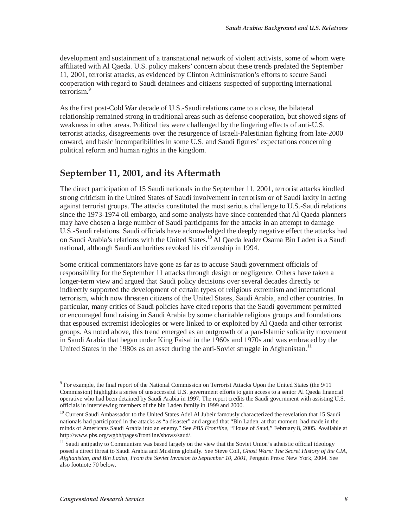development and sustainment of a transnational network of violent activists, some of whom were affiliated with Al Qaeda. U.S. policy makers' concern about these trends predated the September 11, 2001, terrorist attacks, as evidenced by Clinton Administration's efforts to secure Saudi cooperation with regard to Saudi detainees and citizens suspected of supporting international terrorism.<sup>9</sup>

As the first post-Cold War decade of U.S.-Saudi relations came to a close, the bilateral relationship remained strong in traditional areas such as defense cooperation, but showed signs of weakness in other areas. Political ties were challenged by the lingering effects of anti-U.S. terrorist attacks, disagreements over the resurgence of Israeli-Palestinian fighting from late-2000 onward, and basic incompatibilities in some U.S. and Saudi figures' expectations concerning political reform and human rights in the kingdom.

## **September 11, 2001, and its Aftermath**

The direct participation of 15 Saudi nationals in the September 11, 2001, terrorist attacks kindled strong criticism in the United States of Saudi involvement in terrorism or of Saudi laxity in acting against terrorist groups. The attacks constituted the most serious challenge to U.S.-Saudi relations since the 1973-1974 oil embargo, and some analysts have since contended that Al Qaeda planners may have chosen a large number of Saudi participants for the attacks in an attempt to damage U.S.-Saudi relations. Saudi officials have acknowledged the deeply negative effect the attacks had on Saudi Arabia's relations with the United States.10 Al Qaeda leader Osama Bin Laden is a Saudi national, although Saudi authorities revoked his citizenship in 1994.

Some critical commentators have gone as far as to accuse Saudi government officials of responsibility for the September 11 attacks through design or negligence. Others have taken a longer-term view and argued that Saudi policy decisions over several decades directly or indirectly supported the development of certain types of religious extremism and international terrorism, which now threaten citizens of the United States, Saudi Arabia, and other countries. In particular, many critics of Saudi policies have cited reports that the Saudi government permitted or encouraged fund raising in Saudi Arabia by some charitable religious groups and foundations that espoused extremist ideologies or were linked to or exploited by Al Qaeda and other terrorist groups. As noted above, this trend emerged as an outgrowth of a pan-Islamic solidarity movement in Saudi Arabia that began under King Faisal in the 1960s and 1970s and was embraced by the United States in the 1980s as an asset during the anti-Soviet struggle in Afghanistan.<sup>11</sup>

 $\overline{a}$ <sup>9</sup> For example, the final report of the National Commission on Terrorist Attacks Upon the United States (the 9/11 Commission) highlights a series of unsuccessful U.S. government efforts to gain access to a senior Al Qaeda financial operative who had been detained by Saudi Arabia in 1997. The report credits the Saudi government with assisting U.S. officials in interviewing members of the bin Laden family in 1999 and 2000.

<sup>&</sup>lt;sup>10</sup> Current Saudi Ambassador to the United States Adel Al Jubeir famously characterized the revelation that 15 Saudi nationals had participated in the attacks as "a disaster" and argued that "Bin Laden, at that moment, had made in the minds of Americans Saudi Arabia into an enemy." See *PBS Frontline*, "House of Saud," February 8, 2005. Available at http://www.pbs.org/wgbh/pages/frontline/shows/saud/.

<sup>&</sup>lt;sup>11</sup> Saudi antipathy to Communism was based largely on the view that the Soviet Union's atheistic official ideology posed a direct threat to Saudi Arabia and Muslims globally. See Steve Coll, *Ghost Wars: The Secret History of the CIA, Afghanistan, and Bin Laden, From the Soviet Invasion to September 10, 2001*, Penguin Press: New York, 2004. See also footnote 70 below.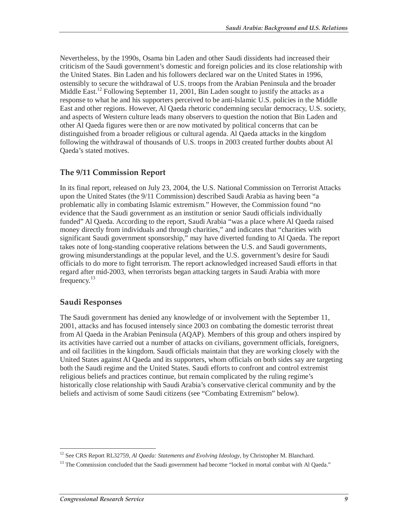Nevertheless, by the 1990s, Osama bin Laden and other Saudi dissidents had increased their criticism of the Saudi government's domestic and foreign policies and its close relationship with the United States. Bin Laden and his followers declared war on the United States in 1996, ostensibly to secure the withdrawal of U.S. troops from the Arabian Peninsula and the broader Middle East.<sup>12</sup> Following September 11, 2001, Bin Laden sought to justify the attacks as a response to what he and his supporters perceived to be anti-Islamic U.S. policies in the Middle East and other regions. However, Al Qaeda rhetoric condemning secular democracy, U.S. society, and aspects of Western culture leads many observers to question the notion that Bin Laden and other Al Qaeda figures were then or are now motivated by political concerns that can be distinguished from a broader religious or cultural agenda. Al Qaeda attacks in the kingdom following the withdrawal of thousands of U.S. troops in 2003 created further doubts about Al Qaeda's stated motives.

#### **The 9/11 Commission Report**

In its final report, released on July 23, 2004, the U.S. National Commission on Terrorist Attacks upon the United States (the 9/11 Commission) described Saudi Arabia as having been "a problematic ally in combating Islamic extremism." However, the Commission found "no evidence that the Saudi government as an institution or senior Saudi officials individually funded" Al Qaeda. According to the report, Saudi Arabia "was a place where Al Qaeda raised money directly from individuals and through charities," and indicates that "charities with significant Saudi government sponsorship," may have diverted funding to Al Qaeda. The report takes note of long-standing cooperative relations between the U.S. and Saudi governments, growing misunderstandings at the popular level, and the U.S. government's desire for Saudi officials to do more to fight terrorism. The report acknowledged increased Saudi efforts in that regard after mid-2003, when terrorists began attacking targets in Saudi Arabia with more frequency.<sup>13</sup>

#### **Saudi Responses**

The Saudi government has denied any knowledge of or involvement with the September 11, 2001, attacks and has focused intensely since 2003 on combating the domestic terrorist threat from Al Qaeda in the Arabian Peninsula (AQAP). Members of this group and others inspired by its activities have carried out a number of attacks on civilians, government officials, foreigners, and oil facilities in the kingdom. Saudi officials maintain that they are working closely with the United States against Al Qaeda and its supporters, whom officials on both sides say are targeting both the Saudi regime and the United States. Saudi efforts to confront and control extremist religious beliefs and practices continue, but remain complicated by the ruling regime's historically close relationship with Saudi Arabia's conservative clerical community and by the beliefs and activism of some Saudi citizens (see "Combating Extremism" below).

 $\frac{1}{1}$ <sup>12</sup> See CRS Report RL32759, *Al Qaeda: Statements and Evolving Ideology*, by Christopher M. Blanchard.

<sup>&</sup>lt;sup>13</sup> The Commission concluded that the Saudi government had become "locked in mortal combat with Al Qaeda."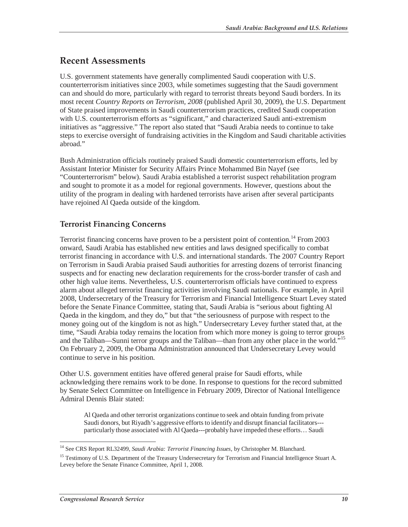## **Recent Assessments**

U.S. government statements have generally complimented Saudi cooperation with U.S. counterterrorism initiatives since 2003, while sometimes suggesting that the Saudi government can and should do more, particularly with regard to terrorist threats beyond Saudi borders. In its most recent *Country Reports on Terrorism, 2008* (published April 30, 2009), the U.S. Department of State praised improvements in Saudi counterterrorism practices, credited Saudi cooperation with U.S. counterterrorism efforts as "significant," and characterized Saudi anti-extremism initiatives as "aggressive." The report also stated that "Saudi Arabia needs to continue to take steps to exercise oversight of fundraising activities in the Kingdom and Saudi charitable activities abroad."

Bush Administration officials routinely praised Saudi domestic counterterrorism efforts, led by Assistant Interior Minister for Security Affairs Prince Mohammed Bin Nayef (see "Counterterrorism" below). Saudi Arabia established a terrorist suspect rehabilitation program and sought to promote it as a model for regional governments. However, questions about the utility of the program in dealing with hardened terrorists have arisen after several participants have rejoined Al Qaeda outside of the kingdom.

### **Terrorist Financing Concerns**

Terrorist financing concerns have proven to be a persistent point of contention.<sup>14</sup> From 2003 onward, Saudi Arabia has established new entities and laws designed specifically to combat terrorist financing in accordance with U.S. and international standards. The 2007 Country Report on Terrorism in Saudi Arabia praised Saudi authorities for arresting dozens of terrorist financing suspects and for enacting new declaration requirements for the cross-border transfer of cash and other high value items. Nevertheless, U.S. counterterrorism officials have continued to express alarm about alleged terrorist financing activities involving Saudi nationals. For example, in April 2008, Undersecretary of the Treasury for Terrorism and Financial Intelligence Stuart Levey stated before the Senate Finance Committee, stating that, Saudi Arabia is "serious about fighting Al Qaeda in the kingdom, and they do," but that "the seriousness of purpose with respect to the money going out of the kingdom is not as high." Undersecretary Levey further stated that, at the time, "Saudi Arabia today remains the location from which more money is going to terror groups and the Taliban—Sunni terror groups and the Taliban—than from any other place in the world.<sup>"15</sup> On February 2, 2009, the Obama Administration announced that Undersecretary Levey would continue to serve in his position.

Other U.S. government entities have offered general praise for Saudi efforts, while acknowledging there remains work to be done. In response to questions for the record submitted by Senate Select Committee on Intelligence in February 2009, Director of National Intelligence Admiral Dennis Blair stated:

Al Qaeda and other terrorist organizations continue to seek and obtain funding from private Saudi donors, but Riyadh's aggressive efforts to identify and disrupt financial facilitators-- particularly those associated with Al Qaeda---probably have impeded these efforts… Saudi

<sup>-</sup><sup>14</sup> See CRS Report RL32499, Saudi Arabia: Terrorist Financing Issues, by Christopher M. Blanchard.

<sup>&</sup>lt;sup>15</sup> Testimony of U.S. Department of the Treasury Undersecretary for Terrorism and Financial Intelligence Stuart A. Levey before the Senate Finance Committee, April 1, 2008.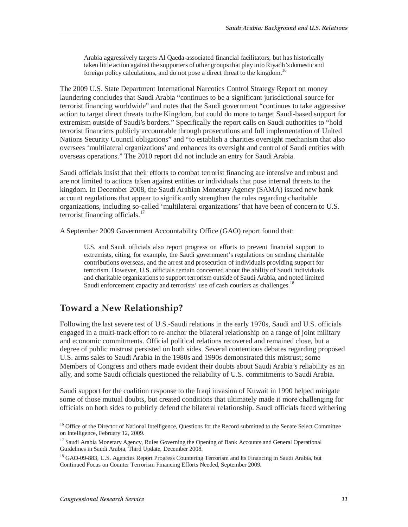Arabia aggressively targets Al Qaeda-associated financial facilitators, but has historically taken little action against the supporters of other groups that play into Riyadh's domestic and foreign policy calculations, and do not pose a direct threat to the kingdom.<sup>16</sup>

The 2009 U.S. State Department International Narcotics Control Strategy Report on money laundering concludes that Saudi Arabia "continues to be a significant jurisdictional source for terrorist financing worldwide" and notes that the Saudi government "continues to take aggressive action to target direct threats to the Kingdom, but could do more to target Saudi-based support for extremism outside of Saudi's borders." Specifically the report calls on Saudi authorities to "hold terrorist financiers publicly accountable through prosecutions and full implementation of United Nations Security Council obligations" and "to establish a charities oversight mechanism that also oversees 'multilateral organizations' and enhances its oversight and control of Saudi entities with overseas operations." The 2010 report did not include an entry for Saudi Arabia.

Saudi officials insist that their efforts to combat terrorist financing are intensive and robust and are not limited to actions taken against entities or individuals that pose internal threats to the kingdom. In December 2008, the Saudi Arabian Monetary Agency (SAMA) issued new bank account regulations that appear to significantly strengthen the rules regarding charitable organizations, including so-called 'multilateral organizations' that have been of concern to U.S. terrorist financing officials.<sup>17</sup>

A September 2009 Government Accountability Office (GAO) report found that:

U.S. and Saudi officials also report progress on efforts to prevent financial support to extremists, citing, for example, the Saudi government's regulations on sending charitable contributions overseas, and the arrest and prosecution of individuals providing support for terrorism. However, U.S. officials remain concerned about the ability of Saudi individuals and charitable organizations to support terrorism outside of Saudi Arabia, and noted limited Saudi enforcement capacity and terrorists' use of cash couriers as challenges.<sup>18</sup>

## **Toward a New Relationship?**

Following the last severe test of U.S.-Saudi relations in the early 1970s, Saudi and U.S. officials engaged in a multi-track effort to re-anchor the bilateral relationship on a range of joint military and economic commitments. Official political relations recovered and remained close, but a degree of public mistrust persisted on both sides. Several contentious debates regarding proposed U.S. arms sales to Saudi Arabia in the 1980s and 1990s demonstrated this mistrust; some Members of Congress and others made evident their doubts about Saudi Arabia's reliability as an ally, and some Saudi officials questioned the reliability of U.S. commitments to Saudi Arabia.

Saudi support for the coalition response to the Iraqi invasion of Kuwait in 1990 helped mitigate some of those mutual doubts, but created conditions that ultimately made it more challenging for officials on both sides to publicly defend the bilateral relationship. Saudi officials faced withering

<sup>-</sup><sup>16</sup> Office of the Director of National Intelligence, Questions for the Record submitted to the Senate Select Committee on Intelligence, February 12, 2009.

<sup>&</sup>lt;sup>17</sup> Saudi Arabia Monetary Agency, Rules Governing the Opening of Bank Accounts and General Operational Guidelines in Saudi Arabia, Third Update, December 2008.

<sup>&</sup>lt;sup>18</sup> GAO-09-883, U.S. Agencies Report Progress Countering Terrorism and Its Financing in Saudi Arabia, but Continued Focus on Counter Terrorism Financing Efforts Needed, September 2009.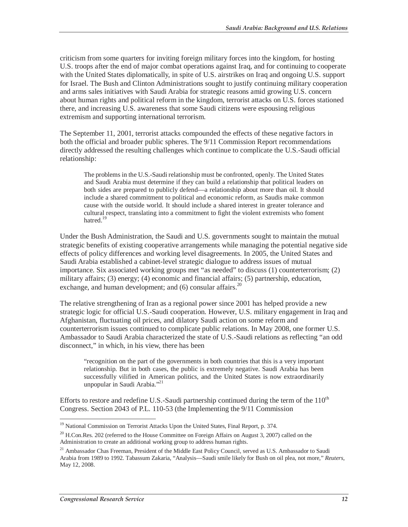criticism from some quarters for inviting foreign military forces into the kingdom, for hosting U.S. troops after the end of major combat operations against Iraq, and for continuing to cooperate with the United States diplomatically, in spite of U.S. airstrikes on Iraq and ongoing U.S. support for Israel. The Bush and Clinton Administrations sought to justify continuing military cooperation and arms sales initiatives with Saudi Arabia for strategic reasons amid growing U.S. concern about human rights and political reform in the kingdom, terrorist attacks on U.S. forces stationed there, and increasing U.S. awareness that some Saudi citizens were espousing religious extremism and supporting international terrorism.

The September 11, 2001, terrorist attacks compounded the effects of these negative factors in both the official and broader public spheres. The 9/11 Commission Report recommendations directly addressed the resulting challenges which continue to complicate the U.S.-Saudi official relationship:

The problems in the U.S.-Saudi relationship must be confronted, openly. The United States and Saudi Arabia must determine if they can build a relationship that political leaders on both sides are prepared to publicly defend—a relationship about more than oil. It should include a shared commitment to political and economic reform, as Saudis make common cause with the outside world. It should include a shared interest in greater tolerance and cultural respect, translating into a commitment to fight the violent extremists who foment hatred.<sup>19</sup>

Under the Bush Administration, the Saudi and U.S. governments sought to maintain the mutual strategic benefits of existing cooperative arrangements while managing the potential negative side effects of policy differences and working level disagreements. In 2005, the United States and Saudi Arabia established a cabinet-level strategic dialogue to address issues of mutual importance. Six associated working groups met "as needed" to discuss (1) counterterrorism; (2) military affairs; (3) energy; (4) economic and financial affairs; (5) partnership, education, exchange, and human development; and  $(6)$  consular affairs.<sup>20</sup>

The relative strengthening of Iran as a regional power since 2001 has helped provide a new strategic logic for official U.S.-Saudi cooperation. However, U.S. military engagement in Iraq and Afghanistan, fluctuating oil prices, and dilatory Saudi action on some reform and counterterrorism issues continued to complicate public relations. In May 2008, one former U.S. Ambassador to Saudi Arabia characterized the state of U.S.-Saudi relations as reflecting "an odd disconnect," in which, in his view, there has been

"recognition on the part of the governments in both countries that this is a very important relationship. But in both cases, the public is extremely negative. Saudi Arabia has been successfully vilified in American politics, and the United States is now extraordinarily unpopular in Saudi Arabia."<sup>21</sup>

Efforts to restore and redefine U.S.-Saudi partnership continued during the term of the  $110<sup>th</sup>$ Congress. Section 2043 of P.L. 110-53 (the Implementing the 9/11 Commission

<sup>&</sup>lt;sup>19</sup> National Commission on Terrorist Attacks Upon the United States, Final Report, p. 374.

<sup>&</sup>lt;sup>20</sup> H.Con.Res. 202 (referred to the House Committee on Foreign Affairs on August 3, 2007) called on the Administration to create an additional working group to address human rights.

<sup>&</sup>lt;sup>21</sup> Ambassador Chas Freeman, President of the Middle East Policy Council, served as U.S. Ambassador to Saudi Arabia from 1989 to 1992. Tabassum Zakaria, "Analysis—Saudi smile likely for Bush on oil plea, not more," *Reuters*, May 12, 2008.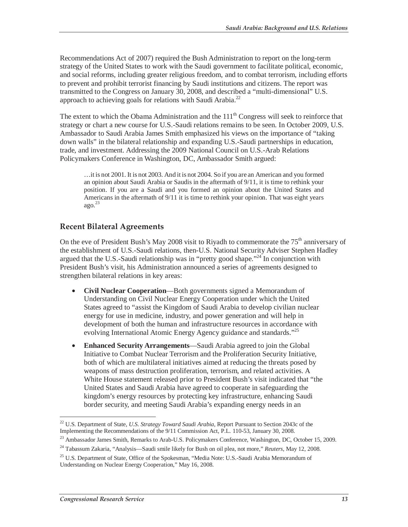Recommendations Act of 2007) required the Bush Administration to report on the long-term strategy of the United States to work with the Saudi government to facilitate political, economic, and social reforms, including greater religious freedom, and to combat terrorism, including efforts to prevent and prohibit terrorist financing by Saudi institutions and citizens. The report was transmitted to the Congress on January 30, 2008, and described a "multi-dimensional" U.S. approach to achieving goals for relations with Saudi Arabia.<sup>22</sup>

The extent to which the Obama Administration and the  $111<sup>th</sup>$  Congress will seek to reinforce that strategy or chart a new course for U.S.-Saudi relations remains to be seen. In October 2009, U.S. Ambassador to Saudi Arabia James Smith emphasized his views on the importance of "taking down walls" in the bilateral relationship and expanding U.S.-Saudi partnerships in education, trade, and investment. Addressing the 2009 National Council on U.S.-Arab Relations Policymakers Conference in Washington, DC, Ambassador Smith argued:

…it is not 2001. It is not 2003. And it is not 2004. So if you are an American and you formed an opinion about Saudi Arabia or Saudis in the aftermath of 9/11, it is time to rethink your position. If you are a Saudi and you formed an opinion about the United States and Americans in the aftermath of 9/11 it is time to rethink your opinion. That was eight years  $ago.<sup>23</sup>$ 

#### **Recent Bilateral Agreements**

On the eve of President Bush's May 2008 visit to Riyadh to commemorate the  $75<sup>th</sup>$  anniversary of the establishment of U.S.-Saudi relations, then-U.S. National Security Adviser Stephen Hadley argued that the U.S.-Saudi relationship was in "pretty good shape."<sup>24</sup> In conjunction with President Bush's visit, his Administration announced a series of agreements designed to strengthen bilateral relations in key areas:

- **Civil Nuclear Cooperation**—Both governments signed a Memorandum of Understanding on Civil Nuclear Energy Cooperation under which the United States agreed to "assist the Kingdom of Saudi Arabia to develop civilian nuclear energy for use in medicine, industry, and power generation and will help in development of both the human and infrastructure resources in accordance with evolving International Atomic Energy Agency guidance and standards."<sup>25</sup>
- **Enhanced Security Arrangements**—Saudi Arabia agreed to join the Global Initiative to Combat Nuclear Terrorism and the Proliferation Security Initiative, both of which are multilateral initiatives aimed at reducing the threats posed by weapons of mass destruction proliferation, terrorism, and related activities. A White House statement released prior to President Bush's visit indicated that "the United States and Saudi Arabia have agreed to cooperate in safeguarding the kingdom's energy resources by protecting key infrastructure, enhancing Saudi border security, and meeting Saudi Arabia's expanding energy needs in an

<sup>-</sup>22 U.S. Department of State, *U.S. Strategy Toward Saudi Arabia*, Report Pursuant to Section 2043c of the Implementing the Recommendations of the 9/11 Commission Act, P.L. 110-53, January 30, 2008.

<sup>&</sup>lt;sup>23</sup> Ambassador James Smith, Remarks to Arab-U.S. Policymakers Conference, Washington, DC, October 15, 2009.

<sup>24</sup> Tabassum Zakaria, "Analysis—Saudi smile likely for Bush on oil plea, not more," *Reuters*, May 12, 2008.

<sup>&</sup>lt;sup>25</sup> U.S. Department of State, Office of the Spokesman, "Media Note: U.S.-Saudi Arabia Memorandum of Understanding on Nuclear Energy Cooperation," May 16, 2008.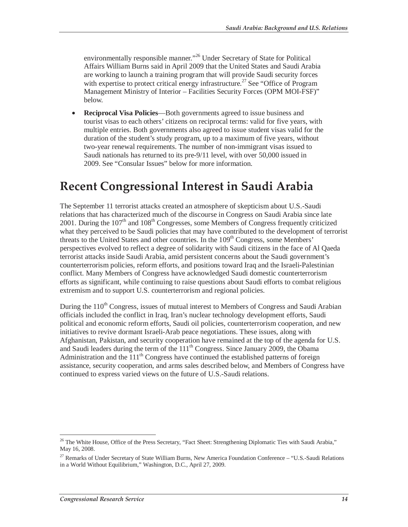environmentally responsible manner."<sup>26</sup> Under Secretary of State for Political Affairs William Burns said in April 2009 that the United States and Saudi Arabia are working to launch a training program that will provide Saudi security forces with expertise to protect critical energy infrastructure.<sup>27</sup> See "Office of Program Management Ministry of Interior – Facilities Security Forces (OPM MOI-FSF)" below.

• **Reciprocal Visa Policies**—Both governments agreed to issue business and tourist visas to each others' citizens on reciprocal terms: valid for five years, with multiple entries. Both governments also agreed to issue student visas valid for the duration of the student's study program, up to a maximum of five years, without two-year renewal requirements. The number of non-immigrant visas issued to Saudi nationals has returned to its pre-9/11 level, with over 50,000 issued in 2009. See "Consular Issues" below for more information.

# **Recent Congressional Interest in Saudi Arabia**

The September 11 terrorist attacks created an atmosphere of skepticism about U.S.-Saudi relations that has characterized much of the discourse in Congress on Saudi Arabia since late 2001. During the 107<sup>th</sup> and 108<sup>th</sup> Congresses, some Members of Congress frequently criticized what they perceived to be Saudi policies that may have contributed to the development of terrorist threats to the United States and other countries. In the 109<sup>th</sup> Congress, some Members' perspectives evolved to reflect a degree of solidarity with Saudi citizens in the face of Al Qaeda terrorist attacks inside Saudi Arabia, amid persistent concerns about the Saudi government's counterterrorism policies, reform efforts, and positions toward Iraq and the Israeli-Palestinian conflict. Many Members of Congress have acknowledged Saudi domestic counterterrorism efforts as significant, while continuing to raise questions about Saudi efforts to combat religious extremism and to support U.S. counterterrorism and regional policies.

During the 110<sup>th</sup> Congress, issues of mutual interest to Members of Congress and Saudi Arabian officials included the conflict in Iraq, Iran's nuclear technology development efforts, Saudi political and economic reform efforts, Saudi oil policies, counterterrorism cooperation, and new initiatives to revive dormant Israeli-Arab peace negotiations. These issues, along with Afghanistan, Pakistan, and security cooperation have remained at the top of the agenda for U.S. and Saudi leaders during the term of the  $111<sup>th</sup>$  Congress. Since January 2009, the Obama Administration and the  $111<sup>th</sup>$  Congress have continued the established patterns of foreign assistance, security cooperation, and arms sales described below, and Members of Congress have continued to express varied views on the future of U.S.-Saudi relations.

<sup>-</sup><sup>26</sup> The White House, Office of the Press Secretary, "Fact Sheet: Strengthening Diplomatic Ties with Saudi Arabia," May 16, 2008.

<sup>&</sup>lt;sup>27</sup> Remarks of Under Secretary of State William Burns, New America Foundation Conference – "U.S.-Saudi Relations in a World Without Equilibrium," Washington, D.C., April 27, 2009.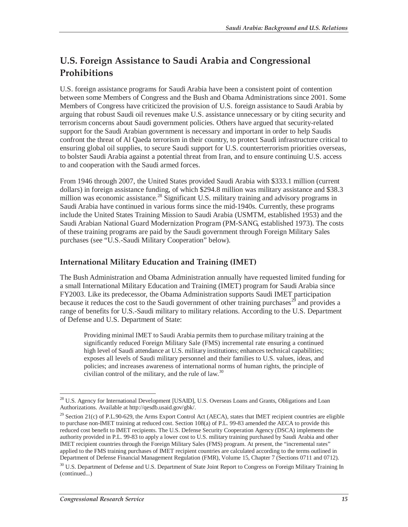## **U.S. Foreign Assistance to Saudi Arabia and Congressional Prohibitions**

U.S. foreign assistance programs for Saudi Arabia have been a consistent point of contention between some Members of Congress and the Bush and Obama Administrations since 2001. Some Members of Congress have criticized the provision of U.S. foreign assistance to Saudi Arabia by arguing that robust Saudi oil revenues make U.S. assistance unnecessary or by citing security and terrorism concerns about Saudi government policies. Others have argued that security-related support for the Saudi Arabian government is necessary and important in order to help Saudis confront the threat of Al Qaeda terrorism in their country, to protect Saudi infrastructure critical to ensuring global oil supplies, to secure Saudi support for U.S. counterterrorism priorities overseas, to bolster Saudi Arabia against a potential threat from Iran, and to ensure continuing U.S. access to and cooperation with the Saudi armed forces.

From 1946 through 2007, the United States provided Saudi Arabia with \$333.1 million (current dollars) in foreign assistance funding, of which \$294.8 million was military assistance and \$38.3 million was economic assistance.<sup>28</sup> Significant U.S. military training and advisory programs in Saudi Arabia have continued in various forms since the mid-1940s. Currently, these programs include the United States Training Mission to Saudi Arabia (USMTM, established 1953) and the Saudi Arabian National Guard Modernization Program (PM-SANG, established 1973). The costs of these training programs are paid by the Saudi government through Foreign Military Sales purchases (see "U.S.-Saudi Military Cooperation" below).

#### **International Military Education and Training (IMET)**

The Bush Administration and Obama Administration annually have requested limited funding for a small International Military Education and Training (IMET) program for Saudi Arabia since FY2003. Like its predecessor, the Obama Administration supports Saudi IMET participation because it reduces the cost to the Saudi government of other training purchases<sup>29</sup> and provides a range of benefits for U.S.-Saudi military to military relations. According to the U.S. Department of Defense and U.S. Department of State:

Providing minimal IMET to Saudi Arabia permits them to purchase military training at the significantly reduced Foreign Military Sale (FMS) incremental rate ensuring a continued high level of Saudi attendance at U.S. military institutions; enhances technical capabilities; exposes all levels of Saudi military personnel and their families to U.S. values, ideas, and policies; and increases awareness of international norms of human rights, the principle of civilian control of the military, and the rule of law. $30$ 

<sup>-</sup><sup>28</sup> U.S. Agency for International Development [USAID], U.S. Overseas Loans and Grants, Obligations and Loan Authorizations. Available at http://qesdb.usaid.gov/gbk/.

 $29$  Section 21(c) of P.L.90-629, the Arms Export Control Act (AECA), states that IMET recipient countries are eligible to purchase non-IMET training at reduced cost. Section 108(a) of P.L. 99-83 amended the AECA to provide this reduced cost benefit to IMET recipients. The U.S. Defense Security Cooperation Agency (DSCA) implements the authority provided in P.L. 99-83 to apply a lower cost to U.S. military training purchased by Saudi Arabia and other IMET recipient countries through the Foreign Military Sales (FMS) program. At present, the "incremental rates" applied to the FMS training purchases of IMET recipient countries are calculated according to the terms outlined in Department of Defense Financial Management Regulation (FMR), Volume 15, Chapter 7 (Sections 0711 and 0712).

<sup>&</sup>lt;sup>30</sup> U.S. Department of Defense and U.S. Department of State Joint Report to Congress on Foreign Military Training In (continued...)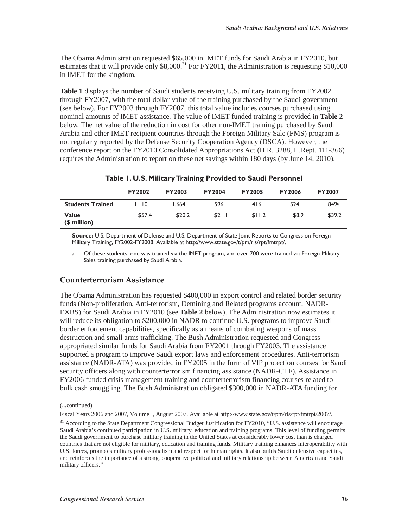The Obama Administration requested \$65,000 in IMET funds for Saudi Arabia in FY2010, but estimates that it will provide only  $$8,000$ <sup>31</sup> For FY2011, the Administration is requesting \$10,000 in IMET for the kingdom.

**Table 1** displays the number of Saudi students receiving U.S. military training from FY2002 through FY2007, with the total dollar value of the training purchased by the Saudi government (see below). For FY2003 through FY2007, this total value includes courses purchased using nominal amounts of IMET assistance. The value of IMET-funded training is provided in **Table 2** below. The net value of the reduction in cost for other non-IMET training purchased by Saudi Arabia and other IMET recipient countries through the Foreign Military Sale (FMS) program is not regularly reported by the Defense Security Cooperation Agency (DSCA). However, the conference report on the FY2010 Consolidated Appropriations Act (H.R. 3288, H.Rept. 111-366) requires the Administration to report on these net savings within 180 days (by June 14, 2010).

| Table 1. O.S. Finital y it alling I rovided to Saudi Fersonnel |               |               |               |               |               |               |  |  |
|----------------------------------------------------------------|---------------|---------------|---------------|---------------|---------------|---------------|--|--|
|                                                                | <b>FY2002</b> | <b>FY2003</b> | <b>FY2004</b> | <b>FY2005</b> | <b>FY2006</b> | <b>FY2007</b> |  |  |
| <b>Students Trained</b>                                        | 1.110         | 1.664         | 596           | 416           | 524           | 849a          |  |  |
| <b>Value</b><br>(\$ million)                                   | \$57.4        | \$20.2        | \$21.1        | \$11.2        | \$8.9         | \$39.2        |  |  |

**Table 1. U.S. Military Training Provided to Saudi Personnel** 

**Source:** U.S. Department of Defense and U.S. Department of State Joint Reports to Congress on Foreign Military Training, FY2002-FY2008. Available at http://www.state.gov/t/pm/rls/rpt/fmtrpt/.

a. Of these students, one was trained via the IMET program, and over 700 were trained via Foreign Military Sales training purchased by Saudi Arabia.

#### **Counterterrorism Assistance**

The Obama Administration has requested \$400,000 in export control and related border security funds (Non-proliferation, Anti-terrorism, Demining and Related programs account, NADR-EXBS) for Saudi Arabia in FY2010 (see **Table 2** below). The Administration now estimates it will reduce its obligation to \$200,000 in NADR to continue U.S. programs to improve Saudi border enforcement capabilities, specifically as a means of combating weapons of mass destruction and small arms trafficking. The Bush Administration requested and Congress appropriated similar funds for Saudi Arabia from FY2001 through FY2003. The assistance supported a program to improve Saudi export laws and enforcement procedures. Anti-terrorism assistance (NADR-ATA) was provided in FY2005 in the form of VIP protection courses for Saudi security officers along with counterterrorism financing assistance (NADR-CTF). Assistance in FY2006 funded crisis management training and counterterrorism financing courses related to bulk cash smuggling. The Bush Administration obligated \$300,000 in NADR-ATA funding for

<u>.</u>

<sup>(...</sup>continued)

Fiscal Years 2006 and 2007, Volume I, August 2007. Available at http://www.state.gov/t/pm/rls/rpt/fmtrpt/2007/.

<sup>&</sup>lt;sup>31</sup> According to the State Department Congressional Budget Justification for FY2010, "U.S. assistance will encourage Saudi Arabia's continued participation in U.S. military, education and training programs. This level of funding permits the Saudi government to purchase military training in the United States at considerably lower cost than is charged countries that are not eligible for military, education and training funds. Military training enhances interoperability with U.S. forces, promotes military professionalism and respect for human rights. It also builds Saudi defensive capacities, and reinforces the importance of a strong, cooperative political and military relationship between American and Saudi military officers."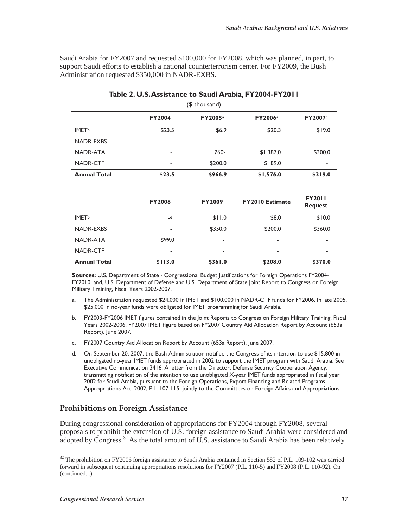Saudi Arabia for FY2007 and requested \$100,000 for FY2008, which was planned, in part, to support Saudi efforts to establish a national counterterrorism center. For FY2009, the Bush Administration requested \$350,000 in NADR-EXBS.

| (\$ thousand)            |               |         |           |               |  |  |  |
|--------------------------|---------------|---------|-----------|---------------|--|--|--|
|                          | <b>FY2004</b> | FY2005a | FY2006a   | <b>FY2007</b> |  |  |  |
| <b>IMET</b> <sup>b</sup> | \$23.5        | \$6.9   | \$20.3    | \$19.0        |  |  |  |
| <b>NADR-EXBS</b>         | ۰             | ۰       | ۰         |               |  |  |  |
| NADR-ATA                 | ۰             | 760c    | \$1,387.0 | \$300.0       |  |  |  |
| NADR-CTF                 | ٠             | \$200.0 | \$189.0   | ۰             |  |  |  |
| <b>Annual Total</b>      | \$23.5        | \$966.9 | \$1,576.0 | \$319.0       |  |  |  |

#### **Table 2. U.S. Assistance to Saudi Arabia, FY2004-FY2011**

|                          | <b>FY2008</b> | <b>FY2009</b> | <b>FY2010 Estimate</b> | <b>FY2011</b><br><b>Request</b> |
|--------------------------|---------------|---------------|------------------------|---------------------------------|
| <b>IMET</b> <sup>b</sup> | $-d$          | \$11.0        | \$8.0                  | \$10.0                          |
| <b>NADR-EXBS</b>         | ٠             | \$350.0       | \$200.0                | \$360.0                         |
| NADR-ATA                 | \$99.0        | ۰             | ۰                      |                                 |
| NADR-CTF                 | ٠             | ٠             | ۰                      |                                 |
| <b>Annual Total</b>      | \$113.0       | \$361.0       | \$208.0                | \$370.0                         |

**Sources:** U.S. Department of State - Congressional Budget Justifications for Foreign Operations FY2004- FY2010; and, U.S. Department of Defense and U.S. Department of State Joint Report to Congress on Foreign Military Training, Fiscal Years 2002-2007.

- a. The Administration requested \$24,000 in IMET and \$100,000 in NADR-CTF funds for FY2006. In late 2005, \$25,000 in no-year funds were obligated for IMET programming for Saudi Arabia.
- b. FY2003-FY2006 IMET figures contained in the Joint Reports to Congress on Foreign Military Training, Fiscal Years 2002-2006. FY2007 IMET figure based on FY2007 Country Aid Allocation Report by Account (653a Report), June 2007.
- c. FY2007 Country Aid Allocation Report by Account (653a Report), June 2007.
- d. On September 20, 2007, the Bush Administration notified the Congress of its intention to use \$15,800 in unobligated no-year IMET funds appropriated in 2002 to support the IMET program with Saudi Arabia. See Executive Communication 3416. A letter from the Director, Defense Security Cooperation Agency, transmitting notification of the intention to use unobligated X-year IMET funds appropriated in fiscal year 2002 for Saudi Arabia, pursuant to the Foreign Operations, Export Financing and Related Programs Appropriations Act, 2002, P.L. 107-115; jointly to the Committees on Foreign Affairs and Appropriations.

#### **Prohibitions on Foreign Assistance**

During congressional consideration of appropriations for FY2004 through FY2008, several proposals to prohibit the extension of U.S. foreign assistance to Saudi Arabia were considered and adopted by Congress.<sup>32</sup> As the total amount of U.S. assistance to Saudi Arabia has been relatively

<sup>&</sup>lt;sup>32</sup> The prohibition on FY2006 foreign assistance to Saudi Arabia contained in Section 582 of P.L. 109-102 was carried forward in subsequent continuing appropriations resolutions for FY2007 (P.L. 110-5) and FY2008 (P.L. 110-92). On (continued...)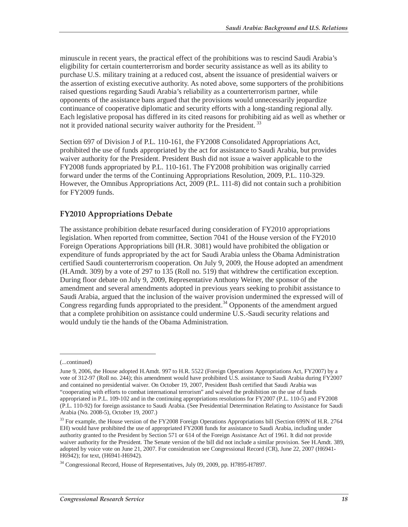minuscule in recent years, the practical effect of the prohibitions was to rescind Saudi Arabia's eligibility for certain counterterrorism and border security assistance as well as its ability to purchase U.S. military training at a reduced cost, absent the issuance of presidential waivers or the assertion of existing executive authority. As noted above, some supporters of the prohibitions raised questions regarding Saudi Arabia's reliability as a counterterrorism partner, while opponents of the assistance bans argued that the provisions would unnecessarily jeopardize continuance of cooperative diplomatic and security efforts with a long-standing regional ally. Each legislative proposal has differed in its cited reasons for prohibiting aid as well as whether or not it provided national security waiver authority for the President.<sup>33</sup>

Section 697 of Division J of P.L. 110-161, the FY2008 Consolidated Appropriations Act, prohibited the use of funds appropriated by the act for assistance to Saudi Arabia, but provides waiver authority for the President. President Bush did not issue a waiver applicable to the FY2008 funds appropriated by P.L. 110-161. The FY2008 prohibition was originally carried forward under the terms of the Continuing Appropriations Resolution, 2009, P.L. 110-329. However, the Omnibus Appropriations Act, 2009 (P.L. 111-8) did not contain such a prohibition for FY2009 funds.

#### **FY2010 Appropriations Debate**

The assistance prohibition debate resurfaced during consideration of FY2010 appropriations legislation. When reported from committee, Section 7041 of the House version of the FY2010 Foreign Operations Appropriations bill (H.R. 3081) would have prohibited the obligation or expenditure of funds appropriated by the act for Saudi Arabia unless the Obama Administration certified Saudi counterterrorism cooperation. On July 9, 2009, the House adopted an amendment (H.Amdt. 309) by a vote of 297 to 135 (Roll no. 519) that withdrew the certification exception. During floor debate on July 9, 2009, Representative Anthony Weiner, the sponsor of the amendment and several amendments adopted in previous years seeking to prohibit assistance to Saudi Arabia, argued that the inclusion of the waiver provision undermined the expressed will of Congress regarding funds appropriated to the president.<sup>34</sup> Opponents of the amendment argued that a complete prohibition on assistance could undermine U.S.-Saudi security relations and would unduly tie the hands of the Obama Administration.

<sup>(...</sup>continued)

June 9, 2006, the House adopted H.Amdt. 997 to H.R. 5522 (Foreign Operations Appropriations Act, FY2007) by a vote of 312-97 (Roll no. 244); this amendment would have prohibited U.S. assistance to Saudi Arabia during FY2007 and contained no presidential waiver. On October 19, 2007, President Bush certified that Saudi Arabia was "cooperating with efforts to combat international terrorism" and waived the prohibition on the use of funds appropriated in P.L. 109-102 and in the continuing appropriations resolutions for FY2007 (P.L. 110-5) and FY2008 (P.L. 110-92) for foreign assistance to Saudi Arabia. (See Presidential Determination Relating to Assistance for Saudi Arabia (No. 2008-5), October 19, 2007.)

<sup>&</sup>lt;sup>33</sup> For example, the House version of the FY2008 Foreign Operations Appropriations bill (Section 699N of H.R. 2764 EH) would have prohibited the use of appropriated FY2008 funds for assistance to Saudi Arabia, including under authority granted to the President by Section 571 or 614 of the Foreign Assistance Act of 1961. It did not provide waiver authority for the President. The Senate version of the bill did not include a similar provision. See H.Amdt. 389, adopted by voice vote on June 21, 2007. For consideration see Congressional Record (CR), June 22, 2007 (H6941- H6942); for text, (H6941-H6942).

<sup>&</sup>lt;sup>34</sup> Congressional Record, House of Representatives, July 09, 2009, pp. H7895-H7897.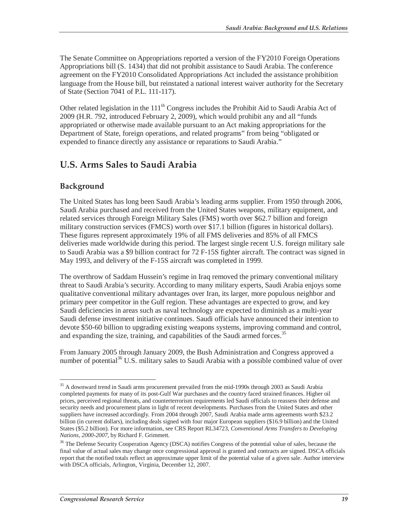The Senate Committee on Appropriations reported a version of the FY2010 Foreign Operations Appropriations bill (S. 1434) that did not prohibit assistance to Saudi Arabia. The conference agreement on the FY2010 Consolidated Appropriations Act included the assistance prohibition language from the House bill, but reinstated a national interest waiver authority for the Secretary of State (Section 7041 of P.L. 111-117).

Other related legislation in the  $111<sup>th</sup>$  Congress includes the Prohibit Aid to Saudi Arabia Act of 2009 (H.R. 792, introduced February 2, 2009), which would prohibit any and all "funds appropriated or otherwise made available pursuant to an Act making appropriations for the Department of State, foreign operations, and related programs" from being "obligated or expended to finance directly any assistance or reparations to Saudi Arabia."

## **U.S. Arms Sales to Saudi Arabia**

#### **Background**

-

The United States has long been Saudi Arabia's leading arms supplier. From 1950 through 2006, Saudi Arabia purchased and received from the United States weapons, military equipment, and related services through Foreign Military Sales (FMS) worth over \$62.7 billion and foreign military construction services (FMCS) worth over \$17.1 billion (figures in historical dollars). These figures represent approximately 19% of all FMS deliveries and 85% of all FMCS deliveries made worldwide during this period. The largest single recent U.S. foreign military sale to Saudi Arabia was a \$9 billion contract for 72 F-15S fighter aircraft. The contract was signed in May 1993, and delivery of the F-15S aircraft was completed in 1999.

The overthrow of Saddam Hussein's regime in Iraq removed the primary conventional military threat to Saudi Arabia's security. According to many military experts, Saudi Arabia enjoys some qualitative conventional military advantages over Iran, its larger, more populous neighbor and primary peer competitor in the Gulf region. These advantages are expected to grow, and key Saudi deficiencies in areas such as naval technology are expected to diminish as a multi-year Saudi defense investment initiative continues. Saudi officials have announced their intention to devote \$50-60 billion to upgrading existing weapons systems, improving command and control, and expanding the size, training, and capabilities of the Saudi armed forces.<sup>35</sup>

From January 2005 through January 2009, the Bush Administration and Congress approved a number of potential<sup>36</sup> U.S. military sales to Saudi Arabia with a possible combined value of over

<sup>&</sup>lt;sup>35</sup> A downward trend in Saudi arms procurement prevailed from the mid-1990s through 2003 as Saudi Arabia completed payments for many of its post-Gulf War purchases and the country faced strained finances. Higher oil prices, perceived regional threats, and counterterrorism requirements led Saudi officials to reassess their defense and security needs and procurement plans in light of recent developments. Purchases from the United States and other suppliers have increased accordingly. From 2004 through 2007, Saudi Arabia made arms agreements worth \$23.2 billion (in current dollars), including deals signed with four major European suppliers (\$16.9 billion) and the United States (\$5.2 billion). For more information, see CRS Report RL34723, *Conventional Arms Transfers to Developing Nations, 2000-2007*, by Richard F. Grimmett.

<sup>&</sup>lt;sup>36</sup> The Defense Security Cooperation Agency (DSCA) notifies Congress of the potential value of sales, because the final value of actual sales may change once congressional approval is granted and contracts are signed. DSCA officials report that the notified totals reflect an approximate upper limit of the potential value of a given sale. Author interview with DSCA officials, Arlington, Virginia, December 12, 2007.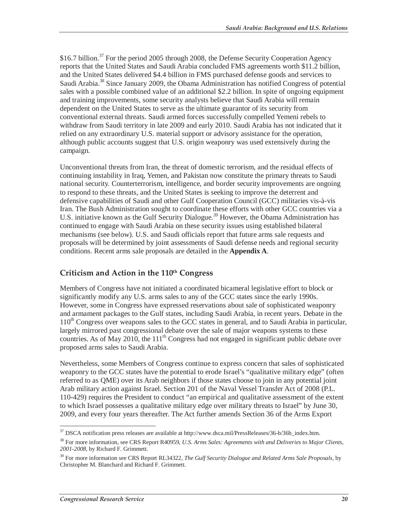\$16.7 billion.<sup>37</sup> For the period 2005 through 2008, the Defense Security Cooperation Agency reports that the United States and Saudi Arabia concluded FMS agreements worth \$11.2 billion, and the United States delivered \$4.4 billion in FMS purchased defense goods and services to Saudi Arabia.<sup>38</sup> Since January 2009, the Obama Administration has notified Congress of potential sales with a possible combined value of an additional \$2.2 billion. In spite of ongoing equipment and training improvements, some security analysts believe that Saudi Arabia will remain dependent on the United States to serve as the ultimate guarantor of its security from conventional external threats. Saudi armed forces successfully compelled Yemeni rebels to withdraw from Saudi territory in late 2009 and early 2010. Saudi Arabia has not indicated that it relied on any extraordinary U.S. material support or advisory assistance for the operation, although public accounts suggest that U.S. origin weaponry was used extensively during the campaign.

Unconventional threats from Iran, the threat of domestic terrorism, and the residual effects of continuing instability in Iraq, Yemen, and Pakistan now constitute the primary threats to Saudi national security. Counterterrorism, intelligence, and border security improvements are ongoing to respond to these threats, and the United States is seeking to improve the deterrent and defensive capabilities of Saudi and other Gulf Cooperation Council (GCC) militaries vis-à-vis Iran. The Bush Administration sought to coordinate these efforts with other GCC countries via a U.S. initiative known as the Gulf Security Dialogue.<sup>39</sup> However, the Obama Administration has continued to engage with Saudi Arabia on these security issues using established bilateral mechanisms (see below). U.S. and Saudi officials report that future arms sale requests and proposals will be determined by joint assessments of Saudi defense needs and regional security conditions. Recent arms sale proposals are detailed in the **Appendix A**.

#### **Criticism and Action in the 110th Congress**

Members of Congress have not initiated a coordinated bicameral legislative effort to block or significantly modify any U.S. arms sales to any of the GCC states since the early 1990s. However, some in Congress have expressed reservations about sale of sophisticated weaponry and armament packages to the Gulf states, including Saudi Arabia, in recent years. Debate in the  $110<sup>th</sup>$  Congress over weapons sales to the GCC states in general, and to Saudi Arabia in particular, largely mirrored past congressional debate over the sale of major weapons systems to these countries. As of May 2010, the  $111<sup>th</sup>$  Congress had not engaged in significant public debate over proposed arms sales to Saudi Arabia.

Nevertheless, some Members of Congress continue to express concern that sales of sophisticated weaponry to the GCC states have the potential to erode Israel's "qualitative military edge" (often referred to as QME) over its Arab neighbors if those states choose to join in any potential joint Arab military action against Israel. Section 201 of the Naval Vessel Transfer Act of 2008 (P.L. 110-429) requires the President to conduct "an empirical and qualitative assessment of the extent to which Israel possesses a qualitative military edge over military threats to Israel" by June 30, 2009, and every four years thereafter. The Act further amends Section 36 of the Arms Export

 $\frac{1}{2}$ <sup>37</sup> DSCA notification press releases are available at http://www.dsca.mil/PressReleases/36-b/36b\_index.htm.

<sup>38</sup> For more information, see CRS Report R40959, *U.S. Arms Sales: Agreements with and Deliveries to Major Clients, 2001-2008*, by Richard F. Grimmett.

<sup>&</sup>lt;sup>39</sup> For more information see CRS Report RL34322, *The Gulf Security Dialogue and Related Arms Sale Proposals*, by Christopher M. Blanchard and Richard F. Grimmett.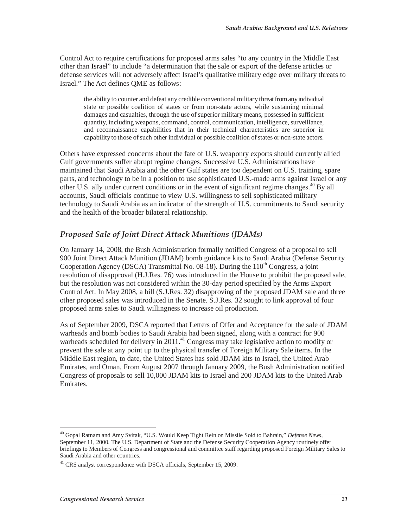Control Act to require certifications for proposed arms sales "to any country in the Middle East other than Israel" to include "a determination that the sale or export of the defense articles or defense services will not adversely affect Israel's qualitative military edge over military threats to Israel." The Act defines QME as follows:

the ability to counter and defeat any credible conventional military threat from any individual state or possible coalition of states or from non-state actors, while sustaining minimal damages and casualties, through the use of superior military means, possessed in sufficient quantity, including weapons, command, control, communication, intelligence, surveillance, and reconnaissance capabilities that in their technical characteristics are superior in capability to those of such other individual or possible coalition of states or non-state actors.

Others have expressed concerns about the fate of U.S. weaponry exports should currently allied Gulf governments suffer abrupt regime changes. Successive U.S. Administrations have maintained that Saudi Arabia and the other Gulf states are too dependent on U.S. training, spare parts, and technology to be in a position to use sophisticated U.S.-made arms against Israel or any other U.S. ally under current conditions or in the event of significant regime changes.<sup>40</sup> By all accounts, Saudi officials continue to view U.S. willingness to sell sophisticated military technology to Saudi Arabia as an indicator of the strength of U.S. commitments to Saudi security and the health of the broader bilateral relationship.

#### *Proposed Sale of Joint Direct Attack Munitions (JDAMs)*

On January 14, 2008, the Bush Administration formally notified Congress of a proposal to sell 900 Joint Direct Attack Munition (JDAM) bomb guidance kits to Saudi Arabia (Defense Security Cooperation Agency (DSCA) Transmittal No.  $08-18$ ). During the  $110<sup>th</sup>$  Congress, a joint resolution of disapproval (H.J.Res. 76) was introduced in the House to prohibit the proposed sale, but the resolution was not considered within the 30-day period specified by the Arms Export Control Act. In May 2008, a bill (S.J.Res. 32) disapproving of the proposed JDAM sale and three other proposed sales was introduced in the Senate. S.J.Res. 32 sought to link approval of four proposed arms sales to Saudi willingness to increase oil production.

As of September 2009, DSCA reported that Letters of Offer and Acceptance for the sale of JDAM warheads and bomb bodies to Saudi Arabia had been signed, along with a contract for 900 warheads scheduled for delivery in  $2011<sup>41</sup>$  Congress may take legislative action to modify or prevent the sale at any point up to the physical transfer of Foreign Military Sale items. In the Middle East region, to date, the United States has sold JDAM kits to Israel, the United Arab Emirates, and Oman. From August 2007 through January 2009, the Bush Administration notified Congress of proposals to sell 10,000 JDAM kits to Israel and 200 JDAM kits to the United Arab Emirates.

 $\overline{a}$ 40 Gopal Ratnam and Amy Svitak, "U.S. Would Keep Tight Rein on Missile Sold to Bahrain," *Defense News*, September 11, 2000. The U.S. Department of State and the Defense Security Cooperation Agency routinely offer briefings to Members of Congress and congressional and committee staff regarding proposed Foreign Military Sales to Saudi Arabia and other countries.

<sup>&</sup>lt;sup>41</sup> CRS analyst correspondence with DSCA officials, September 15, 2009.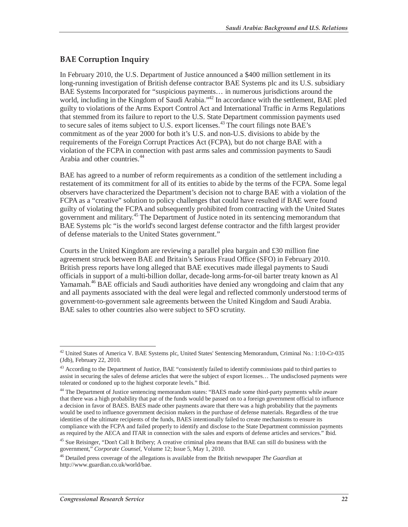### **BAE Corruption Inquiry**

In February 2010, the U.S. Department of Justice announced a \$400 million settlement in its long-running investigation of British defense contractor BAE Systems plc and its U.S. subsidiary BAE Systems Incorporated for "suspicious payments… in numerous jurisdictions around the world, including in the Kingdom of Saudi Arabia."<sup>42</sup> In accordance with the settlement, BAE pled guilty to violations of the Arms Export Control Act and International Traffic in Arms Regulations that stemmed from its failure to report to the U.S. State Department commission payments used to secure sales of items subject to U.S. export licenses.<sup>43</sup> The court filings note BAE's commitment as of the year 2000 for both it's U.S. and non-U.S. divisions to abide by the requirements of the Foreign Corrupt Practices Act (FCPA), but do not charge BAE with a violation of the FCPA in connection with past arms sales and commission payments to Saudi Arabia and other countries.<sup>44</sup>

BAE has agreed to a number of reform requirements as a condition of the settlement including a restatement of its commitment for all of its entities to abide by the terms of the FCPA. Some legal observers have characterized the Department's decision not to charge BAE with a violation of the FCPA as a "creative" solution to policy challenges that could have resulted if BAE were found guilty of violating the FCPA and subsequently prohibited from contracting with the United States government and military.<sup>45</sup> The Department of Justice noted in its sentencing memorandum that BAE Systems plc "is the world's second largest defense contractor and the fifth largest provider of defense materials to the United States government."

Courts in the United Kingdom are reviewing a parallel plea bargain and £30 million fine agreement struck between BAE and Britain's Serious Fraud Office (SFO) in February 2010. British press reports have long alleged that BAE executives made illegal payments to Saudi officials in support of a multi-billion dollar, decade-long arms-for-oil barter treaty known as Al Yamamah.<sup>46</sup> BAE officials and Saudi authorities have denied any wrongdoing and claim that any and all payments associated with the deal were legal and reflected commonly understood terms of government-to-government sale agreements between the United Kingdom and Saudi Arabia. BAE sales to other countries also were subject to SFO scrutiny.

<sup>-</sup><sup>42</sup> United States of America V. BAE Systems plc, United States' Sentencing Memorandum, Criminal No.: 1:10-Cr-035 (Jdb), February 22, 2010.

<sup>&</sup>lt;sup>43</sup> According to the Department of Justice, BAE "consistently failed to identify commissions paid to third parties to assist in securing the sales of defense articles that were the subject of export licenses… The undisclosed payments were tolerated or condoned up to the highest corporate levels." Ibid.

<sup>&</sup>lt;sup>44</sup> The Department of Justice sentencing memorandum states: "BAES made some third-party payments while aware that there was a high probability that par of the funds would be passed on to a foreign government official to influence a decision in favor of BAES. BAES made other payments aware that there was a high probability that the payments would be used to influence government decision makers in the purchase of defense materials. Regardless of the true identities of the ultimate recipients of the funds, BAES intentionally failed to create mechanisms to ensure its compliance with the FCPA and failed properly to identify and disclose to the State Department commission payments as required by the AECA and ITAR in connection with the sales and exports of defense articles and services." Ibid.

<sup>&</sup>lt;sup>45</sup> Sue Reisinger, "Don't Call It Bribery; A creative criminal plea means that BAE can still do business with the government," *Corporate Counsel*, Volume 12; Issue 5, May 1, 2010.

<sup>46</sup> Detailed press coverage of the allegations is available from the British newspaper *The Guardian* at http://www.guardian.co.uk/world/bae.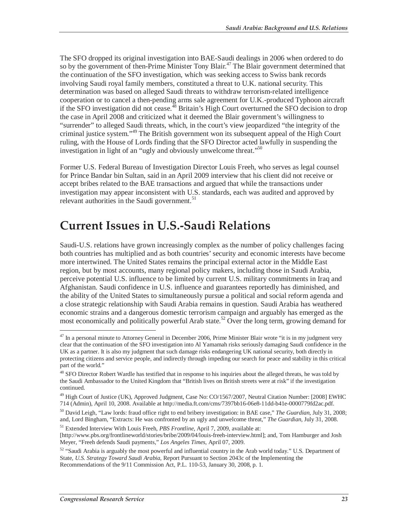The SFO dropped its original investigation into BAE-Saudi dealings in 2006 when ordered to do so by the government of then-Prime Minister Tony Blair.<sup>47</sup> The Blair government determined that the continuation of the SFO investigation, which was seeking access to Swiss bank records involving Saudi royal family members, constituted a threat to U.K. national security. This determination was based on alleged Saudi threats to withdraw terrorism-related intelligence cooperation or to cancel a then-pending arms sale agreement for U.K.-produced Typhoon aircraft if the SFO investigation did not cease.<sup>48</sup> Britain's High Court overturned the SFO decision to drop the case in April 2008 and criticized what it deemed the Blair government's willingness to "surrender" to alleged Saudi threats, which, in the court's view jeopardized "the integrity of the criminal justice system."49 The British government won its subsequent appeal of the High Court ruling, with the House of Lords finding that the SFO Director acted lawfully in suspending the investigation in light of an "ugly and obviously unwelcome threat."50

Former U.S. Federal Bureau of Investigation Director Louis Freeh, who serves as legal counsel for Prince Bandar bin Sultan, said in an April 2009 interview that his client did not receive or accept bribes related to the BAE transactions and argued that while the transactions under investigation may appear inconsistent with U.S. standards, each was audited and approved by relevant authorities in the Saudi government.<sup>51</sup>

# **Current Issues in U.S.-Saudi Relations**

Saudi-U.S. relations have grown increasingly complex as the number of policy challenges facing both countries has multiplied and as both countries' security and economic interests have become more intertwined. The United States remains the principal external actor in the Middle East region, but by most accounts, many regional policy makers, including those in Saudi Arabia, perceive potential U.S. influence to be limited by current U.S. military commitments in Iraq and Afghanistan. Saudi confidence in U.S. influence and guarantees reportedly has diminished, and the ability of the United States to simultaneously pursue a political and social reform agenda and a close strategic relationship with Saudi Arabia remains in question. Saudi Arabia has weathered economic strains and a dangerous domestic terrorism campaign and arguably has emerged as the most economically and politically powerful Arab state.<sup>52</sup> Over the long term, growing demand for

 $47$  In a personal minute to Attorney General in December 2006, Prime Minister Blair wrote "it is in my judgment very clear that the continuation of the SFO investigation into Al Yamamah risks seriously damaging Saudi confidence in the UK as a partner. It is also my judgment that such damage risks endangering UK national security, both directly in protecting citizens and service people, and indirectly through impeding our search for peace and stability in this critical part of the world."

<sup>&</sup>lt;sup>48</sup> SFO Director Robert Wardle has testified that in response to his inquiries about the alleged threats, he was told by the Saudi Ambassador to the United Kingdom that "British lives on British streets were at risk" if the investigation continued.

<sup>&</sup>lt;sup>49</sup> High Court of Justice (UK), Approved Judgment, Case No: CO/1567/2007, Neutral Citation Number: [2008] EWHC 714 (Admin), April 10, 2008. Available at http://media.ft.com/cms/7397bb16-06e8-11dd-b41e-0000779fd2ac.pdf.

<sup>50</sup> David Leigh, "Law lords: fraud office right to end bribery investigation: in BAE case," *The Guardian*, July 31, 2008; and, Lord Bingham, "Extracts: He was confronted by an ugly and unwelcome threat," *The Guardian*, July 31, 2008.

<sup>51</sup> Extended Interview With Louis Freeh, *PBS Frontline*, April 7, 2009, available at: [http://www.pbs.org/frontlineworld/stories/bribe/2009/04/louis-freeh-interview.html]; and, Tom Hamburger and Josh Meyer, "Freeh defends Saudi payments," *Los Angeles Times*, April 07, 2009.

<sup>52 &</sup>quot;Saudi Arabia is arguably the most powerful and influential country in the Arab world today." U.S. Department of State, *U.S. Strategy Toward Saudi Arabia*, Report Pursuant to Section 2043c of the Implementing the Recommendations of the 9/11 Commission Act, P.L. 110-53, January 30, 2008, p. 1.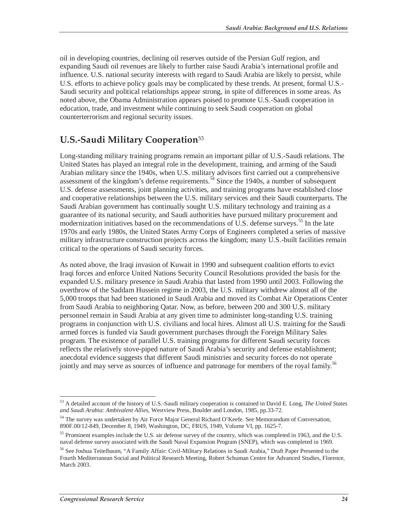oil in developing countries, declining oil reserves outside of the Persian Gulf region, and expanding Saudi oil revenues are likely to further raise Saudi Arabia's international profile and influence. U.S. national security interests with regard to Saudi Arabia are likely to persist, while U.S. efforts to achieve policy goals may be complicated by these trends. At present, formal U.S.- Saudi security and political relationships appear strong, in spite of differences in some areas. As noted above, the Obama Administration appears poised to promote U.S.-Saudi cooperation in education, trade, and investment while continuing to seek Saudi cooperation on global counterterrorism and regional security issues.

## **U.S.-Saudi Military Cooperation**<sup>53</sup>

Long-standing military training programs remain an important pillar of U.S.-Saudi relations. The United States has played an integral role in the development, training, and arming of the Saudi Arabian military since the 1940s, when U.S. military advisors first carried out a comprehensive assessment of the kingdom's defense requirements.<sup> $54$ </sup> Since the 1940s, a number of subsequent U.S. defense assessments, joint planning activities, and training programs have established close and cooperative relationships between the U.S. military services and their Saudi counterparts. The Saudi Arabian government has continually sought U.S. military technology and training as a guarantee of its national security, and Saudi authorities have pursued military procurement and modernization initiatives based on the recommendations of U.S. defense surveys.<sup>55</sup> In the late 1970s and early 1980s, the United States Army Corps of Engineers completed a series of massive military infrastructure construction projects across the kingdom; many U.S.-built facilities remain critical to the operations of Saudi security forces.

As noted above, the Iraqi invasion of Kuwait in 1990 and subsequent coalition efforts to evict Iraqi forces and enforce United Nations Security Council Resolutions provided the basis for the expanded U.S. military presence in Saudi Arabia that lasted from 1990 until 2003. Following the overthrow of the Saddam Hussein regime in 2003, the U.S. military withdrew almost all of the 5,000 troops that had been stationed in Saudi Arabia and moved its Combat Air Operations Center from Saudi Arabia to neighboring Qatar. Now, as before, between 200 and 300 U.S. military personnel remain in Saudi Arabia at any given time to administer long-standing U.S. training programs in conjunction with U.S. civilians and local hires. Almost all U.S. training for the Saudi armed forces is funded via Saudi government purchases through the Foreign Military Sales program. The existence of parallel U.S. training programs for different Saudi security forces reflects the relatively stove-piped nature of Saudi Arabia's security and defense establishment; anecdotal evidence suggests that different Saudi ministries and security forces do not operate jointly and may serve as sources of influence and patronage for members of the royal family.<sup>56</sup>

<sup>-</sup>53 A detailed account of the history of U.S.-Saudi military cooperation is contained in David E. Long, *The United States and Saudi Arabia: Ambivalent Allies*, Westview Press, Boulder and London, 1985, pp.33-72.

<sup>&</sup>lt;sup>54</sup> The survey was undertaken by Air Force Major General Richard O'Keefe. See Memorandum of Conversation, 890F.00/12-849, December 8, 1949, Washington, DC, FRUS, 1949, Volume VI, pp. 1625-7.

<sup>&</sup>lt;sup>55</sup> Prominent examples include the U.S. air defense survey of the country, which was completed in 1963, and the U.S. naval defense survey associated with the Saudi Naval Expansion Program (SNEP), which was completed in 1969.

<sup>56</sup> See Joshua Teitelbaum, "A Family Affair: Civil-Military Relations in Saudi Arabia," Draft Paper Presented to the Fourth Mediterranean Social and Political Research Meeting, Robert Schuman Centre for Advanced Studies, Florence, March 2003.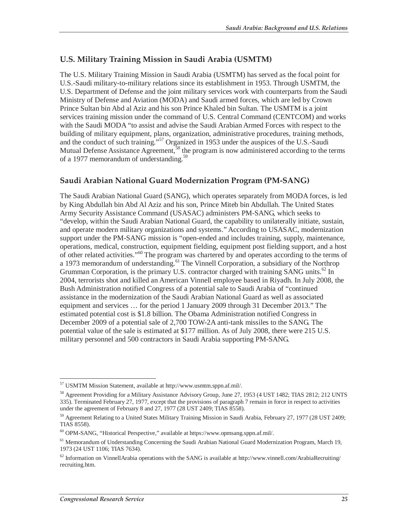### **U.S. Military Training Mission in Saudi Arabia (USMTM)**

The U.S. Military Training Mission in Saudi Arabia (USMTM) has served as the focal point for U.S.-Saudi military-to-military relations since its establishment in 1953. Through USMTM, the U.S. Department of Defense and the joint military services work with counterparts from the Saudi Ministry of Defense and Aviation (MODA) and Saudi armed forces, which are led by Crown Prince Sultan bin Abd al Aziz and his son Prince Khaled bin Sultan. The USMTM is a joint services training mission under the command of U.S. Central Command (CENTCOM) and works with the Saudi MODA "to assist and advise the Saudi Arabian Armed Forces with respect to the building of military equipment, plans, organization, administrative procedures, training methods, and the conduct of such training."<sup>57</sup> Organized in 1953 under the auspices of the U.S.-Saudi Mutual Defense Assistance Agreement,<sup>58</sup> the program is now administered according to the terms of a 1977 memorandum of understanding.<sup>59</sup>

#### **Saudi Arabian National Guard Modernization Program (PM-SANG)**

The Saudi Arabian National Guard (SANG), which operates separately from MODA forces, is led by King Abdullah bin Abd Al Aziz and his son, Prince Miteb bin Abdullah. The United States Army Security Assistance Command (USASAC) administers PM-SANG, which seeks to "develop, within the Saudi Arabian National Guard, the capability to unilaterally initiate, sustain, and operate modern military organizations and systems." According to USASAC, modernization support under the PM-SANG mission is "open-ended and includes training, supply, maintenance, operations, medical, construction, equipment fielding, equipment post fielding support, and a host of other related activities."<sup>60</sup> The program was chartered by and operates according to the terms of a 1973 memorandum of understanding.<sup>61</sup> The Vinnell Corporation, a subsidiary of the Northrop Grumman Corporation, is the primary U.S. contractor charged with training SANG units.<sup>62</sup> In 2004, terrorists shot and killed an American Vinnell employee based in Riyadh. In July 2008, the Bush Administration notified Congress of a potential sale to Saudi Arabia of "continued assistance in the modernization of the Saudi Arabian National Guard as well as associated equipment and services … for the period 1 January 2009 through 31 December 2013." The estimated potential cost is \$1.8 billion. The Obama Administration notified Congress in December 2009 of a potential sale of 2,700 TOW-2A anti-tank missiles to the SANG. The potential value of the sale is estimated at \$177 million. As of July 2008, there were 215 U.S. military personnel and 500 contractors in Saudi Arabia supporting PM-SANG.

<sup>-</sup>57 USMTM Mission Statement, available at http://www.usmtm.sppn.af.mil/.

<sup>&</sup>lt;sup>58</sup> Agreement Providing for a Military Assistance Advisory Group, June 27, 1953 (4 UST 1482; TIAS 2812; 212 UNTS 335). Terminated February 27, 1977, except that the provisions of paragraph 7 remain in force in respect to activities under the agreement of February 8 and 27, 1977 (28 UST 2409; TIAS  $\overline{8558}$ ).

<sup>&</sup>lt;sup>59</sup> Agreement Relating to a United States Military Training Mission in Saudi Arabia, February 27, 1977 (28 UST 2409; TIAS 8558).

<sup>60</sup> OPM-SANG, "Historical Perspective," available at https://www.opmsang.sppn.af.mil/.

<sup>&</sup>lt;sup>61</sup> Memorandum of Understanding Concerning the Saudi Arabian National Guard Modernization Program, March 19, 1973 (24 UST 1106; TIAS 7634).

 $62$  Information on VinnellArabia operations with the SANG is available at http://www.vinnell.com/ArabiaRecruiting/ recruiting.htm.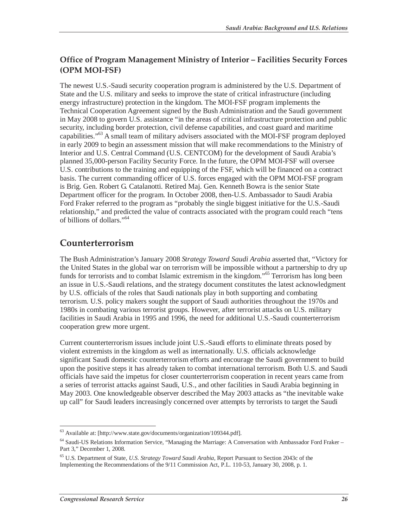### **Office of Program Management Ministry of Interior – Facilities Security Forces (OPM MOI-FSF)**

The newest U.S.-Saudi security cooperation program is administered by the U.S. Department of State and the U.S. military and seeks to improve the state of critical infrastructure (including energy infrastructure) protection in the kingdom. The MOI-FSF program implements the Technical Cooperation Agreement signed by the Bush Administration and the Saudi government in May 2008 to govern U.S. assistance "in the areas of critical infrastructure protection and public security, including border protection, civil defense capabilities, and coast guard and maritime capabilities."<sup>63</sup> A small team of military advisers associated with the MOI-FSF program deployed in early 2009 to begin an assessment mission that will make recommendations to the Ministry of Interior and U.S. Central Command (U.S. CENTCOM) for the development of Saudi Arabia's planned 35,000-person Facility Security Force. In the future, the OPM MOI-FSF will oversee U.S. contributions to the training and equipping of the FSF, which will be financed on a contract basis. The current commanding officer of U.S. forces engaged with the OPM MOI-FSF program is Brig. Gen. Robert G. Catalanotti. Retired Maj. Gen. Kenneth Bowra is the senior State Department officer for the program. In October 2008, then-U.S. Ambassador to Saudi Arabia Ford Fraker referred to the program as "probably the single biggest initiative for the U.S.-Saudi relationship," and predicted the value of contracts associated with the program could reach "tens of billions of dollars."64

## **Counterterrorism**

The Bush Administration's January 2008 *Strategy Toward Saudi Arabia* asserted that, "Victory for the United States in the global war on terrorism will be impossible without a partnership to dry up funds for terrorists and to combat Islamic extremism in the kingdom."65 Terrorism has long been an issue in U.S.-Saudi relations, and the strategy document constitutes the latest acknowledgment by U.S. officials of the roles that Saudi nationals play in both supporting and combating terrorism. U.S. policy makers sought the support of Saudi authorities throughout the 1970s and 1980s in combating various terrorist groups. However, after terrorist attacks on U.S. military facilities in Saudi Arabia in 1995 and 1996, the need for additional U.S.-Saudi counterterrorism cooperation grew more urgent.

Current counterterrorism issues include joint U.S.-Saudi efforts to eliminate threats posed by violent extremists in the kingdom as well as internationally. U.S. officials acknowledge significant Saudi domestic counterterrorism efforts and encourage the Saudi government to build upon the positive steps it has already taken to combat international terrorism. Both U.S. and Saudi officials have said the impetus for closer counterterrorism cooperation in recent years came from a series of terrorist attacks against Saudi, U.S., and other facilities in Saudi Arabia beginning in May 2003. One knowledgeable observer described the May 2003 attacks as "the inevitable wake up call" for Saudi leaders increasingly concerned over attempts by terrorists to target the Saudi

 $\overline{a}$ <sup>63</sup> Available at: [http://www.state.gov/documents/organization/109344.pdf].

<sup>64</sup> Saudi-US Relations Information Service, "Managing the Marriage: A Conversation with Ambassador Ford Fraker – Part 3," December 1, 2008.

<sup>65</sup> U.S. Department of State, *U.S. Strategy Toward Saudi Arabia*, Report Pursuant to Section 2043c of the Implementing the Recommendations of the 9/11 Commission Act, P.L. 110-53, January 30, 2008, p. 1.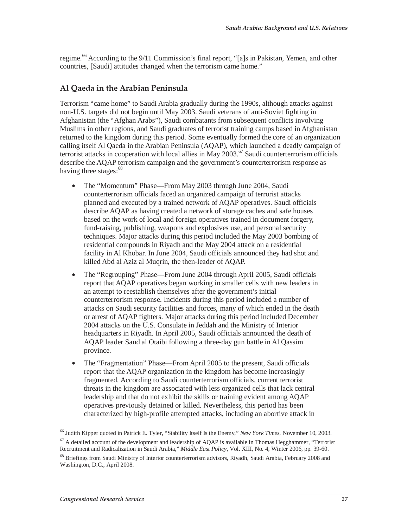regime.<sup>66</sup> According to the 9/11 Commission's final report, "[a]s in Pakistan, Yemen, and other countries, [Saudi] attitudes changed when the terrorism came home."

#### **Al Qaeda in the Arabian Peninsula**

Terrorism "came home" to Saudi Arabia gradually during the 1990s, although attacks against non-U.S. targets did not begin until May 2003. Saudi veterans of anti-Soviet fighting in Afghanistan (the "Afghan Arabs"), Saudi combatants from subsequent conflicts involving Muslims in other regions, and Saudi graduates of terrorist training camps based in Afghanistan returned to the kingdom during this period. Some eventually formed the core of an organization calling itself Al Qaeda in the Arabian Peninsula (AQAP), which launched a deadly campaign of terrorist attacks in cooperation with local allies in May 2003.<sup>67</sup> Saudi counterterrorism officials describe the AQAP terrorism campaign and the government's counterterrorism response as having three stages: $68$ 

- The "Momentum" Phase—From May 2003 through June 2004, Saudi counterterrorism officials faced an organized campaign of terrorist attacks planned and executed by a trained network of AQAP operatives. Saudi officials describe AQAP as having created a network of storage caches and safe houses based on the work of local and foreign operatives trained in document forgery, fund-raising, publishing, weapons and explosives use, and personal security techniques. Major attacks during this period included the May 2003 bombing of residential compounds in Riyadh and the May 2004 attack on a residential facility in Al Khobar. In June 2004, Saudi officials announced they had shot and killed Abd al Aziz al Muqrin, the then-leader of AQAP.
- The "Regrouping" Phase—From June 2004 through April 2005, Saudi officials report that AQAP operatives began working in smaller cells with new leaders in an attempt to reestablish themselves after the government's initial counterterrorism response. Incidents during this period included a number of attacks on Saudi security facilities and forces, many of which ended in the death or arrest of AQAP fighters. Major attacks during this period included December 2004 attacks on the U.S. Consulate in Jeddah and the Ministry of Interior headquarters in Riyadh. In April 2005, Saudi officials announced the death of AQAP leader Saud al Otaibi following a three-day gun battle in Al Qassim province.
- The "Fragmentation" Phase—From April 2005 to the present, Saudi officials report that the AQAP organization in the kingdom has become increasingly fragmented. According to Saudi counterterrorism officials, current terrorist threats in the kingdom are associated with less organized cells that lack central leadership and that do not exhibit the skills or training evident among AQAP operatives previously detained or killed. Nevertheless, this period has been characterized by high-profile attempted attacks, including an abortive attack in

 $\overline{a}$ 66 Judith Kipper quoted in Patrick E. Tyler, "Stability Itself Is the Enemy," *New York Times*, November 10, 2003.

 $67$  A detailed account of the development and leadership of AQAP is available in Thomas Hegghammer, "Terrorist Recruitment and Radicalization in Saudi Arabia," *Middle East Policy*, Vol. XIII, No. 4, Winter 2006, pp. 39-60.

<sup>&</sup>lt;sup>68</sup> Briefings from Saudi Ministry of Interior counterterrorism advisors, Riyadh, Saudi Arabia, February 2008 and Washington, D.C., April 2008.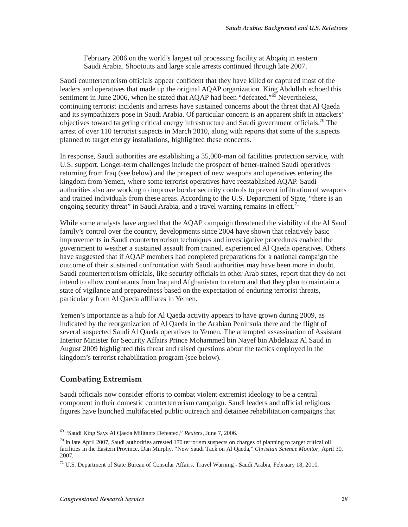February 2006 on the world's largest oil processing facility at Abqaiq in eastern Saudi Arabia. Shootouts and large scale arrests continued through late 2007.

Saudi counterterrorism officials appear confident that they have killed or captured most of the leaders and operatives that made up the original AQAP organization. King Abdullah echoed this sentiment in June 2006, when he stated that AQAP had been "defeated."<sup>69</sup> Nevertheless, continuing terrorist incidents and arrests have sustained concerns about the threat that Al Qaeda and its sympathizers pose in Saudi Arabia. Of particular concern is an apparent shift in attackers' objectives toward targeting critical energy infrastructure and Saudi government officials.<sup>70</sup> The arrest of over 110 terrorist suspects in March 2010, along with reports that some of the suspects planned to target energy installations, highlighted these concerns.

In response, Saudi authorities are establishing a 35,000-man oil facilities protection service, with U.S. support. Longer-term challenges include the prospect of better-trained Saudi operatives returning from Iraq (see below) and the prospect of new weapons and operatives entering the kingdom from Yemen, where some terrorist operatives have reestablished AQAP. Saudi authorities also are working to improve border security controls to prevent infiltration of weapons and trained individuals from these areas. According to the U.S. Department of State, "there is an ongoing security threat" in Saudi Arabia, and a travel warning remains in effect.<sup>71</sup>

While some analysts have argued that the AQAP campaign threatened the viability of the Al Saud family's control over the country, developments since 2004 have shown that relatively basic improvements in Saudi counterterrorism techniques and investigative procedures enabled the government to weather a sustained assault from trained, experienced Al Qaeda operatives. Others have suggested that if AQAP members had completed preparations for a national campaign the outcome of their sustained confrontation with Saudi authorities may have been more in doubt. Saudi counterterrorism officials, like security officials in other Arab states, report that they do not intend to allow combatants from Iraq and Afghanistan to return and that they plan to maintain a state of vigilance and preparedness based on the expectation of enduring terrorist threats, particularly from Al Qaeda affiliates in Yemen.

Yemen's importance as a hub for Al Qaeda activity appears to have grown during 2009, as indicated by the reorganization of Al Qaeda in the Arabian Peninsula there and the flight of several suspected Saudi Al Qaeda operatives to Yemen. The attempted assassination of Assistant Interior Minister for Security Affairs Prince Mohammed bin Nayef bin Abdelaziz Al Saud in August 2009 highlighted this threat and raised questions about the tactics employed in the kingdom's terrorist rehabilitation program (see below).

### **Combating Extremism**

Saudi officials now consider efforts to combat violent extremist ideology to be a central component in their domestic counterterrorism campaign. Saudi leaders and official religious figures have launched multifaceted public outreach and detainee rehabilitation campaigns that

 $\overline{a}$ 69 "Saudi King Says Al Qaeda Militants Defeated," *Reuters*, June 7, 2006.

 $70$  In late April 2007, Saudi authorities arrested 170 terrorism suspects on charges of planning to target critical oil facilities in the Eastern Province. Dan Murphy, "New Saudi Tack on Al Qaeda," *Christian Science Monitor*, April 30, 2007.

<sup>71</sup> U.S. Department of State Bureau of Consular Affairs, Travel Warning - Saudi Arabia, February 18, 2010.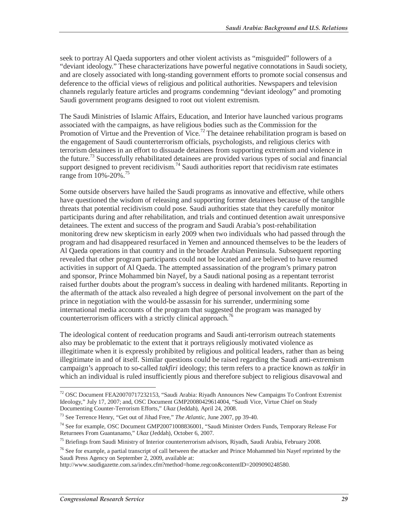seek to portray Al Qaeda supporters and other violent activists as "misguided" followers of a "deviant ideology." These characterizations have powerful negative connotations in Saudi society, and are closely associated with long-standing government efforts to promote social consensus and deference to the official views of religious and political authorities. Newspapers and television channels regularly feature articles and programs condemning "deviant ideology" and promoting Saudi government programs designed to root out violent extremism.

The Saudi Ministries of Islamic Affairs, Education, and Interior have launched various programs associated with the campaigns, as have religious bodies such as the Commission for the Promotion of Virtue and the Prevention of Vice.<sup>72</sup> The detainee rehabilitation program is based on the engagement of Saudi counterterrorism officials, psychologists, and religious clerics with terrorism detainees in an effort to dissuade detainees from supporting extremism and violence in the future.73 Successfully rehabilitated detainees are provided various types of social and financial support designed to prevent recidivism.<sup>74</sup> Saudi authorities report that recidivism rate estimates range from 10%-20%.<sup>75</sup>

Some outside observers have hailed the Saudi programs as innovative and effective, while others have questioned the wisdom of releasing and supporting former detainees because of the tangible threats that potential recidivism could pose. Saudi authorities state that they carefully monitor participants during and after rehabilitation, and trials and continued detention await unresponsive detainees. The extent and success of the program and Saudi Arabia's post-rehabilitation monitoring drew new skepticism in early 2009 when two individuals who had passed through the program and had disappeared resurfaced in Yemen and announced themselves to be the leaders of Al Qaeda operations in that country and in the broader Arabian Peninsula. Subsequent reporting revealed that other program participants could not be located and are believed to have resumed activities in support of Al Qaeda. The attempted assassination of the program's primary patron and sponsor, Prince Mohammed bin Nayef, by a Saudi national posing as a repentant terrorist raised further doubts about the program's success in dealing with hardened militants. Reporting in the aftermath of the attack also revealed a high degree of personal involvement on the part of the prince in negotiation with the would-be assassin for his surrender, undermining some international media accounts of the program that suggested the program was managed by counterterrorism officers with a strictly clinical approach.<sup>76</sup>

The ideological content of reeducation programs and Saudi anti-terrorism outreach statements also may be problematic to the extent that it portrays religiously motivated violence as illegitimate when it is expressly prohibited by religious and political leaders, rather than as being illegitimate in and of itself. Similar questions could be raised regarding the Saudi anti-extremism campaign's approach to so-called *takfiri* ideology; this term refers to a practice known as *takfir* in which an individual is ruled insufficiently pious and therefore subject to religious disavowal and

 $\overline{a}$  $72$  OSC Document FEA20070717232153, "Saudi Arabia: Riyadh Announces New Campaigns To Confront Extremist Ideology," July 17, 2007; and, OSC Document GMP20080429614004, "Saudi Vice, Virtue Chief on Study Documenting Counter-Terrorism Efforts," *Ukaz* (Jeddah), April 24, 2008.

<sup>73</sup> See Terrence Henry, "Get out of Jihad Free," *The Atlantic*, June 2007, pp 39-40.

<sup>74</sup> See for example, OSC Document GMP20071008836001, "Saudi Minister Orders Funds, Temporary Release For Returnees From Guantanamo," *Ukaz* (Jeddah), October 6, 2007.

<sup>&</sup>lt;sup>75</sup> Briefings from Saudi Ministry of Interior counterterrorism advisors, Riyadh, Saudi Arabia, February 2008.

 $76$  See for example, a partial transcript of call between the attacker and Prince Mohammed bin Nayef reprinted by the Saudi Press Agency on September 2, 2009, available at:

http://www.saudigazette.com.sa/index.cfm?method=home.regcon&contentID=2009090248580.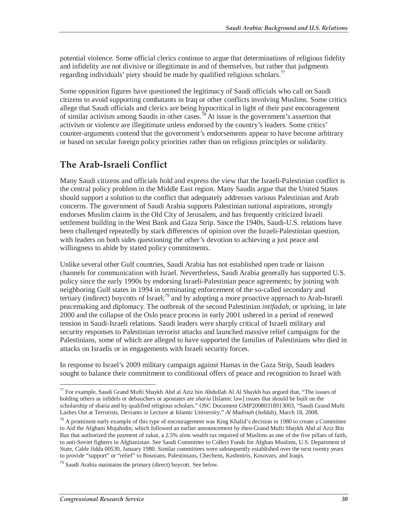potential violence. Some official clerics continue to argue that determinations of religious fidelity and infidelity are not divisive or illegitimate in and of themselves, but rather that judgments regarding individuals' piety should be made by qualified religious scholars.<sup>77</sup>

Some opposition figures have questioned the legitimacy of Saudi officials who call on Saudi citizens to avoid supporting combatants in Iraq or other conflicts involving Muslims. Some critics allege that Saudi officials and clerics are being hypocritical in light of their past encouragement of similar activism among Saudis in other cases.<sup>78</sup> At issue is the government's assertion that activism or violence are illegitimate unless endorsed by the country's leaders. Some critics' counter-arguments contend that the government's endorsements appear to have become arbitrary or based on secular foreign policy priorities rather than on religious principles or solidarity.

## **The Arab-Israeli Conflict**

Many Saudi citizens and officials hold and express the view that the Israeli-Palestinian conflict is the central policy problem in the Middle East region. Many Saudis argue that the United States should support a solution to the conflict that adequately addresses various Palestinian and Arab concerns. The government of Saudi Arabia supports Palestinian national aspirations, strongly endorses Muslim claims in the Old City of Jerusalem, and has frequently criticized Israeli settlement building in the West Bank and Gaza Strip. Since the 1940s, Saudi-U.S. relations have been challenged repeatedly by stark differences of opinion over the Israeli-Palestinian question, with leaders on both sides questioning the other's devotion to achieving a just peace and willingness to abide by stated policy commitments.

Unlike several other Gulf countries, Saudi Arabia has not established open trade or liaison channels for communication with Israel. Nevertheless, Saudi Arabia generally has supported U.S. policy since the early 1990s by endorsing Israeli-Palestinian peace agreements; by joining with neighboring Gulf states in 1994 in terminating enforcement of the so-called secondary and tertiary (indirect) boycotts of Israel;<sup>79</sup> and by adopting a more proactive approach to Arab-Israeli peacemaking and diplomacy. The outbreak of the second Palestinian *intifadah*, or uprising, in late 2000 and the collapse of the Oslo peace process in early 2001 ushered in a period of renewed tension in Saudi-Israeli relations. Saudi leaders were sharply critical of Israeli military and security responses to Palestinian terrorist attacks and launched massive relief campaigns for the Palestinians, some of which are alleged to have supported the families of Palestinians who died in attacks on Israelis or in engagements with Israeli security forces.

In response to Israel's 2009 military campaign against Hamas in the Gaza Strip, Saudi leaders sought to balance their commitment to conditional offers of peace and recognition to Israel with

 $77$  For example, Saudi Grand Mufti Shaykh Abd al Aziz bin Abdullah Al Al Shaykh has argued that, "The issues of holding others as infidels or debauchers or apostates are *sharia* [Islamic law] issues that should be built on the scholarship of sharia and by qualified religious scholars." OSC Document GMP20080318913003, "Saudi Grand Mufti Lashes Out at Terrorists, Deviants in Lecture at Islamic University," *Al Madinah* (Jeddah), March 18, 2008.

 $78$  A prominent early example of this type of encouragement was King Khalid's decision in 1980 to create a Committee to Aid the Afghani Mujahidin, which followed an earlier announcement by then-Grand Mufti Shaykh Abd al Aziz Bin Baz that authorized the payment of zakat, a 2.5% alms wealth tax required of Muslims as one of the five pillars of faith, to anti-Soviet fighters in Afghanistan. See Saudi Committee to Collect Funds for Afghan Muslims, U.S. Department of State, Cable Jidda 00530, January 1980. Similar committees were subsequently established over the next twenty years to provide "support" or "relief" to Bosnians, Palestinians, Chechens, Kashmiris, Kosovars, and Iraqis.

 $79$  Saudi Arabia maintains the primary (direct) boycott. See below.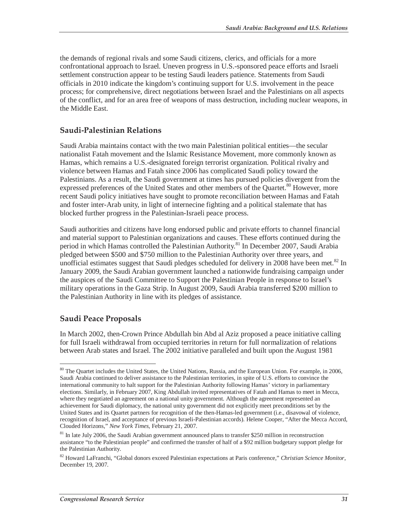the demands of regional rivals and some Saudi citizens, clerics, and officials for a more confrontational approach to Israel. Uneven progress in U.S.-sponsored peace efforts and Israeli settlement construction appear to be testing Saudi leaders patience. Statements from Saudi officials in 2010 indicate the kingdom's continuing support for U.S. involvement in the peace process; for comprehensive, direct negotiations between Israel and the Palestinians on all aspects of the conflict, and for an area free of weapons of mass destruction, including nuclear weapons, in the Middle East.

#### **Saudi-Palestinian Relations**

Saudi Arabia maintains contact with the two main Palestinian political entities—the secular nationalist Fatah movement and the Islamic Resistance Movement, more commonly known as Hamas, which remains a U.S.-designated foreign terrorist organization. Political rivalry and violence between Hamas and Fatah since 2006 has complicated Saudi policy toward the Palestinians. As a result, the Saudi government at times has pursued policies divergent from the expressed preferences of the United States and other members of the Quartet.<sup>80</sup> However, more recent Saudi policy initiatives have sought to promote reconciliation between Hamas and Fatah and foster inter-Arab unity, in light of internecine fighting and a political stalemate that has blocked further progress in the Palestinian-Israeli peace process.

Saudi authorities and citizens have long endorsed public and private efforts to channel financial and material support to Palestinian organizations and causes. These efforts continued during the period in which Hamas controlled the Palestinian Authority.<sup>81</sup> In December 2007, Saudi Arabia pledged between \$500 and \$750 million to the Palestinian Authority over three years, and unofficial estimates suggest that Saudi pledges scheduled for delivery in 2008 have been met. $82$  In January 2009, the Saudi Arabian government launched a nationwide fundraising campaign under the auspices of the Saudi Committee to Support the Palestinian People in response to Israel's military operations in the Gaza Strip. In August 2009, Saudi Arabia transferred \$200 million to the Palestinian Authority in line with its pledges of assistance.

#### **Saudi Peace Proposals**

 $\overline{a}$ 

In March 2002, then-Crown Prince Abdullah bin Abd al Aziz proposed a peace initiative calling for full Israeli withdrawal from occupied territories in return for full normalization of relations between Arab states and Israel. The 2002 initiative paralleled and built upon the August 1981

<sup>&</sup>lt;sup>80</sup> The Quartet includes the United States, the United Nations, Russia, and the European Union. For example, in 2006, Saudi Arabia continued to deliver assistance to the Palestinian territories, in spite of U.S. efforts to convince the international community to halt support for the Palestinian Authority following Hamas' victory in parliamentary elections. Similarly, in February 2007, King Abdullah invited representatives of Fatah and Hamas to meet in Mecca, where they negotiated an agreement on a national unity government. Although the agreement represented an achievement for Saudi diplomacy, the national unity government did not explicitly meet preconditions set by the United States and its Quartet partners for recognition of the then-Hamas-led government (i.e., disavowal of violence, recognition of Israel, and acceptance of previous Israeli-Palestinian accords). Helene Cooper, "After the Mecca Accord, Clouded Horizons," *New York Times*, February 21, 2007.

<sup>&</sup>lt;sup>81</sup> In late July 2006, the Saudi Arabian government announced plans to transfer \$250 million in reconstruction assistance "to the Palestinian people" and confirmed the transfer of half of a \$92 million budgetary support pledge for the Palestinian Authority.

<sup>82</sup> Howard LaFranchi, "Global donors exceed Palestinian expectations at Paris conference," *Christian Science Monitor*, December 19, 2007.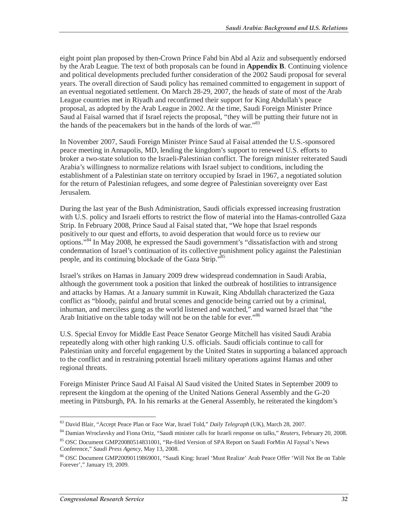eight point plan proposed by then-Crown Prince Fahd bin Abd al Aziz and subsequently endorsed by the Arab League. The text of both proposals can be found in **Appendix B**. Continuing violence and political developments precluded further consideration of the 2002 Saudi proposal for several years. The overall direction of Saudi policy has remained committed to engagement in support of an eventual negotiated settlement. On March 28-29, 2007, the heads of state of most of the Arab League countries met in Riyadh and reconfirmed their support for King Abdullah's peace proposal, as adopted by the Arab League in 2002. At the time, Saudi Foreign Minister Prince Saud al Faisal warned that if Israel rejects the proposal, "they will be putting their future not in the hands of the peacemakers but in the hands of the lords of war."83

In November 2007, Saudi Foreign Minister Prince Saud al Faisal attended the U.S.-sponsored peace meeting in Annapolis, MD, lending the kingdom's support to renewed U.S. efforts to broker a two-state solution to the Israeli-Palestinian conflict. The foreign minister reiterated Saudi Arabia's willingness to normalize relations with Israel subject to conditions, including the establishment of a Palestinian state on territory occupied by Israel in 1967, a negotiated solution for the return of Palestinian refugees, and some degree of Palestinian sovereignty over East Jerusalem.

During the last year of the Bush Administration, Saudi officials expressed increasing frustration with U.S. policy and Israeli efforts to restrict the flow of material into the Hamas-controlled Gaza Strip. In February 2008, Prince Saud al Faisal stated that, "We hope that Israel responds positively to our quest and efforts, to avoid desperation that would force us to review our options."84 In May 2008, he expressed the Saudi government's "dissatisfaction with and strong condemnation of Israel's continuation of its collective punishment policy against the Palestinian people, and its continuing blockade of the Gaza Strip."85

Israel's strikes on Hamas in January 2009 drew widespread condemnation in Saudi Arabia, although the government took a position that linked the outbreak of hostilities to intransigence and attacks by Hamas. At a January summit in Kuwait, King Abdullah characterized the Gaza conflict as "bloody, painful and brutal scenes and genocide being carried out by a criminal, inhuman, and merciless gang as the world listened and watched," and warned Israel that "the Arab Initiative on the table today will not be on the table for ever."<sup>86</sup>

U.S. Special Envoy for Middle East Peace Senator George Mitchell has visited Saudi Arabia repeatedly along with other high ranking U.S. officials. Saudi officials continue to call for Palestinian unity and forceful engagement by the United States in supporting a balanced approach to the conflict and in restraining potential Israeli military operations against Hamas and other regional threats.

Foreign Minister Prince Saud Al Faisal Al Saud visited the United States in September 2009 to represent the kingdom at the opening of the United Nations General Assembly and the G-20 meeting in Pittsburgh, PA. In his remarks at the General Assembly, he reiterated the kingdom's

<sup>&</sup>lt;sup>83</sup> David Blair, "Accept Peace Plan or Face War, Israel Told," Daily Telegraph (UK), March 28, 2007.

<sup>&</sup>lt;sup>84</sup> Damian Wroclavsky and Fiona Ortiz, "Saudi minister calls for Israeli response on talks," *Reuters*, February 20, 2008.

<sup>85</sup> OSC Document GMP20080514831001, "Re-filed Version of SPA Report on Saudi ForMin Al Faysal's News Conference," *Saudi Press Agency*, May 13, 2008.

<sup>86</sup> OSC Document GMP20090119869001, "Saudi King: Israel 'Must Realize' Arab Peace Offer 'Will Not Be on Table Forever'," January 19, 2009.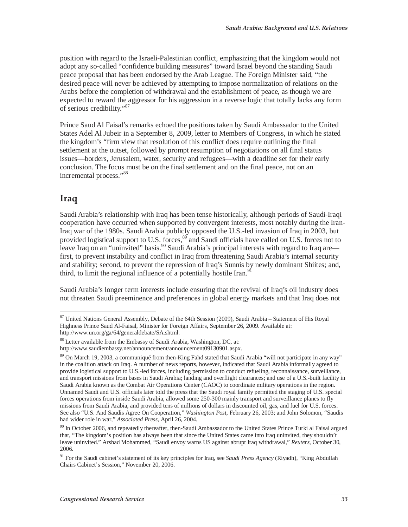position with regard to the Israeli-Palestinian conflict, emphasizing that the kingdom would not adopt any so-called "confidence building measures" toward Israel beyond the standing Saudi peace proposal that has been endorsed by the Arab League. The Foreign Minister said, "the desired peace will never be achieved by attempting to impose normalization of relations on the Arabs before the completion of withdrawal and the establishment of peace, as though we are expected to reward the aggressor for his aggression in a reverse logic that totally lacks any form of serious credibility."87

Prince Saud Al Faisal's remarks echoed the positions taken by Saudi Ambassador to the United States Adel Al Jubeir in a September 8, 2009, letter to Members of Congress, in which he stated the kingdom's "firm view that resolution of this conflict does require outlining the final settlement at the outset, followed by prompt resumption of negotiations on all final status issues—borders, Jerusalem, water, security and refugees—with a deadline set for their early conclusion. The focus must be on the final settlement and on the final peace, not on an incremental process."<sup>88</sup>

## **Iraq**

Saudi Arabia's relationship with Iraq has been tense historically, although periods of Saudi-Iraqi cooperation have occurred when supported by convergent interests, most notably during the Iran-Iraq war of the 1980s. Saudi Arabia publicly opposed the U.S.-led invasion of Iraq in 2003, but provided logistical support to U.S. forces,<sup>89</sup> and Saudi officials have called on U.S. forces not to leave Iraq on an "uninvited" basis.<sup>90</sup> Saudi Arabia's principal interests with regard to Iraq are first, to prevent instability and conflict in Iraq from threatening Saudi Arabia's internal security and stability; second, to prevent the repression of Iraq's Sunnis by newly dominant Shiites; and, third, to limit the regional influence of a potentially hostile Iran.<sup>91</sup>

Saudi Arabia's longer term interests include ensuring that the revival of Iraq's oil industry does not threaten Saudi preeminence and preferences in global energy markets and that Iraq does not

<sup>-</sup>87 United Nations General Assembly, Debate of the 64th Session (2009), Saudi Arabia – Statement of His Royal Highness Prince Saud Al-Faisal, Minister for Foreign Affairs, September 26, 2009. Available at: http://www.un.org/ga/64/generaldebate/SA.shtml.

<sup>88</sup> Letter available from the Embassy of Saudi Arabia, Washington, DC, at:

http://www.saudiembassy.net/announcement/announcement09130901.aspx.

<sup>89</sup> On March 19, 2003, a communiqué from then-King Fahd stated that Saudi Arabia "will not participate in any way" in the coalition attack on Iraq. A number of news reports, however, indicated that Saudi Arabia informally agreed to provide logistical support to U.S.-led forces, including permission to conduct refueling, reconnaissance, surveillance, and transport missions from bases in Saudi Arabia; landing and overflight clearances; and use of a U.S.-built facility in Saudi Arabia known as the Combat Air Operations Center (CAOC) to coordinate military operations in the region. Unnamed Saudi and U.S. officials later told the press that the Saudi royal family permitted the staging of U.S. special forces operations from inside Saudi Arabia, allowed some 250-300 mainly transport and surveillance planes to fly missions from Saudi Arabia, and provided tens of millions of dollars in discounted oil, gas, and fuel for U.S. forces. See also "U.S. And Saudis Agree On Cooperation," *Washington Post*, February 26, 2003; and John Solomon, "Saudis had wider role in war," *Associated Press*, April 26, 2004.

<sup>&</sup>lt;sup>90</sup> In October 2006, and repeatedly thereafter, then-Saudi Ambassador to the United States Prince Turki al Faisal argued that, "The kingdom's position has always been that since the United States came into Iraq uninvited, they shouldn't leave uninvited." Arshad Mohammed, "Saudi envoy warns US against abrupt Iraq withdrawal," *Reuters*, October 30, 2006.

<sup>91</sup> For the Saudi cabinet's statement of its key principles for Iraq, see *Saudi Press Agency* (Riyadh), "King Abdullah Chairs Cabinet's Session," November 20, 2006.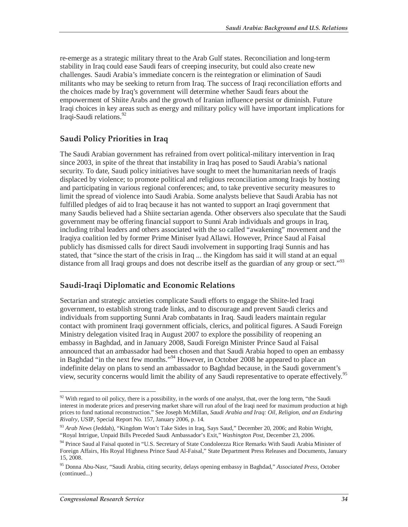re-emerge as a strategic military threat to the Arab Gulf states. Reconciliation and long-term stability in Iraq could ease Saudi fears of creeping insecurity, but could also create new challenges. Saudi Arabia's immediate concern is the reintegration or elimination of Saudi militants who may be seeking to return from Iraq. The success of Iraqi reconciliation efforts and the choices made by Iraq's government will determine whether Saudi fears about the empowerment of Shiite Arabs and the growth of Iranian influence persist or diminish. Future Iraqi choices in key areas such as energy and military policy will have important implications for Iraqi-Saudi relations.<sup>92</sup>

#### **Saudi Policy Priorities in Iraq**

The Saudi Arabian government has refrained from overt political-military intervention in Iraq since 2003, in spite of the threat that instability in Iraq has posed to Saudi Arabia's national security. To date, Saudi policy initiatives have sought to meet the humanitarian needs of Iraqis displaced by violence; to promote political and religious reconciliation among Iraqis by hosting and participating in various regional conferences; and, to take preventive security measures to limit the spread of violence into Saudi Arabia. Some analysts believe that Saudi Arabia has not fulfilled pledges of aid to Iraq because it has not wanted to support an Iraqi government that many Saudis believed had a Shiite sectarian agenda. Other observers also speculate that the Saudi government may be offering financial support to Sunni Arab individuals and groups in Iraq, including tribal leaders and others associated with the so called "awakening" movement and the Iraqiya coalition led by former Prime Miniser Iyad Allawi. However, Prince Saud al Faisal publicly has dismissed calls for direct Saudi involvement in supporting Iraqi Sunnis and has stated, that "since the start of the crisis in Iraq ... the Kingdom has said it will stand at an equal distance from all Iraqi groups and does not describe itself as the guardian of any group or sect."<sup>93</sup>

### **Saudi-Iraqi Diplomatic and Economic Relations**

Sectarian and strategic anxieties complicate Saudi efforts to engage the Shiite-led Iraqi government, to establish strong trade links, and to discourage and prevent Saudi clerics and individuals from supporting Sunni Arab combatants in Iraq. Saudi leaders maintain regular contact with prominent Iraqi government officials, clerics, and political figures. A Saudi Foreign Ministry delegation visited Iraq in August 2007 to explore the possibility of reopening an embassy in Baghdad, and in January 2008, Saudi Foreign Minister Prince Saud al Faisal announced that an ambassador had been chosen and that Saudi Arabia hoped to open an embassy in Baghdad "in the next few months."<sup>94</sup> However, in October 2008 he appeared to place an indefinite delay on plans to send an ambassador to Baghdad because, in the Saudi government's view, security concerns would limit the ability of any Saudi representative to operate effectively.<sup>95</sup>

 $\overline{a}$  $92$  With regard to oil policy, there is a possibility, in the words of one analyst, that, over the long term, "the Saudi interest in moderate prices and preserving market share will run afoul of the Iraqi need for maximum production at high prices to fund national reconstruction." See Joseph McMillan, *Saudi Arabia and Iraq: Oil, Religion, and an Enduring Rivalry*, USIP, Special Report No. 157, January 2006, p. 14.

<sup>93</sup> *Arab News* (Jeddah), "Kingdom Won't Take Sides in Iraq, Says Saud," December 20, 2006; and Robin Wright, "Royal Intrigue, Unpaid Bills Preceded Saudi Ambassador's Exit," *Washington Post*, December 23, 2006.

<sup>94</sup> Prince Saud al Faisal quoted in "U.S. Secretary of State Condoleezza Rice Remarks With Saudi Arabia Minister of Foreign Affairs, His Royal Highness Prince Saud Al-Faisal," State Department Press Releases and Documents, January 15, 2008.

<sup>95</sup> Donna Abu-Nasr, "Saudi Arabia, citing security, delays opening embassy in Baghdad," *Associated Press*, October (continued...)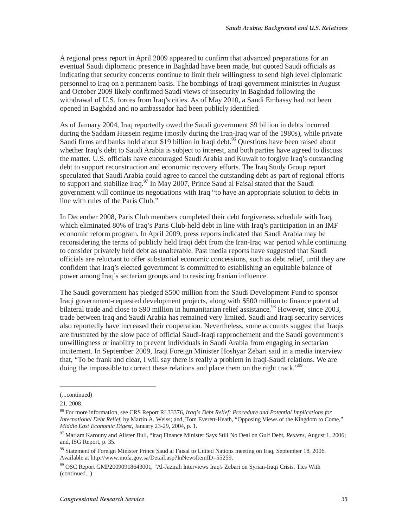A regional press report in April 2009 appeared to confirm that advanced preparations for an eventual Saudi diplomatic presence in Baghdad have been made, but quoted Saudi officials as indicating that security concerns continue to limit their willingness to send high level diplomatic personnel to Iraq on a permanent basis. The bombings of Iraqi government ministries in August and October 2009 likely confirmed Saudi views of insecurity in Baghdad following the withdrawal of U.S. forces from Iraq's cities. As of May 2010, a Saudi Embassy had not been opened in Baghdad and no ambassador had been publicly identified.

As of January 2004, Iraq reportedly owed the Saudi government \$9 billion in debts incurred during the Saddam Hussein regime (mostly during the Iran-Iraq war of the 1980s), while private Saudi firms and banks hold about \$19 billion in Iraqi debt.<sup>96</sup> Questions have been raised about whether Iraq's debt to Saudi Arabia is subject to interest, and both parties have agreed to discuss the matter. U.S. officials have encouraged Saudi Arabia and Kuwait to forgive Iraq's outstanding debt to support reconstruction and economic recovery efforts. The Iraq Study Group report speculated that Saudi Arabia could agree to cancel the outstanding debt as part of regional efforts to support and stabilize Iraq.<sup>97</sup> In May 2007, Prince Saud al Faisal stated that the Saudi government will continue its negotiations with Iraq "to have an appropriate solution to debts in line with rules of the Paris Club."

In December 2008, Paris Club members completed their debt forgiveness schedule with Iraq, which eliminated 80% of Iraq's Paris Club-held debt in line with Iraq's participation in an IMF economic reform program. In April 2009, press reports indicated that Saudi Arabia may be reconsidering the terms of publicly held Iraqi debt from the Iran-Iraq war period while continuing to consider privately held debt as unalterable. Past media reports have suggested that Saudi officials are reluctant to offer substantial economic concessions, such as debt relief, until they are confident that Iraq's elected government is committed to establishing an equitable balance of power among Iraq's sectarian groups and to resisting Iranian influence.

The Saudi government has pledged \$500 million from the Saudi Development Fund to sponsor Iraqi government-requested development projects, along with \$500 million to finance potential bilateral trade and close to \$90 million in humanitarian relief assistance.<sup>98</sup> However, since 2003, trade between Iraq and Saudi Arabia has remained very limited. Saudi and Iraqi security services also reportedly have increased their cooperation. Nevertheless, some accounts suggest that Iraqis are frustrated by the slow pace of official Saudi-Iraqi rapprochement and the Saudi government's unwillingness or inability to prevent individuals in Saudi Arabia from engaging in sectarian incitement. In September 2009, Iraqi Foreign Minister Hoshyar Zebari said in a media interview that, "To be frank and clear, I will say there is really a problem in Iraqi-Saudi relations. We are doing the impossible to correct these relations and place them on the right track."<sup>99</sup>

<sup>(...</sup>continued)

<sup>21, 2008.</sup> 

<sup>96</sup> For more information, see CRS Report RL33376, *Iraq's Debt Relief: Procedure and Potential Implications for International Debt Relief*, by Martin A. Weiss; and, Tom Everett-Heath, "Opposing Views of the Kingdom to Come," *Middle East Economic Digest*, January 23-29, 2004, p. 1.

<sup>97</sup> Mariam Karouny and Alister Bull, "Iraq Finance Minister Says Still No Deal on Gulf Debt, *Reuters*, August 1, 2006; and, ISG Report, p. 35.

<sup>98</sup> Statement of Foreign Minister Prince Saud al Faisal to United Nations meeting on Iraq, September 18, 2006. Available at http://www.mofa.gov.sa/Detail.asp?InNewsItemID=55259.

<sup>99</sup> OSC Report GMP20090918643001, "Al-Jazirah Interviews Iraq's Zebari on Syrian-Iraqi Crisis, Ties With (continued...)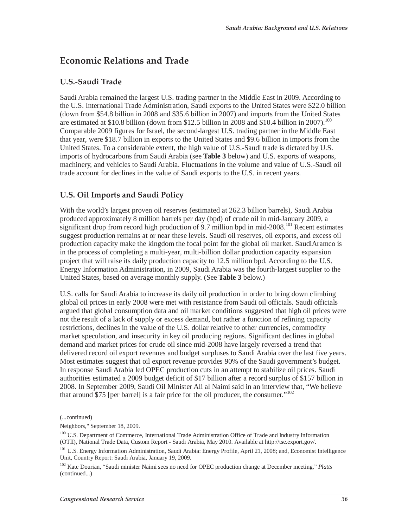## **Economic Relations and Trade**

### **U.S.-Saudi Trade**

Saudi Arabia remained the largest U.S. trading partner in the Middle East in 2009. According to the U.S. International Trade Administration, Saudi exports to the United States were \$22.0 billion (down from \$54.8 billion in 2008 and \$35.6 billion in 2007) and imports from the United States are estimated at \$10.8 billion (down from \$12.5 billion in 2008 and \$10.4 billion in 2007).<sup>100</sup> Comparable 2009 figures for Israel, the second-largest U.S. trading partner in the Middle East that year, were \$18.7 billion in exports to the United States and \$9.6 billion in imports from the United States. To a considerable extent, the high value of U.S.-Saudi trade is dictated by U.S. imports of hydrocarbons from Saudi Arabia (see **Table 3** below) and U.S. exports of weapons, machinery, and vehicles to Saudi Arabia. Fluctuations in the volume and value of U.S.-Saudi oil trade account for declines in the value of Saudi exports to the U.S. in recent years.

## **U.S. Oil Imports and Saudi Policy**

With the world's largest proven oil reserves (estimated at 262.3 billion barrels), Saudi Arabia produced approximately 8 million barrels per day (bpd) of crude oil in mid-January 2009, a significant drop from record high production of 9.7 million bpd in mid-2008.<sup>101</sup> Recent estimates suggest production remains at or near these levels. Saudi oil reserves, oil exports, and excess oil production capacity make the kingdom the focal point for the global oil market. SaudiAramco is in the process of completing a multi-year, multi-billion dollar production capacity expansion project that will raise its daily production capacity to 12.5 million bpd. According to the U.S. Energy Information Administration, in 2009, Saudi Arabia was the fourth-largest supplier to the United States, based on average monthly supply. (See **Table 3** below.)

U.S. calls for Saudi Arabia to increase its daily oil production in order to bring down climbing global oil prices in early 2008 were met with resistance from Saudi oil officials. Saudi officials argued that global consumption data and oil market conditions suggested that high oil prices were not the result of a lack of supply or excess demand, but rather a function of refining capacity restrictions, declines in the value of the U.S. dollar relative to other currencies, commodity market speculation, and insecurity in key oil producing regions. Significant declines in global demand and market prices for crude oil since mid-2008 have largely reversed a trend that delivered record oil export revenues and budget surpluses to Saudi Arabia over the last five years. Most estimates suggest that oil export revenue provides 90% of the Saudi government's budget. In response Saudi Arabia led OPEC production cuts in an attempt to stabilize oil prices. Saudi authorities estimated a 2009 budget deficit of \$17 billion after a record surplus of \$157 billion in 2008. In September 2009, Saudi Oil Minister Ali al Naimi said in an interview that, "We believe that around \$75 [per barrel] is a fair price for the oil producer, the consumer."<sup>102</sup>

<sup>(...</sup>continued)

Neighbors," September 18, 2009.

<sup>&</sup>lt;sup>100</sup> U.S. Department of Commerce, International Trade Administration Office of Trade and Industry Information (OTII), National Trade Data, Custom Report - Saudi Arabia, May 2010. Available at http://tse.export.gov/.

<sup>&</sup>lt;sup>101</sup> U.S. Energy Information Administration, Saudi Arabia: Energy Profile, April 21, 2008; and, Economist Intelligence Unit, Country Report: Saudi Arabia, January 19, 2009.

<sup>102</sup> Kate Dourian, "Saudi minister Naimi sees no need for OPEC production change at December meeting," *Platts*  (continued...)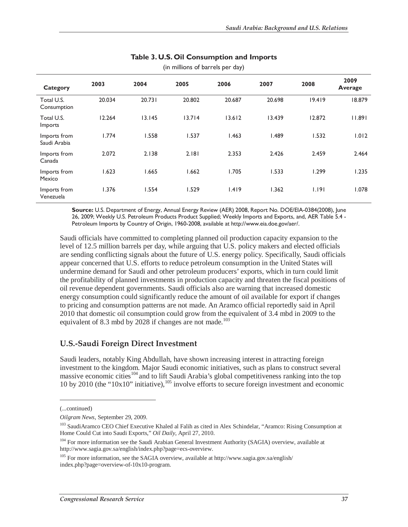| Category                     | 2003   | 2004   | 2005   | 2006   | 2007   | 2008   | 2009<br>Average |
|------------------------------|--------|--------|--------|--------|--------|--------|-----------------|
| Total U.S.<br>Consumption    | 20.034 | 20.731 | 20.802 | 20.687 | 20.698 | 19.419 | 18.879          |
| Total U.S.<br>Imports        | 12.264 | 13.145 | 13.714 | 13.612 | 13.439 | 12.872 | 11.891          |
| Imports from<br>Saudi Arabia | 1.774  | 1.558  | 1.537  | 1.463  | 1.489  | 1.532  | 1.012           |
| Imports from<br>Canada       | 2.072  | 2.138  | 2.181  | 2.353  | 2.426  | 2.459  | 2.464           |
| Imports from<br>Mexico       | 1.623  | 1.665  | 1.662  | 1.705  | 1.533  | 1.299  | 1.235           |
| Imports from<br>Venezuela    | 1.376  | 1.554  | 1.529  | 1.419  | 1.362  | 1.191  | 1.078           |

#### **Table 3. U.S. Oil Consumption and Imports**

(in millions of barrels per day)

**Source:** U.S. Department of Energy, Annual Energy Review (AER) 2008, Report No. DOE/EIA-0384(2008), June 26, 2009; Weekly U.S. Petroleum Products Product Supplied; Weekly Imports and Exports, and, AER Table 5.4 - Petroleum Imports by Country of Origin, 1960-2008, available at http://www.eia.doe.gov/aer/.

Saudi officials have committed to completing planned oil production capacity expansion to the level of 12.5 million barrels per day, while arguing that U.S. policy makers and elected officials are sending conflicting signals about the future of U.S. energy policy. Specifically, Saudi officials appear concerned that U.S. efforts to reduce petroleum consumption in the United States will undermine demand for Saudi and other petroleum producers' exports, which in turn could limit the profitability of planned investments in production capacity and threaten the fiscal positions of oil revenue dependent governments. Saudi officials also are warning that increased domestic energy consumption could significantly reduce the amount of oil available for export if changes to pricing and consumption patterns are not made. An Aramco official reportedly said in April 2010 that domestic oil consumption could grow from the equivalent of 3.4 mbd in 2009 to the equivalent of 8.3 mbd by 2028 if changes are not made.<sup>103</sup>

#### **U.S.-Saudi Foreign Direct Investment**

Saudi leaders, notably King Abdullah, have shown increasing interest in attracting foreign investment to the kingdom. Major Saudi economic initiatives, such as plans to construct several massive economic cities<sup>104</sup> and to lift Saudi Arabia's global competitiveness ranking into the top 10 by 2010 (the "10x10" initiative),  $^{105}$  involve efforts to secure foreign investment and economic

<sup>(...</sup>continued)

*Oilgram News*, September 29, 2009.

<sup>&</sup>lt;sup>103</sup> SaudiAramco CEO Chief Executive Khaled al Falih as cited in Alex Schindelar, "Aramco: Rising Consumption at Home Could Cut into Saudi Exports," *Oil Daily,* April 27, 2010.

<sup>&</sup>lt;sup>104</sup> For more information see the Saudi Arabian General Investment Authority (SAGIA) overview, available at http://www.sagia.gov.sa/english/index.php?page=ecs-overview.

<sup>105</sup> For more information, see the SAGIA overview, available at http://www.sagia.gov.sa/english/ index.php?page=overview-of-10x10-program.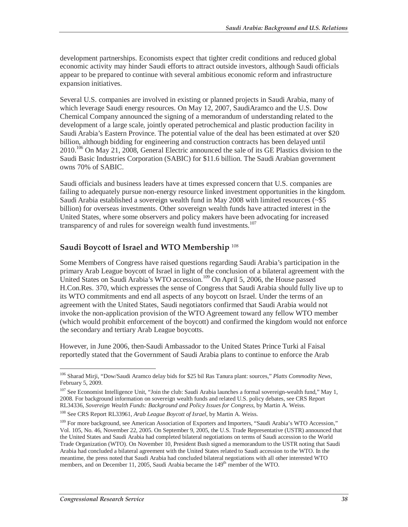development partnerships. Economists expect that tighter credit conditions and reduced global economic activity may hinder Saudi efforts to attract outside investors, although Saudi officials appear to be prepared to continue with several ambitious economic reform and infrastructure expansion initiatives.

Several U.S. companies are involved in existing or planned projects in Saudi Arabia, many of which leverage Saudi energy resources. On May 12, 2007, SaudiAramco and the U.S. Dow Chemical Company announced the signing of a memorandum of understanding related to the development of a large scale, jointly operated petrochemical and plastic production facility in Saudi Arabia's Eastern Province. The potential value of the deal has been estimated at over \$20 billion, although bidding for engineering and construction contracts has been delayed until 2010.<sup>106</sup> On May 21, 2008, General Electric announced the sale of its GE Plastics division to the Saudi Basic Industries Corporation (SABIC) for \$11.6 billion. The Saudi Arabian government owns 70% of SABIC.

Saudi officials and business leaders have at times expressed concern that U.S. companies are failing to adequately pursue non-energy resource linked investment opportunities in the kingdom. Saudi Arabia established a sovereign wealth fund in May 2008 with limited resources (~\$5 billion) for overseas investments. Other sovereign wealth funds have attracted interest in the United States, where some observers and policy makers have been advocating for increased transparency of and rules for sovereign wealth fund investments.<sup>107</sup>

#### **Saudi Boycott of Israel and WTO Membership** <sup>108</sup>

Some Members of Congress have raised questions regarding Saudi Arabia's participation in the primary Arab League boycott of Israel in light of the conclusion of a bilateral agreement with the United States on Saudi Arabia's WTO accession.<sup>109</sup> On April 5, 2006, the House passed H.Con.Res. 370, which expresses the sense of Congress that Saudi Arabia should fully live up to its WTO commitments and end all aspects of any boycott on Israel. Under the terms of an agreement with the United States, Saudi negotiators confirmed that Saudi Arabia would not invoke the non-application provision of the WTO Agreement toward any fellow WTO member (which would prohibit enforcement of the boycott) and confirmed the kingdom would not enforce the secondary and tertiary Arab League boycotts.

However, in June 2006, then-Saudi Ambassador to the United States Prince Turki al Faisal reportedly stated that the Government of Saudi Arabia plans to continue to enforce the Arab

<sup>108</sup> See CRS Report RL33961, *Arab League Boycott of Israel*, by Martin A. Weiss.

<sup>106</sup> Sharad Mirji, "Dow/Saudi Aramco delay bids for \$25 bil Ras Tanura plant: sources," *Platts Commodity News*, February 5, 2009.

<sup>&</sup>lt;sup>107</sup> See Economist Intelligence Unit, "Join the club: Saudi Arabia launches a formal sovereign-wealth fund," May 1, 2008. For background information on sovereign wealth funds and related U.S. policy debates, see CRS Report RL34336, Sovereign Wealth Funds: Background and Policy Issues for Congress, by Martin A. Weiss.

<sup>&</sup>lt;sup>109</sup> For more background, see American Association of Exporters and Importers, "Saudi Arabia's WTO Accession," Vol. 105, No. 46, November 22, 2005. On September 9, 2005, the U.S. Trade Representative (USTR) announced that the United States and Saudi Arabia had completed bilateral negotiations on terms of Saudi accession to the World Trade Organization (WTO). On November 10, President Bush signed a memorandum to the USTR noting that Saudi Arabia had concluded a bilateral agreement with the United States related to Saudi accession to the WTO. In the meantime, the press noted that Saudi Arabia had concluded bilateral negotiations with all other interested WTO members, and on December 11, 2005, Saudi Arabia became the 149<sup>th</sup> member of the WTO.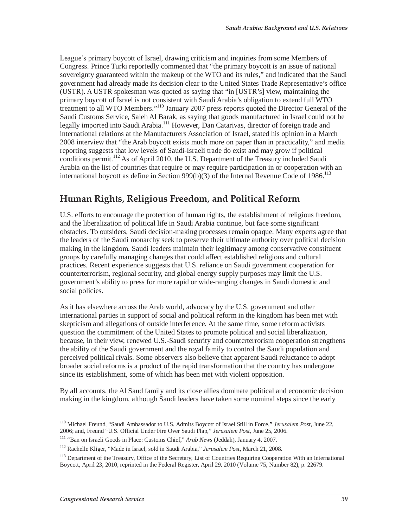League's primary boycott of Israel, drawing criticism and inquiries from some Members of Congress. Prince Turki reportedly commented that "the primary boycott is an issue of national sovereignty guaranteed within the makeup of the WTO and its rules," and indicated that the Saudi government had already made its decision clear to the United States Trade Representative's office (USTR). A USTR spokesman was quoted as saying that "in [USTR's] view, maintaining the primary boycott of Israel is not consistent with Saudi Arabia's obligation to extend full WTO treatment to all WTO Members."110 January 2007 press reports quoted the Director General of the Saudi Customs Service, Saleh Al Barak, as saying that goods manufactured in Israel could not be legally imported into Saudi Arabia.<sup>111</sup> However, Dan Catarivas, director of foreign trade and international relations at the Manufacturers Association of Israel, stated his opinion in a March 2008 interview that "the Arab boycott exists much more on paper than in practicality," and media reporting suggests that low levels of Saudi-Israeli trade do exist and may grow if political conditions permit.<sup>112</sup> As of April 2010, the U.S. Department of the Treasury included Saudi Arabia on the list of countries that require or may require participation in or cooperation with an international boycott as define in Section 999(b)(3) of the Internal Revenue Code of 1986.<sup>113</sup>

## **Human Rights, Religious Freedom, and Political Reform**

U.S. efforts to encourage the protection of human rights, the establishment of religious freedom, and the liberalization of political life in Saudi Arabia continue, but face some significant obstacles. To outsiders, Saudi decision-making processes remain opaque. Many experts agree that the leaders of the Saudi monarchy seek to preserve their ultimate authority over political decision making in the kingdom. Saudi leaders maintain their legitimacy among conservative constituent groups by carefully managing changes that could affect established religious and cultural practices. Recent experience suggests that U.S. reliance on Saudi government cooperation for counterterrorism, regional security, and global energy supply purposes may limit the U.S. government's ability to press for more rapid or wide-ranging changes in Saudi domestic and social policies.

As it has elsewhere across the Arab world, advocacy by the U.S. government and other international parties in support of social and political reform in the kingdom has been met with skepticism and allegations of outside interference. At the same time, some reform activists question the commitment of the United States to promote political and social liberalization, because, in their view, renewed U.S.-Saudi security and counterterrorism cooperation strengthens the ability of the Saudi government and the royal family to control the Saudi population and perceived political rivals. Some observers also believe that apparent Saudi reluctance to adopt broader social reforms is a product of the rapid transformation that the country has undergone since its establishment, some of which has been met with violent opposition.

By all accounts, the Al Saud family and its close allies dominate political and economic decision making in the kingdom, although Saudi leaders have taken some nominal steps since the early

<sup>-</sup><sup>110</sup> Michael Freund, "Saudi Ambassador to U.S. Admits Boycott of Israel Still in Force," *Jerusalem Post*, June 22, 2006; and, Freund "U.S. Official Under Fire Over Saudi Flap," *Jerusalem Post*, June 25, 2006.

<sup>&</sup>lt;sup>111</sup> "Ban on Israeli Goods in Place: Customs Chief," *Arab News* (Jeddah), January 4, 2007.

<sup>112</sup> Rachelle Kliger, "Made in Israel, sold in Saudi Arabia," *Jerusalem Post*, March 21, 2008.

<sup>&</sup>lt;sup>113</sup> Department of the Treasury, Office of the Secretary, List of Countries Requiring Cooperation With an International Boycott, April 23, 2010, reprinted in the Federal Register, April 29, 2010 (Volume 75, Number 82), p. 22679.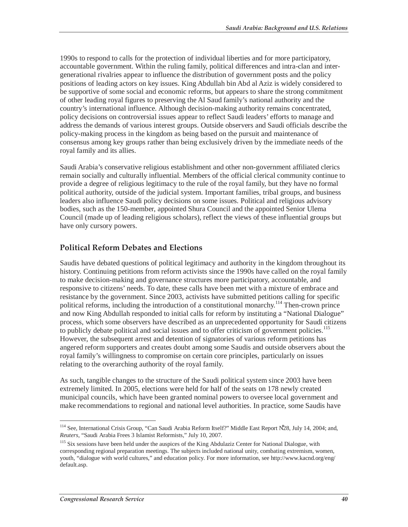1990s to respond to calls for the protection of individual liberties and for more participatory, accountable government. Within the ruling family, political differences and intra-clan and intergenerational rivalries appear to influence the distribution of government posts and the policy positions of leading actors on key issues. King Abdullah bin Abd al Aziz is widely considered to be supportive of some social and economic reforms, but appears to share the strong commitment of other leading royal figures to preserving the Al Saud family's national authority and the country's international influence. Although decision-making authority remains concentrated, policy decisions on controversial issues appear to reflect Saudi leaders' efforts to manage and address the demands of various interest groups. Outside observers and Saudi officials describe the policy-making process in the kingdom as being based on the pursuit and maintenance of consensus among key groups rather than being exclusively driven by the immediate needs of the royal family and its allies.

Saudi Arabia's conservative religious establishment and other non-government affiliated clerics remain socially and culturally influential. Members of the official clerical community continue to provide a degree of religious legitimacy to the rule of the royal family, but they have no formal political authority, outside of the judicial system. Important families, tribal groups, and business leaders also influence Saudi policy decisions on some issues. Political and religious advisory bodies, such as the 150-member, appointed Shura Council and the appointed Senior Ulema Council (made up of leading religious scholars), reflect the views of these influential groups but have only cursory powers.

#### **Political Reform Debates and Elections**

Saudis have debated questions of political legitimacy and authority in the kingdom throughout its history. Continuing petitions from reform activists since the 1990s have called on the royal family to make decision-making and governance structures more participatory, accountable, and responsive to citizens' needs. To date, these calls have been met with a mixture of embrace and resistance by the government. Since 2003, activists have submitted petitions calling for specific political reforms, including the introduction of a constitutional monarchy.<sup>114</sup> Then-crown prince and now King Abdullah responded to initial calls for reform by instituting a "National Dialogue" process, which some observers have described as an unprecedented opportunity for Saudi citizens to publicly debate political and social issues and to offer criticism of government policies.<sup>115</sup> However, the subsequent arrest and detention of signatories of various reform petitions has angered reform supporters and creates doubt among some Saudis and outside observers about the royal family's willingness to compromise on certain core principles, particularly on issues relating to the overarching authority of the royal family.

As such, tangible changes to the structure of the Saudi political system since 2003 have been extremely limited. In 2005, elections were held for half of the seats on 178 newly created municipal councils, which have been granted nominal powers to oversee local government and make recommendations to regional and national level authorities. In practice, some Saudis have

<sup>-</sup>114 See, International Crisis Group, "Can Saudi Arabia Reform Itself?" Middle East Report N̊28, July 14, 2004; and, *Reuters*, "Saudi Arabia Frees 3 Islamist Reformists," July 10, 2007.

<sup>&</sup>lt;sup>115</sup> Six sessions have been held under the auspices of the King Abdulaziz Center for National Dialogue, with corresponding regional preparation meetings. The subjects included national unity, combating extremism, women, youth, "dialogue with world cultures," and education policy. For more information, see http://www.kacnd.org/eng/ default.asp.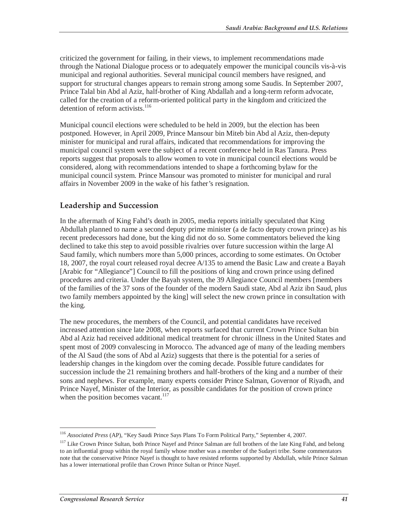criticized the government for failing, in their views, to implement recommendations made through the National Dialogue process or to adequately empower the municipal councils vis-à-vis municipal and regional authorities. Several municipal council members have resigned, and support for structural changes appears to remain strong among some Saudis. In September 2007, Prince Talal bin Abd al Aziz, half-brother of King Abdallah and a long-term reform advocate, called for the creation of a reform-oriented political party in the kingdom and criticized the detention of reform activists.<sup>116</sup>

Municipal council elections were scheduled to be held in 2009, but the election has been postponed. However, in April 2009, Prince Mansour bin Miteb bin Abd al Aziz, then-deputy minister for municipal and rural affairs, indicated that recommendations for improving the municipal council system were the subject of a recent conference held in Ras Tanura. Press reports suggest that proposals to allow women to vote in municipal council elections would be considered, along with recommendations intended to shape a forthcoming bylaw for the municipal council system. Prince Mansour was promoted to minister for municipal and rural affairs in November 2009 in the wake of his father's resignation.

#### **Leadership and Succession**

In the aftermath of King Fahd's death in 2005, media reports initially speculated that King Abdullah planned to name a second deputy prime minister (a de facto deputy crown prince) as his recent predecessors had done, but the king did not do so. Some commentators believed the king declined to take this step to avoid possible rivalries over future succession within the large Al Saud family, which numbers more than 5,000 princes, according to some estimates. On October 18, 2007, the royal court released royal decree A/135 to amend the Basic Law and create a Bayah [Arabic for "Allegiance"] Council to fill the positions of king and crown prince using defined procedures and criteria. Under the Bayah system, the 39 Allegiance Council members [members of the families of the 37 sons of the founder of the modern Saudi state, Abd al Aziz ibn Saud, plus two family members appointed by the king] will select the new crown prince in consultation with the king.

The new procedures, the members of the Council, and potential candidates have received increased attention since late 2008, when reports surfaced that current Crown Prince Sultan bin Abd al Aziz had received additional medical treatment for chronic illness in the United States and spent most of 2009 convalescing in Morocco. The advanced age of many of the leading members of the Al Saud (the sons of Abd al Aziz) suggests that there is the potential for a series of leadership changes in the kingdom over the coming decade. Possible future candidates for succession include the 21 remaining brothers and half-brothers of the king and a number of their sons and nephews. For example, many experts consider Prince Salman, Governor of Riyadh, and Prince Nayef, Minister of the Interior, as possible candidates for the position of crown prince when the position becomes vacant.<sup>117</sup>

 $\overline{a}$ <sup>116</sup> *Associated Press* (AP), "Key Saudi Prince Says Plans To Form Political Party," September 4, 2007.

<sup>&</sup>lt;sup>117</sup> Like Crown Prince Sultan, both Prince Nayef and Prince Salman are full brothers of the late King Fahd, and belong to an influential group within the royal family whose mother was a member of the Sudayri tribe. Some commentators note that the conservative Prince Nayef is thought to have resisted reforms supported by Abdullah, while Prince Salman has a lower international profile than Crown Prince Sultan or Prince Nayef.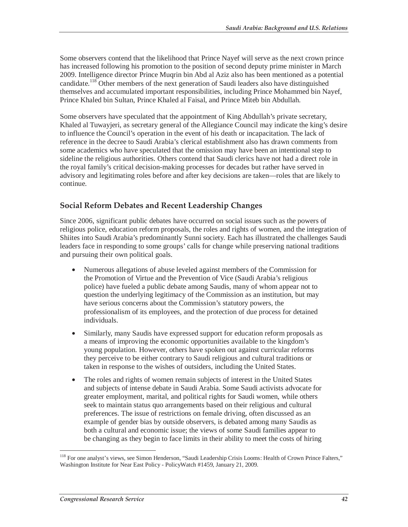Some observers contend that the likelihood that Prince Nayef will serve as the next crown prince has increased following his promotion to the position of second deputy prime minister in March 2009. Intelligence director Prince Muqrin bin Abd al Aziz also has been mentioned as a potential candidate.<sup>118</sup> Other members of the next generation of Saudi leaders also have distinguished themselves and accumulated important responsibilities, including Prince Mohammed bin Nayef, Prince Khaled bin Sultan, Prince Khaled al Faisal, and Prince Miteb bin Abdullah.

Some observers have speculated that the appointment of King Abdullah's private secretary, Khaled al Tuwayjeri, as secretary general of the Allegiance Council may indicate the king's desire to influence the Council's operation in the event of his death or incapacitation. The lack of reference in the decree to Saudi Arabia's clerical establishment also has drawn comments from some academics who have speculated that the omission may have been an intentional step to sideline the religious authorities. Others contend that Saudi clerics have not had a direct role in the royal family's critical decision-making processes for decades but rather have served in advisory and legitimating roles before and after key decisions are taken—roles that are likely to continue.

#### **Social Reform Debates and Recent Leadership Changes**

Since 2006, significant public debates have occurred on social issues such as the powers of religious police, education reform proposals, the roles and rights of women, and the integration of Shiites into Saudi Arabia's predominantly Sunni society. Each has illustrated the challenges Saudi leaders face in responding to some groups' calls for change while preserving national traditions and pursuing their own political goals.

- Numerous allegations of abuse leveled against members of the Commission for the Promotion of Virtue and the Prevention of Vice (Saudi Arabia's religious police) have fueled a public debate among Saudis, many of whom appear not to question the underlying legitimacy of the Commission as an institution, but may have serious concerns about the Commission's statutory powers, the professionalism of its employees, and the protection of due process for detained individuals.
- Similarly, many Saudis have expressed support for education reform proposals as a means of improving the economic opportunities available to the kingdom's young population. However, others have spoken out against curricular reforms they perceive to be either contrary to Saudi religious and cultural traditions or taken in response to the wishes of outsiders, including the United States.
- The roles and rights of women remain subjects of interest in the United States and subjects of intense debate in Saudi Arabia. Some Saudi activists advocate for greater employment, marital, and political rights for Saudi women, while others seek to maintain status quo arrangements based on their religious and cultural preferences. The issue of restrictions on female driving, often discussed as an example of gender bias by outside observers, is debated among many Saudis as both a cultural and economic issue; the views of some Saudi families appear to be changing as they begin to face limits in their ability to meet the costs of hiring

<sup>-</sup><sup>118</sup> For one analyst's views, see Simon Henderson, "Saudi Leadership Crisis Looms: Health of Crown Prince Falters," Washington Institute for Near East Policy - PolicyWatch #1459, January 21, 2009.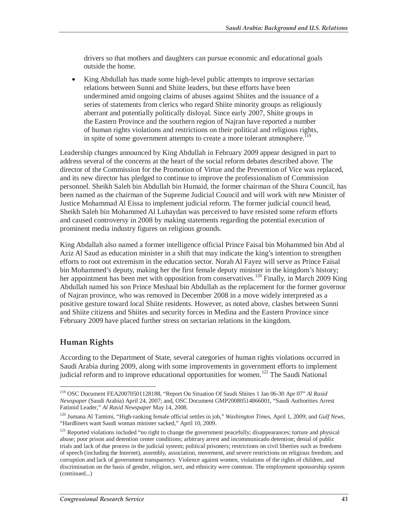drivers so that mothers and daughters can pursue economic and educational goals outside the home.

• King Abdullah has made some high-level public attempts to improve sectarian relations between Sunni and Shiite leaders, but these efforts have been undermined amid ongoing claims of abuses against Shiites and the issuance of a series of statements from clerics who regard Shiite minority groups as religiously aberrant and potentially politically disloyal. Since early 2007, Shiite groups in the Eastern Province and the southern region of Najran have reported a number of human rights violations and restrictions on their political and religious rights, in spite of some government attempts to create a more tolerant atmosphere.<sup>119</sup>

Leadership changes announced by King Abdullah in February 2009 appear designed in part to address several of the concerns at the heart of the social reform debates described above. The director of the Commission for the Promotion of Virtue and the Prevention of Vice was replaced, and its new director has pledged to continue to improve the professionalism of Commission personnel. Sheikh Saleh bin Abdullah bin Humaid, the former chairman of the Shura Council, has been named as the chairman of the Supreme Judicial Council and will work with new Minister of Justice Mohammad Al Eissa to implement judicial reform. The former judicial council head, Sheikh Saleh bin Mohammed Al Luhaydan was perceived to have resisted some reform efforts and caused controversy in 2008 by making statements regarding the potential execution of prominent media industry figures on religious grounds.

King Abdallah also named a former intelligence official Prince Faisal bin Mohammed bin Abd al Aziz Al Saud as education minister in a shift that may indicate the king's intention to strengthen efforts to root out extremism in the education sector. Norah Al Fayez will serve as Prince Faisal bin Mohammed's deputy, making her the first female deputy minister in the kingdom's history; her appointment has been met with opposition from conservatives.<sup>120</sup> Finally, in March 2009 King Abdullah named his son Prince Meshaal bin Abdullah as the replacement for the former governor of Najran province, who was removed in December 2008 in a move widely interpreted as a positive gesture toward local Shiite residents. However, as noted above, clashes between Sunni and Shiite citizens and Shiites and security forces in Medina and the Eastern Province since February 2009 have placed further stress on sectarian relations in the kingdom.

#### **Human Rights**

According to the Department of State, several categories of human rights violations occurred in Saudi Arabia during 2009, along with some improvements in government efforts to implement judicial reform and to improve educational opportunities for women.<sup>121</sup> The Saudi National

<sup>-</sup>119 OSC Document FEA20070501128188, "Report On Situation Of Saudi Shiites 1 Jan 06-30 Apr 07" *Al Rasid Newspaper* (Saudi Arabia) April 24, 2007; and, OSC Document GMP20080514866001, "Saudi Authorities Arrest Fatimid Leader," *Al Rasid Newspaper* May 14, 2008.

<sup>120</sup> Jumana Al Tamimi, "High-ranking female official settles in job," *Washington Times*, April 1, 2009; and *Gulf News*, "Hardliners want Saudi woman minister sacked," April 10, 2009.

<sup>&</sup>lt;sup>121</sup> Reported violations included "no right to change the government peacefully; disappearances; torture and physical abuse; poor prison and detention center conditions; arbitrary arrest and incommunicado detention; denial of public trials and lack of due process in the judicial system; political prisoners; restrictions on civil liberties such as freedoms of speech (including the Internet), assembly, association, movement, and severe restrictions on religious freedom; and corruption and lack of government transparency. Violence against women, violations of the rights of children, and discrimination on the basis of gender, religion, sect, and ethnicity were common. The employment sponsorship system (continued...)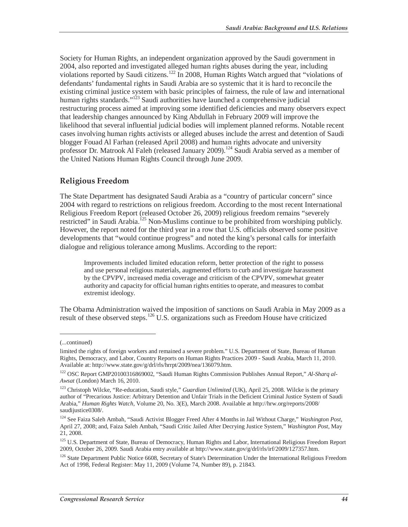Society for Human Rights, an independent organization approved by the Saudi government in 2004, also reported and investigated alleged human rights abuses during the year, including violations reported by Saudi citizens.<sup>122</sup> In 2008, Human Rights Watch argued that "violations of defendants' fundamental rights in Saudi Arabia are so systemic that it is hard to reconcile the existing criminal justice system with basic principles of fairness, the rule of law and international human rights standards."<sup>123</sup> Saudi authorities have launched a comprehensive judicial restructuring process aimed at improving some identified deficiencies and many observers expect that leadership changes announced by King Abdullah in February 2009 will improve the likelihood that several influential judicial bodies will implement planned reforms. Notable recent cases involving human rights activists or alleged abuses include the arrest and detention of Saudi blogger Fouad Al Farhan (released April 2008) and human rights advocate and university professor Dr. Matrook Al Faleh (released January 2009).<sup>124</sup> Saudi Arabia served as a member of the United Nations Human Rights Council through June 2009.

#### **Religious Freedom**

The State Department has designated Saudi Arabia as a "country of particular concern" since 2004 with regard to restrictions on religious freedom. According to the most recent International Religious Freedom Report (released October 26, 2009) religious freedom remains "severely restricted" in Saudi Arabia.<sup>125</sup> Non-Muslims continue to be prohibited from worshiping publicly. However, the report noted for the third year in a row that U.S. officials observed some positive developments that "would continue progress" and noted the king's personal calls for interfaith dialogue and religious tolerance among Muslims. According to the report:

Improvements included limited education reform, better protection of the right to possess and use personal religious materials, augmented efforts to curb and investigate harassment by the CPVPV, increased media coverage and criticism of the CPVPV, somewhat greater authority and capacity for official human rights entities to operate, and measures to combat extremist ideology.

The Obama Administration waived the imposition of sanctions on Saudi Arabia in May 2009 as a result of these observed steps.<sup>126</sup> U.S. organizations such as Freedom House have criticized

<sup>(...</sup>continued)

limited the rights of foreign workers and remained a severe problem." U.S. Department of State, Bureau of Human Rights, Democracy, and Labor, Country Reports on Human Rights Practices 2009 - Saudi Arabia, March 11, 2010. Available at: http://www.state.gov/g/drl/rls/hrrpt/2009/nea/136079.htm.

<sup>&</sup>lt;sup>122</sup> OSC Report GMP20100316869002, "Saudi Human Rights Commission Publishes Annual Report," Al-Sharq al-*Awsat* (London) March 16, 2010.

<sup>&</sup>lt;sup>123</sup> Christoph Wilcke, "Re-education, Saudi style," *Guardian Unlimited* (UK), April 25, 2008. Wilcke is the primary author of "Precarious Justice: Arbitrary Detention and Unfair Trials in the Deficient Criminal Justice System of Saudi Arabia," *Human Rights Watch*, Volume 20, No. 3(E), March 2008. Available at http://hrw.org/reports/2008/ saudijustice0308/.

<sup>124</sup> See Faiza Saleh Ambah, "Saudi Activist Blogger Freed After 4 Months in Jail Without Charge," *Washington Post*, April 27, 2008; and, Faiza Saleh Ambah, "Saudi Critic Jailed After Decrying Justice System," *Washington Post*, May 21, 2008.

<sup>&</sup>lt;sup>125</sup> U.S. Department of State, Bureau of Democracy, Human Rights and Labor, International Religious Freedom Report 2009, October 26, 2009. Saudi Arabia entry available at http://www.state.gov/g/drl/rls/irf/2009/127357.htm.

<sup>&</sup>lt;sup>126</sup> State Department Public Notice 6608, Secretary of State's Determination Under the International Religious Freedom Act of 1998, Federal Register: May 11, 2009 (Volume 74, Number 89), p. 21843.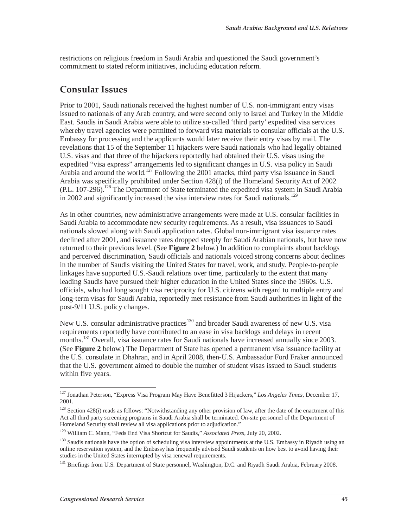restrictions on religious freedom in Saudi Arabia and questioned the Saudi government's commitment to stated reform initiatives, including education reform.

### **Consular Issues**

Prior to 2001, Saudi nationals received the highest number of U.S. non-immigrant entry visas issued to nationals of any Arab country, and were second only to Israel and Turkey in the Middle East. Saudis in Saudi Arabia were able to utilize so-called 'third party' expedited visa services whereby travel agencies were permitted to forward visa materials to consular officials at the U.S. Embassy for processing and the applicants would later receive their entry visas by mail. The revelations that 15 of the September 11 hijackers were Saudi nationals who had legally obtained U.S. visas and that three of the hijackers reportedly had obtained their U.S. visas using the expedited "visa express" arrangements led to significant changes in U.S. visa policy in Saudi Arabia and around the world.<sup>127</sup> Following the 2001 attacks, third party visa issuance in Saudi Arabia was specifically prohibited under Section 428(i) of the Homeland Security Act of 2002  $(PL. 107-296).$ <sup>128</sup> The Department of State terminated the expedited visa system in Saudi Arabia in 2002 and significantly increased the visa interview rates for Saudi nationals.<sup>129</sup>

As in other countries, new administrative arrangements were made at U.S. consular facilities in Saudi Arabia to accommodate new security requirements. As a result, visa issuances to Saudi nationals slowed along with Saudi application rates. Global non-immigrant visa issuance rates declined after 2001, and issuance rates dropped steeply for Saudi Arabian nationals, but have now returned to their previous level. (See **Figure 2** below.) In addition to complaints about backlogs and perceived discrimination, Saudi officials and nationals voiced strong concerns about declines in the number of Saudis visiting the United States for travel, work, and study. People-to-people linkages have supported U.S.-Saudi relations over time, particularly to the extent that many leading Saudis have pursued their higher education in the United States since the 1960s. U.S. officials, who had long sought visa reciprocity for U.S. citizens with regard to multiple entry and long-term visas for Saudi Arabia, reportedly met resistance from Saudi authorities in light of the post-9/11 U.S. policy changes.

New U.S. consular administrative practices<sup>130</sup> and broader Saudi awareness of new U.S. visa requirements reportedly have contributed to an ease in visa backlogs and delays in recent months.<sup>131</sup> Overall, visa issuance rates for Saudi nationals have increased annually since 2003. (See **Figure 2** below.) The Department of State has opened a permanent visa issuance facility at the U.S. consulate in Dhahran, and in April 2008, then-U.S. Ambassador Ford Fraker announced that the U.S. government aimed to double the number of student visas issued to Saudi students within five years.

 $\overline{a}$ 127 Jonathan Peterson, "Express Visa Program May Have Benefitted 3 Hijackers," *Los Angeles Times*, December 17, 2001.

<sup>&</sup>lt;sup>128</sup> Section 428(i) reads as follows: "Notwithstanding any other provision of law, after the date of the enactment of this Act all third party screening programs in Saudi Arabia shall be terminated. On-site personnel of the Department of Homeland Security shall review all visa applications prior to adjudication."

<sup>129</sup> William C. Mann, "Feds End Visa Shortcut for Saudis," *Associated Press,* July 20, 2002.

<sup>&</sup>lt;sup>130</sup> Saudis nationals have the option of scheduling visa interview appointments at the U.S. Embassy in Riyadh using an online reservation system, and the Embassy has frequently advised Saudi students on how best to avoid having their studies in the United States interrupted by visa renewal requirements.

<sup>&</sup>lt;sup>131</sup> Briefings from U.S. Department of State personnel, Washington, D.C. and Riyadh Saudi Arabia, February 2008.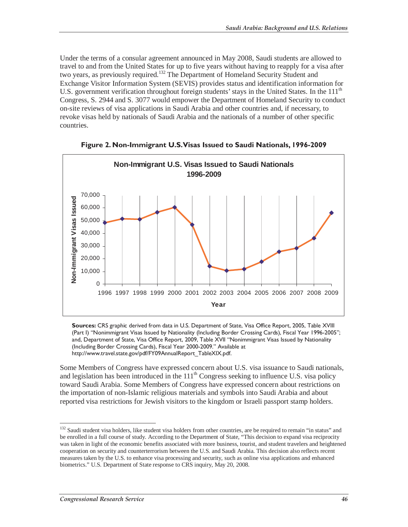Under the terms of a consular agreement announced in May 2008, Saudi students are allowed to travel to and from the United States for up to five years without having to reapply for a visa after two years, as previously required.132 The Department of Homeland Security Student and Exchange Visitor Information System (SEVIS) provides status and identification information for U.S. government verification throughout foreign students' stays in the United States. In the 111<sup>th</sup> Congress, S. 2944 and S. 3077 would empower the Department of Homeland Security to conduct on-site reviews of visa applications in Saudi Arabia and other countries and, if necessary, to revoke visas held by nationals of Saudi Arabia and the nationals of a number of other specific countries.





**Sources:** CRS graphic derived from data in U.S. Department of State, Visa Office Report, 2005, Table XVIII (Part I) "Nonimmigrant Visas Issued by Nationality (Including Border Crossing Cards), Fiscal Year 1996-2005"; and, Department of State, Visa Office Report, 2009, Table XVII "Nonimmigrant Visas Issued by Nationality (Including Border Crossing Cards), Fiscal Year 2000-2009." Available at http://www.travel.state.gov/pdf/FY09AnnualReport\_TableXIX.pdf.

Some Members of Congress have expressed concern about U.S. visa issuance to Saudi nationals, and legislation has been introduced in the  $111<sup>th</sup>$  Congress seeking to influence U.S. visa policy toward Saudi Arabia. Some Members of Congress have expressed concern about restrictions on the importation of non-Islamic religious materials and symbols into Saudi Arabia and about reported visa restrictions for Jewish visitors to the kingdom or Israeli passport stamp holders.

<sup>-</sup><sup>132</sup> Saudi student visa holders, like student visa holders from other countries, are be required to remain "in status" and be enrolled in a full course of study. According to the Department of State, "This decision to expand visa reciprocity was taken in light of the economic benefits associated with more business, tourist, and student travelers and heightened cooperation on security and counterterrorism between the U.S. and Saudi Arabia. This decision also reflects recent measures taken by the U.S. to enhance visa processing and security, such as online visa applications and enhanced biometrics." U.S. Department of State response to CRS inquiry, May 20, 2008.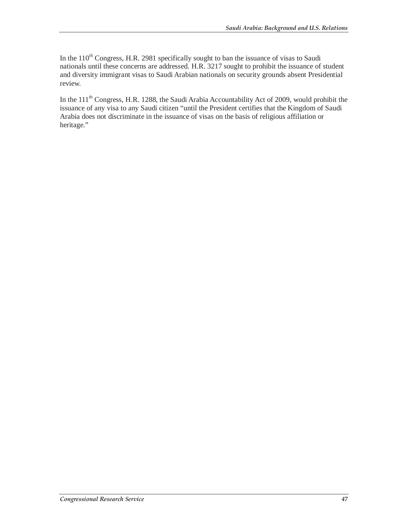In the  $110<sup>th</sup>$  Congress, H.R. 2981 specifically sought to ban the issuance of visas to Saudi nationals until these concerns are addressed. H.R. 3217 sought to prohibit the issuance of student and diversity immigrant visas to Saudi Arabian nationals on security grounds absent Presidential review.

In the 111<sup>th</sup> Congress, H.R. 1288, the Saudi Arabia Accountability Act of 2009, would prohibit the issuance of any visa to any Saudi citizen "until the President certifies that the Kingdom of Saudi Arabia does not discriminate in the issuance of visas on the basis of religious affiliation or heritage."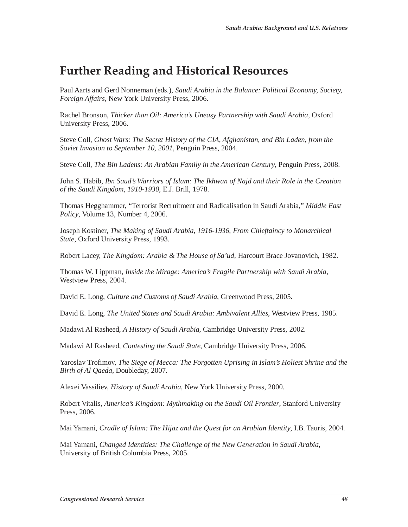# **Further Reading and Historical Resources**

Paul Aarts and Gerd Nonneman (eds.), *Saudi Arabia in the Balance: Political Economy, Society, Foreign Affairs*, New York University Press, 2006.

Rachel Bronson, *Thicker than Oil: America's Uneasy Partnership with Saudi Arabia*, Oxford University Press, 2006.

Steve Coll, *Ghost Wars: The Secret History of the CIA, Afghanistan, and Bin Laden, from the Soviet Invasion to September 10, 2001*, Penguin Press, 2004.

Steve Coll, *The Bin Ladens: An Arabian Family in the American Century*, Penguin Press, 2008.

John S. Habib, *Ibn Saud's Warriors of Islam: The Ikhwan of Najd and their Role in the Creation of the Saudi Kingdom, 1910-1930*, E.J. Brill, 1978.

Thomas Hegghammer, "Terrorist Recruitment and Radicalisation in Saudi Arabia," *Middle East Policy*, Volume 13, Number 4, 2006.

Joseph Kostiner, *The Making of Saudi Arabia, 1916-1936, From Chieftaincy to Monarchical State*, Oxford University Press, 1993.

Robert Lacey, *The Kingdom: Arabia & The House of Sa'ud*, Harcourt Brace Jovanovich, 1982.

Thomas W. Lippman, *Inside the Mirage: America's Fragile Partnership with Saudi Arabia*, Westview Press, 2004.

David E. Long, *Culture and Customs of Saudi Arabia*, Greenwood Press, 2005.

David E. Long, *The United States and Saudi Arabia: Ambivalent Allies*, Westview Press, 1985.

Madawi Al Rasheed, *A History of Saudi Arabia*, Cambridge University Press, 2002.

Madawi Al Rasheed, *Contesting the Saudi State*, Cambridge University Press, 2006.

Yaroslav Trofimov, *The Siege of Mecca: The Forgotten Uprising in Islam's Holiest Shrine and the Birth of Al Qaeda*, Doubleday, 2007.

Alexei Vassiliev, *History of Saudi Arabia*, New York University Press, 2000.

Robert Vitalis, *America's Kingdom: Mythmaking on the Saudi Oil Frontier*, Stanford University Press, 2006.

Mai Yamani, *Cradle of Islam: The Hijaz and the Quest for an Arabian Identity*, I.B. Tauris, 2004.

Mai Yamani, *Changed Identities: The Challenge of the New Generation in Saudi Arabia*, University of British Columbia Press, 2005.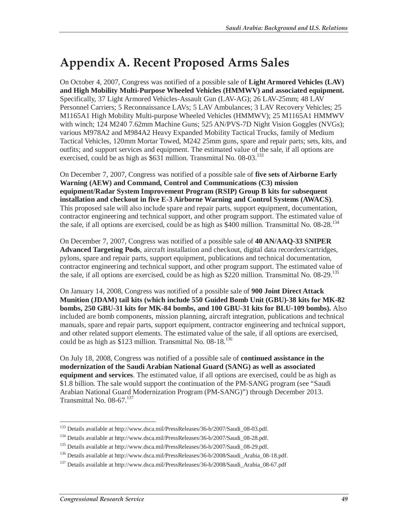# **Appendix A. Recent Proposed Arms Sales**

On October 4, 2007, Congress was notified of a possible sale of **Light Armored Vehicles (LAV) and High Mobility Multi-Purpose Wheeled Vehicles (HMMWV) and associated equipment.** Specifically, 37 Light Armored Vehicles-Assault Gun (LAV-AG); 26 LAV-25mm; 48 LAV Personnel Carriers; 5 Reconnaissance LAVs; 5 LAV Ambulances; 3 LAV Recovery Vehicles; 25 M1165A1 High Mobility Multi-purpose Wheeled Vehicles (HMMWV); 25 M1165A1 HMMWV with winch; 124 M240 7.62mm Machine Guns; 525 AN/PVS-7D Night Vision Goggles (NVGs); various M978A2 and M984A2 Heavy Expanded Mobility Tactical Trucks, family of Medium Tactical Vehicles, 120mm Mortar Towed, M242 25mm guns, spare and repair parts; sets, kits, and outfits; and support services and equipment. The estimated value of the sale, if all options are exercised, could be as high as  $$631$  million. Transmittal No. 08-03.<sup>133</sup>

On December 7, 2007, Congress was notified of a possible sale of **five sets of Airborne Early Warning (AEW) and Command, Control and Communications (C3) mission equipment/Radar System Improvement Program (RSIP) Group B kits for subsequent installation and checkout in five E-3 Airborne Warning and Control Systems (AWACS)**. This proposed sale will also include spare and repair parts, support equipment, documentation, contractor engineering and technical support, and other program support. The estimated value of the sale, if all options are exercised, could be as high as \$400 million. Transmittal No.  $08\text{-}28$ .<sup>134</sup>

On December 7, 2007, Congress was notified of a possible sale of **40 AN/AAQ-33 SNIPER Advanced Targeting Pods**, aircraft installation and checkout, digital data recorders/cartridges, pylons, spare and repair parts, support equipment, publications and technical documentation, contractor engineering and technical support, and other program support. The estimated value of the sale, if all options are exercised, could be as high as \$220 million. Transmittal No. 08-29.<sup>135</sup>

On January 14, 2008, Congress was notified of a possible sale of **900 Joint Direct Attack Munition (JDAM) tail kits (which include 550 Guided Bomb Unit (GBU)-38 kits for MK-82 bombs, 250 GBU-31 kits for MK-84 bombs, and 100 GBU-31 kits for BLU-109 bombs).** Also included are bomb components, mission planning, aircraft integration, publications and technical manuals, spare and repair parts, support equipment, contractor engineering and technical support, and other related support elements. The estimated value of the sale, if all options are exercised, could be as high as  $$123$  million. Transmittal No. 08-18.<sup>136</sup>

On July 18, 2008, Congress was notified of a possible sale of **continued assistance in the modernization of the Saudi Arabian National Guard (SANG) as well as associated equipment and services**. The estimated value, if all options are exercised, could be as high as \$1.8 billion. The sale would support the continuation of the PM-SANG program (see "Saudi Arabian National Guard Modernization Program (PM-SANG)") through December 2013. Transmittal No.  $08-67$ .  $137$ 

 $\frac{1}{1}$ <sup>133</sup> Details available at http://www.dsca.mil/PressReleases/36-b/2007/Saudi\_08-03.pdf.

<sup>134</sup> Details available at http://www.dsca.mil/PressReleases/36-b/2007/Saudi\_08-28.pdf.

<sup>135</sup> Details available at http://www.dsca.mil/PressReleases/36-b/2007/Saudi\_08-29.pdf.

<sup>&</sup>lt;sup>136</sup> Details available at http://www.dsca.mil/PressReleases/36-b/2008/Saudi\_Arabia\_08-18.pdf.

<sup>&</sup>lt;sup>137</sup> Details available at http://www.dsca.mil/PressReleases/36-b/2008/Saudi\_Arabia\_08-67.pdf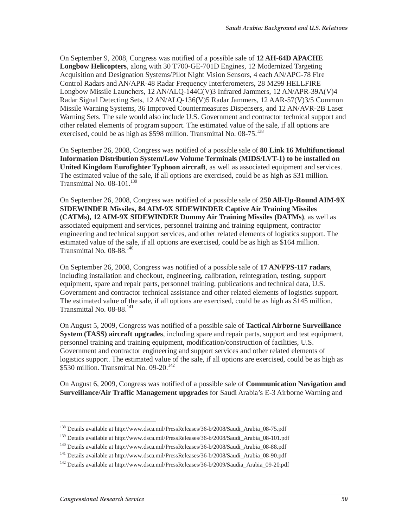On September 9, 2008, Congress was notified of a possible sale of **12 AH-64D APACHE Longbow Helicopters**, along with 30 T700-GE-701D Engines, 12 Modernized Targeting Acquisition and Designation Systems/Pilot Night Vision Sensors, 4 each AN/APG-78 Fire Control Radars and AN/APR-48 Radar Frequency Interferometers, 28 M299 HELLFIRE Longbow Missile Launchers, 12 AN/ALQ-144C(V)3 Infrared Jammers, 12 AN/APR-39A(V)4 Radar Signal Detecting Sets, 12 AN/ALQ-136(V)5 Radar Jammers, 12 AAR-57(V)3/5 Common Missile Warning Systems, 36 Improved Countermeasures Dispensers, and 12 AN/AVR-2B Laser Warning Sets. The sale would also include U.S. Government and contractor technical support and other related elements of program support. The estimated value of the sale, if all options are exercised, could be as high as  $$598$  million. Transmittal No.  $08-75$ <sup>138</sup>

On September 26, 2008, Congress was notified of a possible sale of **80 Link 16 Multifunctional Information Distribution System/Low Volume Terminals (MIDS/LVT-1) to be installed on United Kingdom Eurofighter Typhoon aircraft**, as well as associated equipment and services. The estimated value of the sale, if all options are exercised, could be as high as \$31 million. Transmittal No. 08-101.<sup>139</sup>

On September 26, 2008, Congress was notified of a possible sale of **250 All-Up-Round AIM-9X SIDEWINDER Missiles, 84 AIM-9X SIDEWINDER Captive Air Training Missiles (CATMs), 12 AIM-9X SIDEWINDER Dummy Air Training Missiles (DATMs)**, as well as associated equipment and services, personnel training and training equipment, contractor engineering and technical support services, and other related elements of logistics support. The estimated value of the sale, if all options are exercised, could be as high as \$164 million. Transmittal No. 08-88.<sup>140</sup>

On September 26, 2008, Congress was notified of a possible sale of **17 AN/FPS-117 radars**, including installation and checkout, engineering, calibration, reintegration, testing, support equipment, spare and repair parts, personnel training, publications and technical data, U.S. Government and contractor technical assistance and other related elements of logistics support. The estimated value of the sale, if all options are exercised, could be as high as \$145 million. Transmittal No. 08-88.<sup>141</sup>

On August 5, 2009, Congress was notified of a possible sale of **Tactical Airborne Surveillance System (TASS) aircraft upgrades**, including spare and repair parts, support and test equipment, personnel training and training equipment, modification/construction of facilities, U.S. Government and contractor engineering and support services and other related elements of logistics support. The estimated value of the sale, if all options are exercised, could be as high as \$530 million. Transmittal No.  $09-20$ .<sup>142</sup>

On August 6, 2009, Congress was notified of a possible sale of **Communication Navigation and Surveillance/Air Traffic Management upgrades** for Saudi Arabia's E-3 Airborne Warning and

 $\frac{1}{1}$ <sup>138</sup> Details available at http://www.dsca.mil/PressReleases/36-b/2008/Saudi\_Arabia\_08-75.pdf

<sup>139</sup> Details available at http://www.dsca.mil/PressReleases/36-b/2008/Saudi\_Arabia\_08-101.pdf

<sup>140</sup> Details available at http://www.dsca.mil/PressReleases/36-b/2008/Saudi\_Arabia\_08-88.pdf

<sup>&</sup>lt;sup>141</sup> Details available at http://www.dsca.mil/PressReleases/36-b/2008/Saudi\_Arabia\_08-90.pdf

<sup>&</sup>lt;sup>142</sup> Details available at http://www.dsca.mil/PressReleases/36-b/2009/Saudia\_Arabia\_09-20.pdf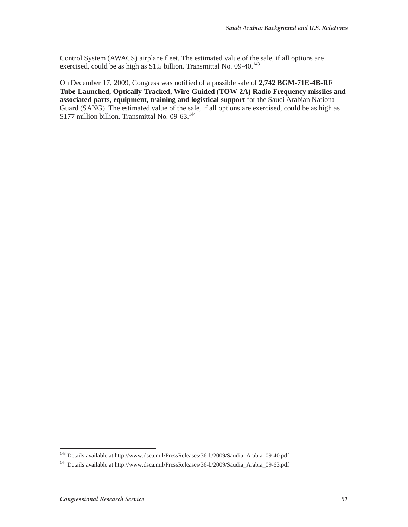Control System (AWACS) airplane fleet. The estimated value of the sale, if all options are exercised, could be as high as  $$1.5$  billion. Transmittal No. 09-40.<sup>143</sup>

On December 17, 2009, Congress was notified of a possible sale of **2,742 BGM-71E-4B-RF Tube-Launched, Optically-Tracked, Wire-Guided (TOW-2A) Radio Frequency missiles and associated parts, equipment, training and logistical support** for the Saudi Arabian National Guard (SANG). The estimated value of the sale, if all options are exercised, could be as high as \$177 million billion. Transmittal No. 09-63.<sup>144</sup>

 $\frac{1}{1}$ <sup>143</sup> Details available at http://www.dsca.mil/PressReleases/36-b/2009/Saudia\_Arabia\_09-40.pdf

<sup>144</sup> Details available at http://www.dsca.mil/PressReleases/36-b/2009/Saudia\_Arabia\_09-63.pdf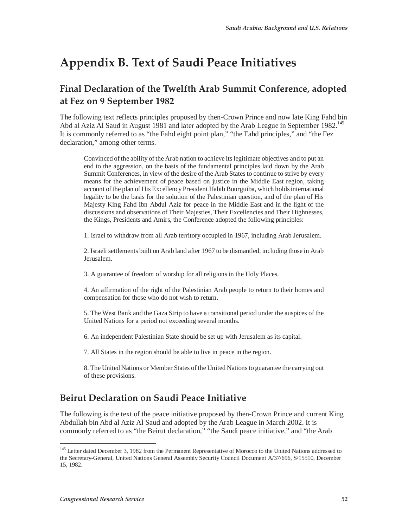# **Appendix B. Text of Saudi Peace Initiatives**

## **Final Declaration of the Twelfth Arab Summit Conference, adopted at Fez on 9 September 1982**

The following text reflects principles proposed by then-Crown Prince and now late King Fahd bin Abd al Aziz Al Saud in August 1981 and later adopted by the Arab League in September 1982.<sup>145</sup> It is commonly referred to as "the Fahd eight point plan," "the Fahd principles," and "the Fez declaration," among other terms.

Convinced of the ability of the Arab nation to achieve its legitimate objectives and to put an end to the aggression, on the basis of the fundamental principles laid down by the Arab Summit Conferences, in view of the desire of the Arab States to continue to strive by every means for the achievement of peace based on justice in the Middle East region, taking account of the plan of His Excellency President Habib Bourguiba, which holds international legality to be the basis for the solution of the Palestinian question, and of the plan of His Majesty King Fahd Ibn Abdul Aziz for peace in the Middle East and in the light of the discussions and observations of Their Majesties, Their Excellencies and Their Highnesses, the Kings, Presidents and Amirs, the Conference adopted the following principles:

1. Israel to withdraw from all Arab territory occupied in 1967, including Arab Jerusalem.

2. Israeli settlements built on Arab land after 1967 to be dismantled, including those in Arab Jerusalem.

3. A guarantee of freedom of worship for all religions in the Holy Places.

4. An affirmation of the right of the Palestinian Arab people to return to their homes and compensation for those who do not wish to return.

5. The West Bank and the Gaza Strip to have a transitional period under the auspices of the United Nations for a period not exceeding several months.

6. An independent Palestinian State should be set up with Jerusalem as its capital.

7. All States in the region should be able to live in peace in the region.

8. The United Nations or Member States of the United Nations to guarantee the carrying out of these provisions.

## **Beirut Declaration on Saudi Peace Initiative**

The following is the text of the peace initiative proposed by then-Crown Prince and current King Abdullah bin Abd al Aziz Al Saud and adopted by the Arab League in March 2002. It is commonly referred to as "the Beirut declaration," "the Saudi peace initiative," and "the Arab

<sup>&</sup>lt;sup>145</sup> Letter dated December 3, 1982 from the Permanent Representative of Morocco to the United Nations addressed to the Secretary-General, United Nations General Assembly Security Council Document A/37/696, S/15510, December 15, 1982.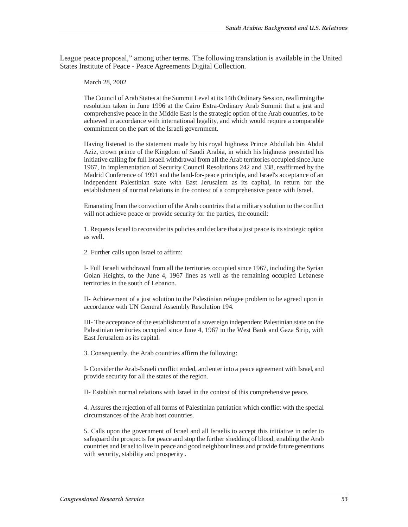League peace proposal," among other terms. The following translation is available in the United States Institute of Peace - Peace Agreements Digital Collection.

March 28, 2002

The Council of Arab States at the Summit Level at its 14th Ordinary Session, reaffirming the resolution taken in June 1996 at the Cairo Extra-Ordinary Arab Summit that a just and comprehensive peace in the Middle East is the strategic option of the Arab countries, to be achieved in accordance with international legality, and which would require a comparable commitment on the part of the Israeli government.

Having listened to the statement made by his royal highness Prince Abdullah bin Abdul Aziz, crown prince of the Kingdom of Saudi Arabia, in which his highness presented his initiative calling for full Israeli withdrawal from all the Arab territories occupied since June 1967, in implementation of Security Council Resolutions 242 and 338, reaffirmed by the Madrid Conference of 1991 and the land-for-peace principle, and Israel's acceptance of an independent Palestinian state with East Jerusalem as its capital, in return for the establishment of normal relations in the context of a comprehensive peace with Israel.

Emanating from the conviction of the Arab countries that a military solution to the conflict will not achieve peace or provide security for the parties, the council:

1. Requests Israel to reconsider its policies and declare that a just peace is its strategic option as well.

2. Further calls upon Israel to affirm:

I- Full Israeli withdrawal from all the territories occupied since 1967, including the Syrian Golan Heights, to the June 4, 1967 lines as well as the remaining occupied Lebanese territories in the south of Lebanon.

II- Achievement of a just solution to the Palestinian refugee problem to be agreed upon in accordance with UN General Assembly Resolution 194.

III- The acceptance of the establishment of a sovereign independent Palestinian state on the Palestinian territories occupied since June 4, 1967 in the West Bank and Gaza Strip, with East Jerusalem as its capital.

3. Consequently, the Arab countries affirm the following:

I- Consider the Arab-Israeli conflict ended, and enter into a peace agreement with Israel, and provide security for all the states of the region.

II- Establish normal relations with Israel in the context of this comprehensive peace.

4. Assures the rejection of all forms of Palestinian patriation which conflict with the special circumstances of the Arab host countries.

5. Calls upon the government of Israel and all Israelis to accept this initiative in order to safeguard the prospects for peace and stop the further shedding of blood, enabling the Arab countries and Israel to live in peace and good neighbourliness and provide future generations with security, stability and prosperity .